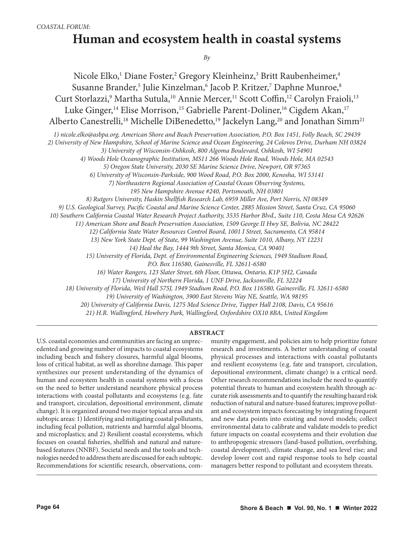# **Human and ecosystem health in coastal systems**

*By* 

Nicole Elko,<sup>1</sup> Diane Foster,<sup>2</sup> Gregory Kleinheinz,<sup>3</sup> Britt Raubenheimer,<sup>4</sup> Susanne Brander,<sup>5</sup> Julie Kinzelman,<sup>6</sup> Jacob P. Kritzer,<sup>7</sup> Daphne Munroe,<sup>8</sup> Curt Storlazzi,<sup>9</sup> Martha Sutula,<sup>10</sup> Annie Mercer,<sup>11</sup> Scott Coffin,<sup>12</sup> Carolyn Fraioli,<sup>13</sup> Luke Ginger,<sup>14</sup> Elise Morrison,<sup>15</sup> Gabrielle Parent-Doliner,<sup>16</sup> Cigdem Akan,<sup>17</sup> Alberto Canestrelli,<sup>18</sup> Michelle DiBenedetto,<sup>19</sup> Jackelyn Lang,<sup>20</sup> and Jonathan Simm<sup>21</sup>

*1) nicole.elko@asbpa.org, American Shore and Beach Preservation Association, P.O. Box 1451, Folly Beach, SC 29439*

*2) University of New Hampshire, School of Marine Science and Ocean Engineering, 24 Colovos Drive, Durham NH 03824*

*3) University of Wisconsin-Oshkosh, 800 Algoma Boulevard, Oshkosh, WI 54901* 

*4) Woods Hole Oceanographic Institution, MS11 266 Woods Hole Road, Woods Hole, MA 02543*

*5) Oregon State University, 2030 SE Marine Science Drive, Newport, OR 97365*

*6) University of Wisconsin-Parkside, 900 Wood Road, P.O. Box 2000, Kenosha, WI 53141*

*7) Northeastern Regional Association of Coastal Ocean Observing Systems,* 

*195 New Hampshire Avenue #240, Portsmouth, NH 03801*

*8) Rutgers University, Haskin Shellfish Research Lab, 6959 Miller Ave, Port Norris, NJ 08349*

*9) U.S. Geological Survey, Pacific Coastal and Marine Science Center, 2885 Mission Street, Santa Cruz, CA 95060*

*10) Southern California Coastal Water Research Project Authority, 3535 Harbor Blvd., Suite 110, Costa Mesa CA 92626*

*11) American Shore and Beach Preservation Association, 1509 George II Hwy SE, Bolivia, NC 28422*

*12) California State Water Resources Control Board, 1001 I Street, Sacramento, CA 95814*

*13) New York State Dept. of State, 99 Washington Avenue, Suite 1010, Albany, NY 12231*

*14) Heal the Bay, 1444 9th Street, Santa Monica, CA 90401*

*15) University of Florida, Dept. of Environmental Engineering Sciences, 1949 Stadium Road,* 

*P.O. Box 116580, Gainesville, FL 32611-6580*

*16) Water Rangers, 123 Slater Street, 6th Floor, Ottawa, Ontario, K1P 5H2, Canada*

*17) University of Northern Florida, 1 UNF Drive, Jacksonville, FL 32224*

*18) University of Florida, Weil Hall 575J, 1949 Stadium Road, P.O. Box 116580, Gainesville, FL 32611-6580*

*19) University of Washington, 3900 East Stevens Way NE, Seattle, WA 98195*

*20) University of California Davis, 1275 Med Science Drive, Tupper Hall 2108, Davis, CA 95616*

*21) H.R. Wallingford, Howbery Park, Wallingford, Oxfordshire OX10 8BA, United Kingdom*

#### **ABSTRACT**

U.S. coastal economies and communities are facing an unprecedented and growing number of impacts to coastal ecosystems including beach and fishery closures, harmful algal blooms, loss of critical habitat, as well as shoreline damage. This paper synthesizes our present understanding of the dynamics of human and ecosystem health in coastal systems with a focus on the need to better understand nearshore physical process interactions with coastal pollutants and ecosystems (e.g. fate and transport, circulation, depositional environment, climate change). It is organized around two major topical areas and six subtopic areas: 1) Identifying and mitigating coastal pollutants, including fecal pollution, nutrients and harmful algal blooms, and microplastics; and 2) Resilient coastal ecosystems, which focuses on coastal fisheries, shellfish and natural and naturebased features (NNBF). Societal needs and the tools and technologies needed to address them are discussed for each subtopic. Recommendations for scientific research, observations, com-

munity engagement, and policies aim to help prioritize future research and investments. A better understanding of coastal physical processes and interactions with coastal pollutants and resilient ecosystems (e.g. fate and transport, circulation, depositional environment, climate change) is a critical need. Other research recommendations include the need to quantify potential threats to human and ecosystem health through accurate risk assessments and to quantify the resulting hazard risk reduction of natural and nature-based features; improve pollutant and ecosystem impacts forecasting by integrating frequent and new data points into existing and novel models; collect environmental data to calibrate and validate models to predict future impacts on coastal ecosystems and their evolution due to anthropogenic stressors (land-based pollution, overfishing, coastal development), climate change, and sea level rise; and develop lower cost and rapid response tools to help coastal managers better respond to pollutant and ecosystem threats.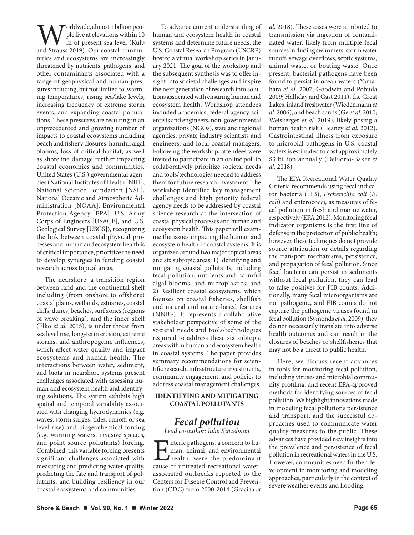Worldwide, almost 1 billion peo-<br>m of present sea level (Kulp<br>and Strauss 2019). Our coastal commuple live at elevations within 10 m of present sea level (Kulp nities and ecosystems are increasingly threatened by nutrients, pathogens, and other contaminants associated with a range of geophysical and human pressures including, but not limited to, warming temperatures, rising sea/lake levels, increasing frequency of extreme storm events, and expanding coastal populations. These pressures are resulting in an unprecedented and growing number of impacts to coastal ecosystems including beach and fishery closures, harmful algal blooms, loss of critical habitat, as well as shoreline damage further impacting coastal economies and communities. United States (U.S.) governmental agencies (National Institutes of Health [NIH], National Science Foundation [NSF], National Oceanic and Atmospheric Administration [NOAA], Environmental Protection Agency [EPA], U.S. Army Corps of Engineers [USACE], and U.S. Geological Survey [USGS]), recognizing the link between coastal physical processes and human and ecosystem health is of critical importance, prioritize the need to develop synergies in funding coastal research across topical areas.

The nearshore, a transition region between land and the continental shelf including (from onshore to offshore) coastal plains, wetlands, estuaries, coastal cliffs, dunes, beaches, surf zones (regions of wave breaking), and the inner shelf (Elko *et al.* 2015), is under threat from sea level rise, long-term erosion, extreme storms, and anthropogenic influences, which affect water quality and impact ecosystems and human health. The interactions between water, sediment, and biota in nearshore systems present challenges associated with assessing human and ecosystem health and identifying solutions. The system exhibits high spatial and temporal variability associated with changing hydrodynamics (e.g. waves, storm surges, tides, runoff, or sea level rise) and biogeochemical forcing (e.g. warming waters, invasive species, and point source pollutants) forcing. Combined, this variable forcing presents significant challenges associated with measuring and predicting water quality, predicting the fate and transport of pollutants, and building resiliency in our coastal ecosystems and communities.

To advance current understanding of human and ecosystem health in coastal systems and determine future needs, the U.S. Coastal Research Program (USCRP) hosted a virtual workshop series in January 2021. The goal of the workshop and the subsequent synthesis was to offer insight into societal challenges and inspire the next generation of research into solutions associated with ensuring human and ecosystem health. Workshop attendees included academics, federal agency scientists and engineers, non-governmental organizations (NGOs), state and regional agencies, private industry scientists and engineers, and local coastal managers. Following the workshop, attendees were invited to participate in an online poll to collaboratively prioritize societal needs and tools/technologies needed to address them for future research investment. The workshop identified key management challenges and high priority federal agency needs to be addressed by coastal science research at the intersection of coastal physical processes and human and ecosystem health. This paper will examine the issues impacting the human and ecosystem health in coastal systems. It is organized around two major topical areas and six subtopic areas: 1) Identifying and mitigating coastal pollutants, including fecal pollution, nutrients and harmful algal blooms, and microplastics; and 2) Resilient coastal ecosystems, which focuses on coastal fisheries, shellfish and natural and nature-based features (NNBF). It represents a collaborative stakeholder perspective of some of the societal needs and tools/technologies required to address these six subtopic areas within human and ecosystem health in coastal systems. The paper provides summary recommendations for scientific research, infrastructure investments, community engagement, and policies to address coastal management challenges.

## **IDENTIFYING AND MITIGATING COASTAL POLLUTANTS**

# *Fecal pollution*

*Lead co-author: Julie Kinzelman*

Interic pathogens, a concern to human, animal, and environmental<br>health, were the predominant<br>cause of untreated recreational waterman, animal, and environmental health, were the predominant cause of untreated recreational waterassociated outbreaks reported to the Centers for Disease Control and Prevention (CDC) from 2000-2014 (Graciaa *et* 

*al.* 2018). These cases were attributed to transmission via ingestion of contaminated water, likely from multiple fecal sources including swimmers, storm water runoff, sewage overflows, septic systems, animal waste, or boating waste. Once present, bacterial pathogens have been found to persist in ocean waters (Yamahara *et al.* 2007; Goodwin and Pobuda 2009; Halliday and Gast 2011), the Great Lakes, inland freshwater (Wiedenmann *et al.* 2006), and beach sands (Ge *et al.* 2010; Weiskerger *et al.* 2019), likely posing a human health risk (Heaney *et al.* 2012). Gastrointestinal illness from exposure to microbial pathogens in U.S. coastal waters is estimated to cost approximately \$3 billion annually (DeFlorio-Baker *et al.* 2018).

The EPA Recreational Water Quality Criteria recommends using fecal indicator bacteria (FIB), *Escherichia coli* (*E. coli*) and enterococci, as measures of fecal pollution in fresh and marine water, respectively (EPA 2012). Monitoring fecal indicator organisms is the first line of defense in the protection of public health; however, these techniques do not provide source attribution or details regarding the transport mechanisms, persistence, and propagation of fecal pollution. Since fecal bacteria can persist in sediments without fecal pollution, they can lead to false positives for FIB counts. Additionally, many fecal microorganisms are not pathogenic, and FIB counts do not capture the pathogenic viruses found in fecal pollution (Symonds *et al.* 2009), they do not necessarily translate into adverse health outcomes and can result in the closures of beaches or shellfisheries that may not be a threat to public health.

Here, we discuss recent advances in tools for monitoring fecal pollution, including viruses and microbial community profiling, and recent EPA-approved methods for identifying sources of fecal pollution. We highlight innovations made in modeling fecal pollution's persistence and transport, and the successful approaches used to communicate water quality measures to the public. These advances have provided new insights into the prevalence and persistence of fecal pollution in recreational waters in the U.S. However, communities need further development in monitoring and modeling approaches, particularly in the context of severe weather events and flooding.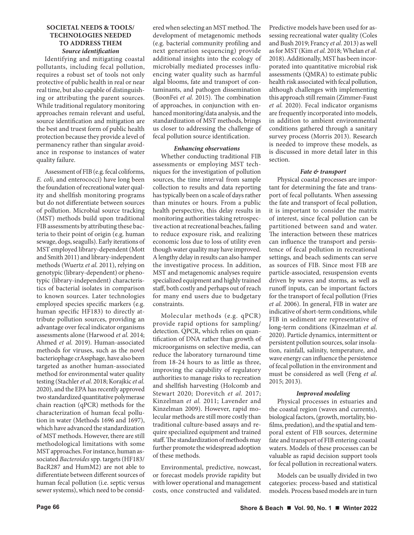## **SOCIETAL NEEDS & TOOLS/ TECHNOLOGIES NEEDED TO ADDRESS THEM** *Source identification*

Identifying and mitigating coastal pollutants, including fecal pollution, requires a robust set of tools not only protective of public health in real or near real time, but also capable of distinguishing or attributing the parent sources. While traditional regulatory monitoring approaches remain relevant and useful, source identification and mitigation are the best and truest form of public health protection because they provide a level of permanency rather than singular avoidance in response to instances of water quality failure.

Assessment of FIB (e.g. fecal coliforms, *E. coli*, and enterococci) have long been the foundation of recreational water quality and shellfish monitoring programs but do not differentiate between sources of pollution. Microbial source tracking (MST) methods build upon traditional FIB assessments by attributing these bacteria to their point of origin (e.g. human sewage, dogs, seagulls). Early iterations of MST employed library-dependent (Mott and Smith 2011) and library-independent methods (Wuertz *et al.* 2011), relying on genotypic (library-dependent) or phenotypic (library-independent) characteristics of bacterial isolates in comparison to known sources. Later technologies employed species specific markers (e.g. human specific HF183) to directly attribute pollution sources, providing an advantage over fecal indicator organisms assessments alone (Harwood *et al.* 2014; Ahmed *et al.* 2019). Human-associated methods for viruses, such as the novel bacteriophage crAssphage, have also been targeted as another human-associated method for environmental water quality testing (Stachler *et al.* 2018; Korajkic *et al.* 2020), and the EPA has recently approved two standardized quantitative polymerase chain reaction (qPCR) methods for the characterization of human fecal pollution in water (Methods 1696 and 1697), which have advanced the standardization of MST methods. However, there are still methodological limitations with some MST approaches. For instance, human associated *Bacteroides* spp. targets (HF183/ BacR287 and HumM2) are not able to differentiate between different sources of human fecal pollution (i.e. septic versus sewer systems), which need to be consid-

ered when selecting an MST method. The development of metagenomic methods (e.g. bacterial community profiling and next generation sequencing) provide additional insights into the ecology of microbially mediated processes influencing water quality such as harmful algal blooms, fate and transport of contaminants, and pathogen dissemination (BoonFei *et al.* 2015). The combination of approaches, in conjunction with enhanced monitoring/data analysis, and the standardization of MST methods, brings us closer to addressing the challenge of fecal pollution source identification.

## *Enhancing observations*

Whether conducting traditional FIB assessments or employing MST techniques for the investigation of pollution sources, the time interval from sample collection to results and data reporting has typically been on a scale of days rather than minutes or hours. From a public health perspective, this delay results in monitoring authorities taking retrospective action at recreational beaches, failing to reduce exposure risk, and realizing economic loss due to loss of utility even though water quality may have improved. A lengthy delay in results can also hamper the investigative process. In addition, MST and metagenomic analyses require specialized equipment and highly trained staff, both costly and perhaps out of reach for many end users due to budgetary constraints.

Molecular methods (e.g. qPCR) provide rapid options for sampling/ detection. QPCR, which relies on quantification of DNA rather than growth of microorganisms on selective media, can reduce the laboratory turnaround time from 18-24 hours to as little as three, improving the capability of regulatory authorities to manage risks to recreation and shellfish harvesting (Holcomb and Stewart 2020; Dorevitch *et al.* 2017; Kinzelman *et al.* 2011; Lavender and Kinzelman 2009). However, rapid molecular methods are still more costly than traditional culture-based assays and require specialized equipment and trained staff. The standardization of methods may further promote the widespread adoption of these methods.

Environmental, predictive, nowcast, or forecast models provide rapidity but with lower operational and management costs, once constructed and validated.

Predictive models have been used for assessing recreational water quality (Coles and Bush 2019; Francy *et al.* 2013) as well as for MST (Kim *et al.* 2018; Whelan *et al.* 2018). Additionally, MST has been incorporated into quantitative microbial risk assessments (QMRA) to estimate public health risk associated with fecal pollution, although challenges with implementing this approach still remain (Zimmer-Faust *et al.* 2020). Fecal indicator organisms are frequently incorporated into models, in addition to ambient environmental conditions gathered through a sanitary survey process (Morris 2013). Research is needed to improve these models, as is discussed in more detail later in this section.

## *Fate & transport*

Physical coastal processes are important for determining the fate and transport of fecal pollutants. When assessing the fate and transport of fecal pollution, it is important to consider the matrix of interest, since fecal pollution can be partitioned between sand and water. The interaction between these matrices can influence the transport and persistence of fecal pollution in recreational settings, and beach sediments can serve as sources of FIB. Since most FIB are particle-associated, resuspension events driven by waves and storms, as well as runoff inputs, can be important factors for the transport of fecal pollution (Fries *et al.* 2006). In general, FIB in water are indicative of short-term conditions, while FIB in sediment are representative of long-term conditions (Kinzelman *et al.* 2020). Particle dynamics, intermittent or persistent pollution sources, solar insolation, rainfall, salinity, temperature, and wave energy can influence the persistence of fecal pollution in the environment and must be considered as well (Feng *et al.* 2015; 2013).

## *Improved modeling*

Physical processes in estuaries and the coastal region (waves and currents), biological factors, (growth, mortality, biofilms, predation), and the spatial and temporal extent of FIB sources, determine fate and transport of FIB entering coastal waters. Models of these processes can be valuable as rapid decision support tools for fecal pollution in recreational waters.

Models can be usually divided in two categories: process-based and statistical models. Process based models are in turn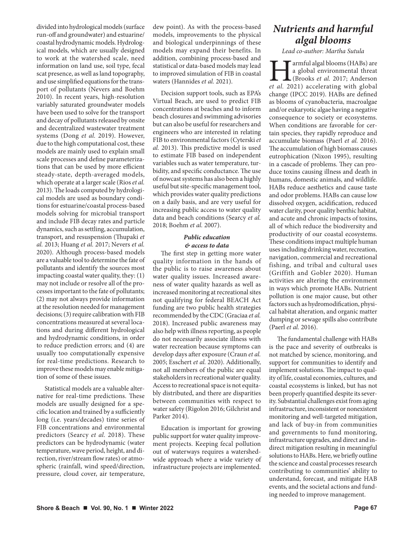divided into hydrological models (surface run-off and groundwater) and estuarine/ coastal hydrodynamic models. Hydrological models, which are usually designed to work at the watershed scale, need information on land use, soil type, fecal scat presence, as well as land topography, and use simplified equations for the transport of pollutants (Nevers and Boehm 2010). In recent years, high-resolution variably saturated groundwater models have been used to solve for the transport and decay of pollutants released by onsite and decentralized wastewater treatment systems (Dong *et al.* 2019). However, due to the high computational cost, these models are mainly used to explain small scale processes and define parameterizations that can be used by more efficient steady-state, depth-averaged models, which operate at a larger scale (Rios *et al.* 2013). The loads computed by hydrological models are used as boundary conditions for estuarine/coastal process-based models solving for microbial transport and include FIB decay rates and particle dynamics, such as settling, accumulation, transport, and resuspension (Thupaki *et al.* 2013; Huang *et al.* 2017; Nevers *et al.* 2020). Although process-based models are a valuable tool to determine the fate of pollutants and identify the sources most impacting coastal water quality, they: (1) may not include or resolve all of the processes important to the fate of pollutants; (2) may not always provide information at the resolution needed for management decisions; (3) require calibration with FIB concentrations measured at several locations and during different hydrological and hydrodynamic conditions, in order to reduce prediction errors; and (4) are usually too computationally expensive for real-time predictions. Research to improve these models may enable mitigation of some of these issues.

Statistical models are a valuable alternative for real-time predictions. These models are usually designed for a specific location and trained by a sufficiently long (i.e. years/decades) time series of FIB concentrations and environmental predictors (Searcy *et al.* 2018). These predictors can be hydrodynamic (water temperature, wave period, height, and direction, river/stream flow rates) or atmospheric (rainfall, wind speed/direction, pressure, cloud cover, air temperature,

dew point). As with the process-based models, improvements to the physical and biological underpinnings of these models may expand their benefits. In addition, combining process-based and statistical or data-based models may lead to improved simulation of FIB in coastal waters (Hannides *et al.* 2021).

Decision support tools, such as EPA's Virtual Beach, are used to predict FIB concentrations at beaches and to inform beach closures and swimming advisories but can also be useful for researchers and engineers who are interested in relating FIB to environmental factors (Cyterski *et al.* 2013). This predictive model is used to estimate FIB based on independent variables such as water temperature, turbidity, and specific conductance. The use of nowcast systems has also been a highly useful but site-specific management tool, which provides water quality predictions on a daily basis, and are very useful for increasing public access to water quality data and beach conditions (Searcy *et al.* 2018; Boehm *et al.* 2007).

# *Public education & access to data*

The first step in getting more water quality information in the hands of the public is to raise awareness about water quality issues. Increased awareness of water quality hazards as well as increased monitoring at recreational sites not qualifying for federal BEACH Act funding are two public health strategies recommended by the CDC (Graciaa *et al.* 2018). Increased public awareness may also help with illness reporting, as people do not necessarily associate illness with water recreation because symptoms can develop days after exposure (Craun *et al.* 2005; Esschert *et al.* 2020). Additionally, not all members of the public are equal stakeholders in recreational water quality. Access to recreational space is not equitably distributed, and there are disparities between communities with respect to water safety (Rigolon 2016; Gilchrist and Parker 2014).

Education is important for growing public support for water quality improvement projects. Keeping fecal pollution out of waterways requires a watershedwide approach where a wide variety of infrastructure projects are implemented.

# *Nutrients and harmful algal blooms*

*Lead co-author: Martha Sutula*

**Farmful algal blooms (HABs) are** a global environmental threat (Brooks *et al.* 2017; Anderson *et al.* 2021) accelerating with global a global environmental threat (Brooks *et al.* 2017; Anderson change (IPCC 2019). HABs are defined as blooms of cyanobacteria, macroalgae and/or eukaryotic algae having a negative consequence to society or ecosystems. When conditions are favorable for certain species, they rapidly reproduce and accumulate biomass (Paerl *et al.* 2016). The accumulation of high biomass causes eutrophication (Nixon 1995), resulting in a cascade of problems. They can produce toxins causing illness and death in humans, domestic animals, and wildlife. HABs reduce aesthetics and cause taste and odor problems. HABs can cause low dissolved oxygen, acidification, reduced water clarity, poor quality benthic habitat, and acute and chronic impacts of toxins, all of which reduce the biodiversity and productivity of our coastal ecosystems. These conditions impact multiple human uses including drinking water, recreation, navigation, commercial and recreational fishing, and tribal and cultural uses (Griffith and Gobler 2020). Human activities are altering the environment in ways which promote HABs. Nutrient pollution is one major cause, but other factors such as hydromodification, physical habitat alteration, and organic matter dumping or sewage spills also contribute (Paerl *et al.* 2016).

The fundamental challenge with HABs is the pace and severity of outbreaks is not matched by science, monitoring, and support for communities to identify and implement solutions. The impact to quality of life, coastal economies, cultures, and coastal ecosystems is linked, but has not been properly quantified despite its severity. Substantial challenges exist from aging infrastructure, inconsistent or nonexistent monitoring and well-targeted mitigation, and lack of buy-in from communities and governments to fund monitoring, infrastructure upgrades, and direct and indirect mitigation resulting in meaningful solutions to HABs. Here, we briefly outline the science and coastal processes research contributing to communities' ability to understand, forecast, and mitigate HAB events, and the societal actions and funding needed to improve management.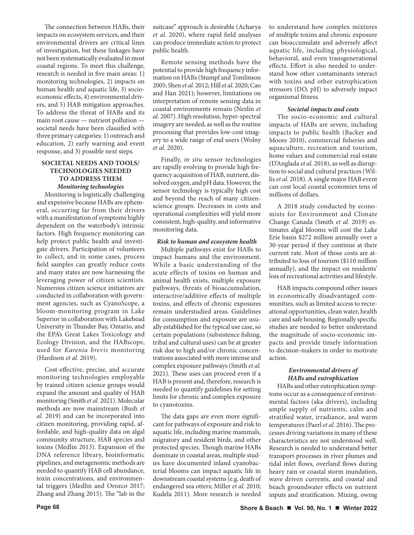The connection between HABs, their impacts on ecosystem services, and their environmental drivers are critical lines of investigation, but these linkages have not been systematically evaluated in most coastal regions. To meet this challenge, research is needed in five main areas: 1) monitoring technologies, 2) impacts on human health and aquatic life, 3) socioeconomic effects, 4) environmental drivers, and 5) HAB mitigation approaches. To address the threat of HABs and its main root cause — nutrient pollution societal needs have been classified with three primary categories: 1) outreach and education, 2) early warning and event response, and 3) possible next steps.

## **SOCIETAL NEEDS AND TOOLS/ TECHNOLOGIES NEEDED TO ADDRESS THEM**  *Monitoring technologies*

Monitoring is logistically challenging and expensive because HABs are ephemeral, occurring far from their drivers with a manifestation of symptoms highly dependent on the waterbody's intrinsic factors. High frequency monitoring can help protect public health and investigate drivers. Participation of volunteers to collect, and in some cases, process field samples can greatly reduce costs and many states are now harnessing the leveraging power of citizen scientists. Numerous citizen science initiatives are conducted in collaboration with government agencies, such as CyanoScope, a bloom-monitoring program in Lake Superior in collaboration with Lakehead University in Thunder Bay, Ontario, and the EPA's Great Lakes Toxicology and Ecology Division, and the HABscope, used for *Karenia brevis* monitoring (Hardison *et al.* 2019).

Cost-effective, precise, and accurate monitoring technologies employable by trained citizen science groups would expand the amount and quality of HAB monitoring (Smith *et al.* 2021). Molecular methods are now mainstream (Bush *et al.* 2019) and can be incorporated into citizen monitoring, providing rapid, affordable, and high-quality data on algal community structure, HAB species and toxins (Medlin 2013). Expansion of the DNA reference library, bioinformatic pipelines, and metagenomic methods are needed to quantify HAB cell abundance, toxin concentrations, and environmental triggers (Medlin and Orozco 2017; Zhang and Zhang 2015). The "lab in the

suitcase" approach is desirable (Acharya *et al.* 2020), where rapid field analyses can produce immediate action to protect public health.

Remote sensing methods have the potential to provide high frequency information on HABs (Stumpf and Tomlinson 2005; Shen *et al.* 2012; Hill *et al.* 2020; Cao and Han 2021); however, limitations on interpretation of remote sensing data in coastal environments remain (Nezlin *et al.* 2007). High resolution, hyper-spectral imagery are needed, as well as the routine processing that provides low-cost imagery to a wide range of end users (Wolny *et al.* 2020).

Finally, *in situ* sensor technologies are rapidly evolving to provide high frequency acquisition of HAB, nutrient, dissolved oxygen, and pH data. However, the sensor technology is typically high cost and beyond the reach of many citizenscience groups. Decreases in costs and operational complexities will yield more consistent, high-quality, and informative monitoring data.

#### *Risk to human and ecosystem health*

Multiple pathways exist for HABs to impact humans and the environment. While a basic understanding of the acute effects of toxins on human and animal health exists, multiple exposure pathways, threats of bioaccumulation, interactive/additive effects of multiple toxins, and effects of chronic exposures remain understudied areas. Guidelines for consumption and exposure are usually established for the typical use case, so certain populations (subsistence fishing, tribal and cultural uses) can be at greater risk due to high and/or chronic concentrations associated with more intense and complex exposure pathways (Smith *et al.* 2021). These uses can proceed even if a HAB is present and, therefore, research is needed to quantify guidelines for setting limits for chronic and complex exposure to cyanotoxins.

The data gaps are even more significant for pathways of exposure and risk to aquatic life, including marine mammals, migratory and resident birds, and other protected species. Though marine HABs dominate in coastal areas, multiple studies have documented inland cyanobacterial blooms can impact aquatic life in downstream coastal systems (e.g. death of endangered sea otters; Miller *et al.* 2010; Kudela 2011). More research is needed to understand how complex mixtures of multiple toxins and chronic exposure can bioaccumulate and adversely affect aquatic life, including physiological, behavioral, and even transgenerational effects. Effort is also needed to understand how other contaminants interact with toxins and other eutrophication stressors (DO, pH) to adversely impact organismal fitness.

#### *Societal impacts and costs*

The socio-economic and cultural impacts of HABs are severe, including impacts to public health (Backer and Moore 2010), commercial fisheries and aquaculture, recreation and tourism, home values and commercial real estate (D'Anglada *et al.* 2018), as well as disruption to social and cultural practices (Willis *et al.* 2018). A single major HAB event can cost local coastal economies tens of millions of dollars.

A 2018 study conducted by economists for Environment and Climate Change Canada (Smith *et al.* 2019) estimates algal blooms will cost the Lake Erie basin \$272 million annually over a 30-year period if they continue at their current rate. Most of those costs are attributed to loss of tourism (\$110 million annually), and the impact on residents' loss of recreational activities and lifestyle.

HAB impacts compound other issues in economically disadvantaged communities, such as limited access to recreational opportunities, clean water, health care and safe housing. Regionally specific studies are needed to better understand the magnitude of socio-economic impacts and provide timely information to decision-makers in order to motivate action.

# *Environmental drivers of HABs and eutrophication*

HABs and other eutrophication symptoms occur as a consequence of environmental factors (aka drivers), including ample supply of nutrients, calm and stratified water, irradiance, and warm temperatures (Paerl *et al.* 2016). The processes driving variations in many of these characteristics are not understood well. Research is needed to understand better transport processes in river plumes and tidal inlet flows, overland flows during heavy rain or coastal storm inundation, wave driven currents, and coastal and beach groundwater effects on nutrient inputs and stratification. Mixing, owing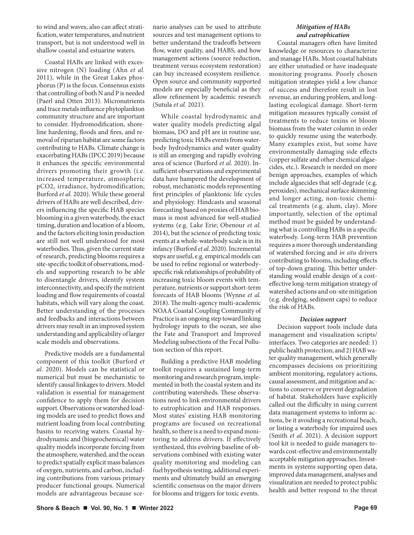to wind and waves, also can affect stratification, water temperatures, and nutrient transport, but is not understood well in shallow coastal and estuarine waters.

Coastal HABs are linked with excessive nitrogen (N) loading (Ahn *et al.* 2011), while in the Great Lakes phosphorus (P) is the focus. Consensus exists that controlling of both N and P is needed (Paerl and Otten 2013). Micronutrients and trace metals influence phytoplankton community structure and are important to consider. Hydromodification, shoreline hardening, floods and fires, and removal of riparian habitat are some factors contributing to HABs. Climate change is exacerbating HABs (IPCC 2019) because it enhances the specific environmental drivers promoting their growth (i.e. increased temperature, atmospheric pCO2, irradiance, hydromodification; Burford *et al.* 2020). While these general drivers of HABs are well described, drivers influencing the specific HAB species blooming in a given waterbody, the exact timing, duration and location of a bloom, and the factors eliciting toxin production are still not well understood for most waterbodies. Thus, given the current state of research, predicting blooms requires a site-specific toolkit of observations, models and supporting research to be able to disentangle drivers, identify system interconnectivity, and specify the nutrient loading and flow requirements of coastal habitats, which will vary along the coast. Better understanding of the processes and feedbacks and interactions between drivers may result in an improved system understanding and applicability of larger scale models and observations.

Predictive models are a fundamental component of this toolkit (Burford *et al.* 2020). Models can be statistical or numerical but must be mechanistic to identify causal linkages to drivers. Model validation is essential for management confidence to apply them for decision support. Observations or watershed loading models are used to predict flows and nutrient loading from local contributing basins to receiving waters. Coastal hydrodynamic and (biogeochemical) water quality models incorporate forcing from the atmosphere, watershed, and the ocean to predict spatially explicit mass balances of oxygen, nutrients, and carbon, including contributions from various primary producer functional groups. Numerical models are advantageous because scenario analyses can be used to attribute sources and test management options to better understand the tradeoffs between flow, water quality, and HABS, and how management actions (source reduction, treatment versus ecosystem restoration) can buy increased ecosystem resilience. Open source and community supported models are especially beneficial as they allow refinement by academic research (Sutula *et al.* 2021).

While coastal hydrodynamic and water quality models predicting algal biomass, DO and pH are in routine use, predicting toxic HABs events from waterbody hydrodynamics and water quality is still an emerging and rapidly evolving area of science (Burford *et al.* 2020). Insufficient observations and experimental data have hampered the development of robust, mechanistic models representing first principles of planktonic life cycles and physiology. Hindcasts and seasonal forecasting based on proxies of HAB biomass is most advanced for well-studied systems (e.g. Lake Erie; Obenour *et al.* 2014), but the science of predicting toxic events at a whole-waterbody scale is in its infancy (Burford *et al.* 2020). Incremental steps are useful, e.g. empirical models can be used to refine regional or waterbodyspecific risk relationships of probability of increasing toxic bloom events with temperature, nutrients or support short-term forecasts of HAB blooms (Wynne *et al.* 2018). The multi-agency multi-academic NOAA Coastal Coupling Community of Practice is an ongoing step toward linking hydrology inputs to the ocean, see also the Fate and Transport and Improved Modeling subsections of the Fecal Pollution section of this report.

Building a predictive HAB modeling toolkit requires a sustained long-term monitoring and research program, implemented in both the coastal system and its contributing watersheds. These observations need to link environmental drivers to eutrophication and HAB responses. Most states' existing HAB monitoring programs are focused on recreational health, so there is a need to expand monitoring to address drivers. If effectively synthesized, this evolving baseline of observations combined with existing water quality monitoring and modeling can fuel hypothesis testing, additional experiments and ultimately build an emerging scientific consensus on the major drivers for blooms and triggers for toxic events.

# *Mitigation of HABs and eutrophication*

Coastal managers often have limited knowledge or resources to characterize and manage HABs. Most coastal habitats are either unstudied or have inadequate monitoring programs. Poorly chosen mitigation strategies yield a low chance of success and therefore result in lost revenue, an enduring problem, and longlasting ecological damage. Short-term mitigation measures typically consist of treatments to reduce toxins or bloom biomass from the water column in order to quickly resume using the waterbody. Many examples exist, but some have environmentally damaging side effects (copper sulfate and other chemical algaecides, etc.). Research is needed on more benign approaches, examples of which include algaecides that self-degrade (e.g. peroxides), mechanical surface skimming and longer acting, non-toxic chemical treatments (e.g. alum, clay). More importantly, selection of the optimal method must be guided by understanding what is controlling HABs in a specific waterbody. Long-term HAB prevention requires a more thorough understanding of watershed forcing and *in situ* drivers contributing to blooms, including effects of top-down grazing. This better understanding would enable design of a costeffective long-term mitigation strategy of watershed actions and on-site mitigation (e.g. dredging, sediment caps) to reduce the risk of HABs.

#### *Decision support*

Decision support tools include data management and visualization scripts/ interfaces. Two categories are needed: 1) public health protection; and 2) HAB water quality management, which generally encompasses decisions on prioritizing ambient monitoring, regulatory actions, causal assessment, and mitigation and actions to conserve or prevent degradation of habitat. Stakeholders have explicitly called out the difficulty in using current data management systems to inform actions, be it avoiding a recreational beach, or listing a waterbody for impaired uses (Smith *et al.* 2021). A decision support tool kit is needed to guide managers towards cost-effective and environmentally acceptable mitigation approaches. Investments in systems supporting open data, improved data management, analyses and visualization are needed to protect public health and better respond to the threat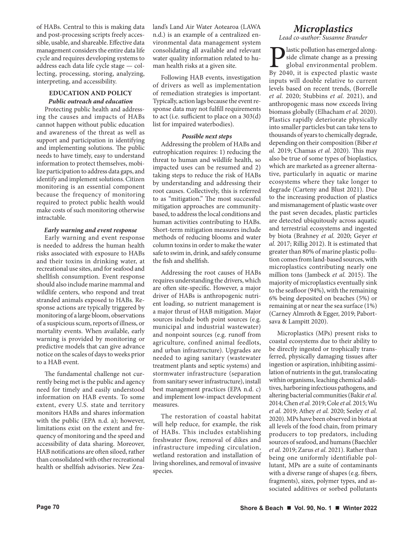of HABs. Central to this is making data and post-processing scripts freely accessible, usable, and shareable. Effective data management considers the entire data life cycle and requires developing systems to address each data life cycle stage — collecting, processing, storing, analyzing, interpreting, and accessibility.

# **EDUCATION AND POLICY**  *Public outreach and education*

Protecting public health and addressing the causes and impacts of HABs cannot happen without public education and awareness of the threat as well as support and participation in identifying and implementing solutions. The public needs to have timely, easy to understand information to protect themselves, mobilize participation to address data gaps, and identify and implement solutions. Citizen monitoring is an essential component because the frequency of monitoring required to protect public health would make costs of such monitoring otherwise intractable.

## *Early warning and event response*

Early warning and event response is needed to address the human health risks associated with exposure to HABs and their toxins in drinking water, at recreational use sites, and for seafood and shellfish consumption. Event response should also include marine mammal and wildlife centers, who respond and treat stranded animals exposed to HABs. Response actions are typically triggered by monitoring of a large bloom, observations of a suspicious scum, reports of illness, or mortality events. When available, early warning is provided by monitoring or predictive models that can give advance notice on the scales of days to weeks prior to a HAB event.

The fundamental challenge not currently being met is the public and agency need for timely and easily understood information on HAB events. To some extent, every U.S. state and territory monitors HABs and shares information with the public (EPA n.d. a); however, limitations exist on the extent and frequency of monitoring and the speed and accessibility of data sharing. Moreover, HAB notifications are often siloed, rather than consolidated with other recreational health or shellfish advisories. New Zealand's Land Air Water Aotearoa (LAWA n.d.) is an example of a centralized environmental data management system consolidating all available and relevant water quality information related to human health risks at a given site.

Following HAB events, investigation of drivers as well as implementation of remediation strategies is important. Typically, action lags because the event response data may not fulfill requirements to act (i.e. sufficient to place on a 303(d) list for impaired waterbodies).

## *Possible next steps*

Addressing the problem of HABs and eutrophication requires: 1) reducing the threat to human and wildlife health, so impacted uses can be resumed and 2) taking steps to reduce the risk of HABs by understanding and addressing their root causes. Collectively, this is referred to as "mitigation." The most successful mitigation approaches are communitybased, to address the local conditions and human activities contributing to HABs. Short-term mitigation measures include methods of reducing blooms and water column toxins in order to make the water safe to swim in, drink, and safely consume the fish and shellfish.

Addressing the root causes of HABs requires understanding the drivers, which are often site-specific. However, a major driver of HABs is anthropogenic nutrient loading, so nutrient management is a major thrust of HAB mitigation. Major sources include both point sources (e.g. municipal and industrial wastewater) and nonpoint sources (e.g. runoff from agriculture, confined animal feedlots, and urban infrastructure). Upgrades are needed to aging sanitary (wastewater treatment plants and septic systems) and stormwater infrastructure (separation from sanitary sewer infrastructure), install best management practices (EPA n.d. c) and implement low-impact development measures.

The restoration of coastal habitat will help reduce, for example, the risk of HABs. This includes establishing freshwater flow, removal of dikes and infrastructure impeding circulation, wetland restoration and installation of living shorelines, and removal of invasive species.

# *Microplastics*

*Lead co-author: Susanne Brander*

**P** lastic pollution has emerged along-<br>side climate change as a pressing<br>global environmental problem.<br>By 2040, it is expected plastic waste side climate change as a pressing global environmental problem. By 2040, it is expected plastic waste inputs will double relative to current levels based on recent trends, (Borrelle *et al.* 2020; Stubbins *et al.* 2021), and anthropogenic mass now exceeds living biomass globally (Elhacham *et al.* 2020). Plastics rapidly deteriorate physically into smaller particles but can take tens to thousands of years to chemically degrade, depending on their composition (Biber *et al.* 2019; Chamas *et al.* 2020). This may also be true of some types of bioplastics, which are marketed as a greener alternative, particularly in aquatic or marine ecosystems where they take longer to degrade (Carteny and Blust 2021). Due to the increasing production of plastics and mismanagement of plastic waste over the past seven decades, plastic particles are detected ubiquitously across aquatic and terrestrial ecosystems and ingested by biota (Brahney *et al.* 2020; Geyer *et al.* 2017; Rillig 2012). It is estimated that greater than 80% of marine plastic pollution comes from land-based sources, with microplastics contributing nearly one million tons (Jambeck *et al.* 2015). The majority of microplastics eventually sink to the seafloor (94%), with the remaining 6% being deposited on beaches (5%) or remaining at or near the sea surface (1%) (Carney Almroth & Egger, 2019; Pabortsava & Lampitt 2020).

Microplastics (MPs) present risks to coastal ecosystems due to their ability to be directly ingested or trophically transferred, physically damaging tissues after ingestion or aspiration, inhibiting assimilation of nutrients in the gut, translocating within organisms, leaching chemical additives, harboring infectious pathogens, and altering bacterial communities (Bakir *et al.* 2014; Chen *et al.* 2019; Cole *et al.* 2015; Wu *et al.* 2019; Athey *et al.* 2020; Seeley *et al.* 2020). MPs have been observed in biota at all levels of the food chain, from primary producers to top predators, including sources of seafood, and humans (Baechler *et al.* 2019; Zarus *et al.* 2021). Rather than being one uniformly identifiable pollutant, MPs are a suite of contaminants with a diverse range of shapes (e.g. fibers, fragments), sizes, polymer types, and associated additives or sorbed pollutants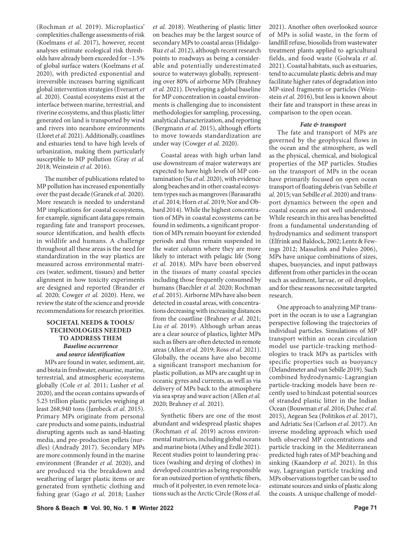(Rochman *et al.* 2019). Microplastics' complexities challenge assessments of risk (Koelmans *et al.* 2017), however, recent analyses estimate ecological risk thresholds have already been exceeded for ~1.5% of global surface waters (Koelmans *et al.* 2020), with predicted exponential and irreversible increases barring significant global intervention strategies (Everaert *et al.* 2020). Coastal ecosystems exist at the interface between marine, terrestrial, and riverine ecosystems, and thus plastic litter generated on land is transported by wind and rivers into nearshore environments (Lloret *et al.* 2021). Additionally, coastlines and estuaries tend to have high levels of urbanization, making them particularly susceptible to MP pollution (Gray *et al.* 2018; Weinstein *et al.* 2016).

The number of publications related to MP pollution has increased exponentially over the past decade (Granek *et al.* 2020). More research is needed to understand MP implications for coastal ecosystems, for example, significant data gaps remain regarding fate and transport processes, source identification, and health effects in wildlife and humans. A challenge throughout all these areas is the need for standardization in the way plastics are measured across environmental matrices (water, sediment, tissues) and better alignment in how toxicity experiments are designed and reported (Brander *et al.* 2020; Cowger *et al.* 2020). Here, we review the state of the science and provide recommendations for research priorities.

# **SOCIETAL NEEDS & TOOLS/ TECHNOLOGIES NEEDED TO ADDRESS THEM**  *Baseline occurrence and source identification*

MPs are found in water, sediment, air, and biota in freshwater, estuarine, marine, terrestrial, and atmospheric ecosystems globally (Cole *et al.* 2011; Lusher *et al.* 2020), and the ocean contains upwards of 5.25 trillion plastic particles weighing at least 268,940 tons (Jambeck *et al.* 2015). Primary MPs originate from personal care products and some paints, industrial disrupting agents such as sand-blasting media, and pre-production pellets (nurdles) (Andrady 2017). Secondary MPs are more commonly found in the marine environment (Brander *et al.* 2020), and are produced via the breakdown and weathering of larger plastic items or are generated from synthetic clothing and fishing gear (Gago *et al.* 2018; Lusher

*et al.* 2018). Weathering of plastic litter on beaches may be the largest source of secondary MPs to coastal areas (Hidalgo-Ruz *et al.* 2012), although recent research points to roadways as being a considerable and potentially underestimated source to waterways globally, representing over 80% of airborne MPs (Brahney *et al.* 2021). Developing a global baseline for MP concentration in coastal environments is challenging due to inconsistent methodologies for sampling, processing, analytical characterization, and reporting (Bergmann *et al.* 2015), although efforts to move towards standardization are under way (Cowger *et al.* 2020).

Coastal areas with high urban land use downstream of major waterways are expected to have high levels of MP contamination (Su *et al.* 2020), with evidence along beaches and in other coastal ecosystem types such as mangroves (Barasarathi *et al.* 2014; Horn *et al.* 2019; Nor and Obbard 2014). While the highest concentration of MPs in coastal ecosystems can be found in sediments, a significant proportion of MPs remain buoyant for extended periods and thus remain suspended in the water column where they are more likely to interact with pelagic life (Song *et al.* 2018). MPs have been observed in the tissues of many coastal species including those frequently consumed by humans (Baechler *et al.* 2020; Rochman *et al.* 2015). Airborne MPs have also been detected in coastal areas, with concentrations decreasing with increasing distances from the coastline (Brahney *et al.* 2021; Liu *et al.* 2019). Although urban areas are a clear source of plastics, lighter MPs such as fibers are often detected in remote areas (Allen *et al.* 2019; Ross *et al.* 2021). Globally, the oceans have also become a significant transport mechanism for plastic pollution, as MPs are caught up in oceanic gyres and currents, as well as via delivery of MPs back to the atmosphere via sea spray and wave action (Allen *et al.* 2020; Brahney *et al.* 2021).

Synthetic fibers are one of the most abundant and widespread plastic shapes (Rochman *et al.* 2019) across environmental matrices, including global oceans and marine biota (Athey and Erdle 2021). Recent studies point to laundering practices (washing and drying of clothes) in developed countries as being responsible for an outsized portion of synthetic fibers, much of it polyester, in even remote locations such as the Arctic Circle (Ross *et al.* 2021). Another often overlooked source of MPs is solid waste, in the form of landfill refuse, biosolids from wastewater treatment plants applied to agricultural fields, and food waste (Golwala *et al.* 2021). Coastal habitats, such as estuaries, tend to accumulate plastic debris and may facilitate higher rates of degradation into MP-sized fragments or particles (Weinstein *et al.* 2016), but less is known about their fate and transport in these areas in comparison to the open ocean.

### *Fate & transport*

The fate and transport of MPs are governed by the geophysical flows in the ocean and the atmosphere, as well as the physical, chemical, and biological properties of the MP particles. Studies on the transport of MPs in the ocean have primarily focused on open ocean transport of floating debris (van Sebille *et al.* 2015; van Sebille *et al.* 2020) and transport dynamics between the open and coastal oceans are not well understood. While research in this area has benefitted from a fundamental understanding of hydrodynamics and sediment transport (Elfrink and Baldock, 2002; Lentz & Fewings 2012; Masselink and Puleo 2006), MPs have unique combinations of sizes, shapes, buoyancies, and input pathways different from other particles in the ocean such as sediment, larvae, or oil droplets, and for these reasons necessitate targeted research.

One approach to analyzing MP transport in the ocean is to use a Lagrangian perspective following the trajectories of individual particles. Simulations of MP transport within an ocean circulation model use particle-tracking methodologies to track MPs as particles with specific properties such as buoyancy (Delandmeter and van Sebille 2019). Such combined hydrodynamic-Lagrangian particle-tracking models have been recently used to hindcast potential sources of stranded plastic litter in the Indian Ocean (Bouwman *et al.* 2016; Duhec *et al.* 2015), Aegean Sea (Politikos *et al.* 2017), and Adriatic Sea (Carlson *et al.* 2017). An inverse modeling approach which used both observed MP concentrations and particle tracking in the Mediterranean predicted high rates of MP beaching and sinking (Kaandorp *et al.* 2021). In this way, Lagrangian particle tracking and MPs observations together can be used to estimate sources and sinks of plastic along the coasts. A unique challenge of model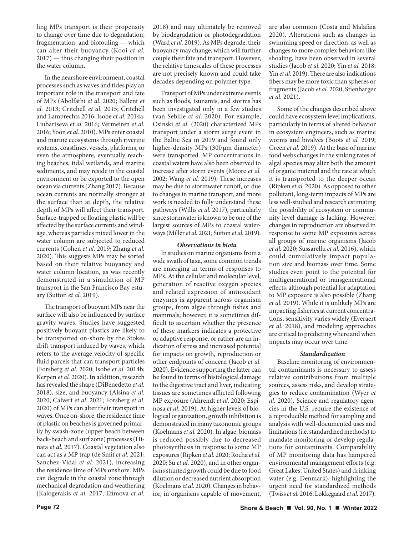ling MPs transport is their propensity to change over time due to degradation, fragmentation, and biofouling — which can alter their buoyancy (Kooi *et al.* 2017) — thus changing their position in the water column.

In the nearshore environment, coastal processes such as waves and tides play an important role in the transport and fate of MPs (Abolfathi *et al.* 2020; Ballent *et al.* 2013; Critchell *et al.* 2015; Critchell and Lambrechts 2016; Isobe *et al.* 2014a; Liubartseva *et al.* 2016; Vermeiren *et al.* 2016; Yoon *et al.* 2010). MPs enter coastal and marine ecosystems through riverine systems, coastlines, vessels, platforms, or even the atmosphere, eventually reaching beaches, tidal wetlands, and marine sediments, and may reside in the coastal environment or be exported to the open ocean via currents (Zhang 2017). Because ocean currents are normally stronger at the surface than at depth, the relative depth of MPs will affect their transport. Surface-trapped or floating plastic will be affected by the surface currents and windage, whereas particles mixed lower in the water column are subjected to reduced currents (Cohen *et al.* 2019; Zhang *et al.* 2020). This suggests MPs may be sorted based on their relative buoyancy and water column location, as was recently demonstrated in a simulation of MP transport in the San Francisco Bay estuary (Sutton *et al.* 2019).

The transport of buoyant MPs near the surface will also be influenced by surface gravity waves. Studies have suggested positively buoyant plastics are likely to be transported on-shore by the Stokes drift transport induced by waves, which refers to the average velocity of specific fluid parcels that can transport particles (Forsberg *et al.* 2020; Isobe *et al.* 2014b; Kerpen *et al.* 2020). In addition, research has revealed the shape (DiBenedetto *et al.* 2018), size, and buoyancy (Alsina *et al.* 2020; Calvert *et al.* 2021; Forsberg *et al.* 2020) of MPs can alter their transport in waves. Once on-shore, the residence time of plastic on beaches is governed primarily by swash-zone (upper beach between back-beach and surf zone) processes (Hinata *et al.* 2017). Coastal vegetation also can act as a MP trap (de Smit *et al.* 2021; Sanchez-Vidal *et al.* 2021), increasing the residence time of MPs onshore. MPs can degrade in the coastal zone through mechanical degradation and weathering (Kalogerakis *et al.* 2017; Efimova *et al.*

2018) and may ultimately be removed by biodegradation or photodegradation (Ward *et al.* 2019). As MPs degrade, their buoyancy may change, which will further couple their fate and transport. However, the relative timescales of these processes are not precisely known and could take decades depending on polymer type.

Transport of MPs under extreme events such as floods, tsunamis, and storms has been investigated only in a few studies (van Sebille *et al.* 2020). For example, Osinski *et al.* (2020) characterized MPs transport under a storm surge event in the Baltic Sea in 2019 and found only higher-density MPs (300 µm diameter) were transported. MP concentrations in coastal waters have also been observed to increase after storm events (Moore *et al.* 2002; Wang *et al.* 2019). These increases may be due to stormwater runoff, or due to changes in marine transport, and more work is needed to fully understand these pathways (Willis *et al.* 2017), particularly since stormwater is known to be one of the largest sources of MPs to coastal waterways (Miller *et al.* 2021; Sutton *et al.* 2019).

#### *Observations in biota*

In studies on marine organisms from a wide swath of taxa, some common trends are emerging in terms of responses to MPs. At the cellular and molecular level, generation of reactive oxygen species and related expression of antioxidant enzymes is apparent across organism groups, from algae through fishes and mammals; however, it is sometimes difficult to ascertain whether the presence of these markers indicates a protective or adaptive response, or rather are an indication of stress and increased potential for impacts on growth, reproduction or other endpoints of concern (Jacob *et al.* 2020). Evidence supporting the latter can be found in terms of histological damage to the digestive tract and liver, indicating tissues are sometimes afflicted following MP exposure (Ahrendt *et al.* 2020; Espinosa *et al.* 2019). At higher levels of biological organization, growth inhibition is demonstrated in many taxonomic groups (Koelmans *et al.* 2020). In algae, biomass is reduced possibly due to decreased photosynthesis in response to some MP exposures (Ripken *et al.* 2020; Rocha *et al.* 2020; Su *et al.* 2020), and in other organisms stunted growth could be due to food dilution or decreased nutrient absorption (Koelmans *et al.* 2020). Changes in behavior, in organisms capable of movement,

are also common (Costa and Malafaia 2020). Alterations such as changes in swimming speed or direction, as well as changes to more complex behaviors like shoaling, have been observed in several studies (Jacob *et al.* 2020; Yin *et al.* 2018; Yin *et al.* 2019). There are also indications fibers may be more toxic than spheres or fragments (Jacob *et al.* 2020; Stienbarger *et al.* 2021).

Some of the changes described above could have ecosystem level implications, particularly in terms of altered behavior in ecosystem engineers, such as marine worms and bivalves (Boots *et al.* 2019; Green *et al.* 2019). At the base of marine food webs changes in the sinking rates of algal species may alter both the amount of organic material and the rate at which it is transported to the deeper ocean (Ripken *et al.* 2020). As opposed to other pollutant, long-term impacts of MPs are less well-studied and research estimating the possibility of ecosystem or community level damage is lacking. However, changes in reproduction are observed in response to some MP exposures across all groups of marine organisms (Jacob *et al.* 2020; Sussarellu *et al.* 2016), which could cumulatively impact population size and biomass over time. Some studies even point to the potential for multigenerational or transgenerational effects, although potential for adaptation to MP exposure is also possible (Zhang *et al.* 2019). While it is unlikely MPs are impacting fisheries at current concentrations, sensitivity varies widely (Everaert *et al.* 2018), and modeling approaches are critical to predicting where and when impacts may occur over time.

#### *Standardization*

Baseline monitoring of environmental contaminants is necessary to assess relative contributions from multiple sources, assess risks, and develop strategies to reduce contamination (Wyer *et al.* 2020). Science and regulatory agencies in the U.S. require the existence of a reproducible method for sampling and analysis with well-documented uses and limitations (i.e. standardized methods) to mandate monitoring or develop regulations for contaminants. Comparability of MP monitoring data has hampered environmental management efforts (e.g. Great Lakes, United States) and drinking water (e.g. Denmark), highlighting the urgent need for standardized methods (Twiss *et al.* 2016; Løkkegaard *et al.* 2017).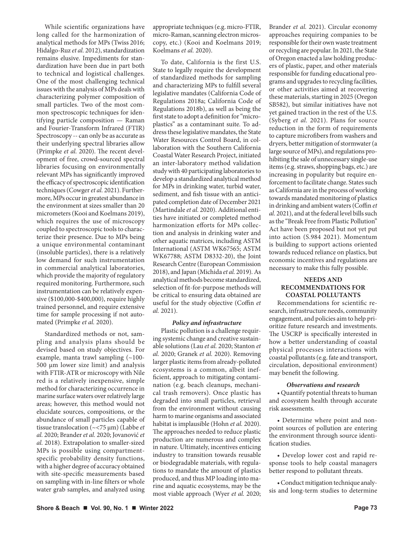While scientific organizations have long called for the harmonization of analytical methods for MPs (Twiss 2016; Hidalgo-Ruz *et al.* 2012), standardization remains elusive. Impediments for standardization have been due in part both to technical and logistical challenges. One of the most challenging technical issues with the analysis of MPs deals with characterizing polymer composition of small particles. Two of the most common spectroscopic techniques for identifying particle composition — Raman and Fourier-Transform Infrared (FTIR) Spectroscopy -- can only be as accurate as their underlying spectral libraries allow (Primpke *et al.* 2020). The recent development of free, crowd-sourced spectral libraries focusing on environmentally relevant MPs has significantly improved the efficacy of spectroscopic identification techniques (Cowger *et al.* 2021). Furthermore, MPs occur in greatest abundance in the environment at sizes smaller than 20 micrometers (Kooi and Koelmans 2019), which requires the use of microscopy coupled to spectroscopic tools to characterize their presence. Due to MPs being a unique environmental contaminant (insoluble particles), there is a relatively low demand for such instrumentation in commercial analytical laboratories, which provide the majority of regulatory required monitoring. Furthermore, such instrumentation can be relatively expensive (\$100,000-\$400,000), require highly trained personnel, and require extensive time for sample processing if not automated (Primpke *et al.* 2020).

Standardized methods or not, sampling and analysis plans should be devised based on study objectives. For example, manta trawl sampling (~100- 500 µm lower size limit) and analysis with FTIR-ATR or microscopy with Nile red is a relatively inexpensive, simple method for characterizing occurrence in marine surface waters over relatively large areas; however, this method would not elucidate sources, compositions, or the abundance of small particles capable of tissue translocation (~<75 µm) (Labbe *et al.* 2020; Brander *et al.* 2020; Jovanović *et al.* 2018). Extrapolation to smaller-sized MPs is possible using compartmentspecific probability density functions, with a higher degree of accuracy obtained with site-specific measurements based on sampling with in-line filters or whole water grab samples, and analyzed using

appropriate techniques (e.g. micro-FTIR, micro-Raman, scanning electron microscopy, etc.) (Kooi and Koelmans 2019; Koelmans *et al.* 2020).

To date, California is the first U.S. State to legally require the development of standardized methods for sampling and characterizing MPs to fulfill several legislative mandates (California Code of Regulations 2018a; California Code of Regulations 2018b), as well as being the first state to adopt a definition for "microplastics" as a contaminant suite. To address these legislative mandates, the State Water Resources Control Board, in collaboration with the Southern California Coastal Water Research Project, initiated an inter-laboratory method validation study with 40 participating laboratories to develop a standardized analytical method for MPs in drinking water, turbid water, sediment, and fish tissue with an anticipated completion date of December 2021 (Martindale *et al.* 2020). Additional entities have initiated or completed method harmonization efforts for MPs collection and analysis in drinking water and other aquatic matrices, including ASTM International (ASTM WK67565; ASTM WK67788; ASTM D8332-20), the Joint Research Centre (European Commission 2018), and Japan (Michida *et al.* 2019). As analytical methods become standardized, selection of fit-for-purpose methods will be critical to ensuring data obtained are useful for the study objective (Coffin *et al.* 2021).

#### *Policy and infrastructure*

Plastic pollution is a challenge requiring systemic change and creative sustainable solutions (Lau *et al.* 2020; Stanton *et al.* 2020; Granek *et al.* 2020). Removing larger plastic items from already-polluted ecosystems is a common, albeit inefficient, approach to mitigating contamination (e.g. beach cleanups, mechanical trash removers). Once plastic has degraded into small particles, retrieval from the environment without causing harm to marine organisms and associated habitat is implausible (Hohn *et al.* 2020). The approaches needed to reduce plastic production are numerous and complex in nature. Ultimately, incentives enticing industry to transition towards reusable or biodegradable materials, with regulations to mandate the amount of plastics produced, and thus MP loading into marine and aquatic ecosystems, may be the most viable approach (Wyer *et al.* 2020; Brander *et al.* 2021). Circular economy approaches requiring companies to be responsible for their own waste treatment or recycling are popular. In 2021, the State of Oregon enacted a law holding producers of plastic, paper, and other materials responsible for funding educational programs and upgrades to recycling facilities, or other activities aimed at recovering these materials, starting in 2025 (Oregon SB582), but similar initiatives have not yet gained traction in the rest of the U.S. (Syberg *et al.* 2021). Plans for source reduction in the form of requirements to capture microfibers from washers and dryers, better mitigation of stormwater (a large source of MPs), and regulations prohibiting the sale of unnecessary single-use items (e.g. straws, shopping bags, etc.) are increasing in popularity but require enforcement to facilitate change. States such as California are in the process of working towards mandated monitoring of plastics in drinking and ambient waters (Coffin *et al.* 2021), and at the federal level bills such as the "Break Free from Plastic Pollution" Act have been proposed but not yet put into action (S.984 2021). Momentum is building to support actions oriented towards reduced reliance on plastics, but economic incentives and regulations are necessary to make this fully possible.

## **NEEDS AND RECOMMENDATIONS FOR COASTAL POLLUTANTS**

Recommendations for scientific research, infrastructure needs, community engagement, and policies aim to help prioritize future research and investments. The USCRP is specifically interested in how a better understanding of coastal physical processes interactions with coastal pollutants (e.g. fate and transport, circulation, depositional environment) may benefit the following.

#### *Observations and research*

• Quantify potential threats to human and ecosystem health through accurate risk assessments.

• Determine where point and nonpoint sources of pollution are entering the environment through source identification studies.

• Develop lower cost and rapid response tools to help coastal managers better respond to pollutant threats.

• Conduct mitigation technique analysis and long-term studies to determine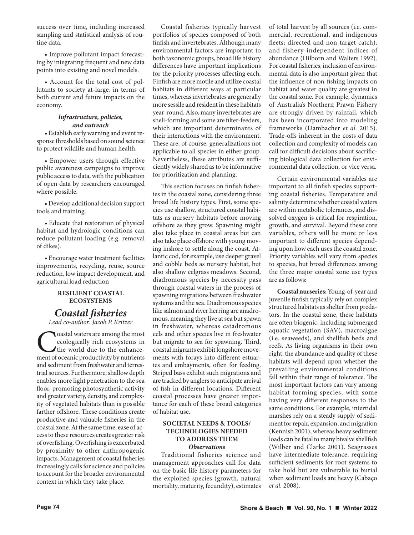success over time, including increased sampling and statistical analysis of routine data.

• Improve pollutant impact forecasting by integrating frequent and new data points into existing and novel models.

• Account for the total cost of pollutants to society at-large, in terms of both current and future impacts on the economy.

#### *Infrastructure, policies, and outreach*

• Establish early warning and event response thresholds based on sound science to protect wildlife and human health.

• Empower users through effective public awareness campaigns to improve public access to data, with the publication of open data by researchers encouraged where possible.

• Develop additional decision support tools and training.

• Educate that restoration of physical habitat and hydrologic conditions can reduce pollutant loading (e.g. removal of dikes).

• Encourage water treatment facilities improvements, recycling, reuse, source reduction, low impact development, and agricultural load reduction

#### **RESILIENT COASTAL ECOSYSTEMS**

# *Coastal fisheries*

*Lead co-author: Jacob P. Kritzer*

**Coastal waters are among the most** ecologically rich ecosystems in the world due to the enhancement of oceanic productivity by nutrients ecologically rich ecosystems in the world due to the enhanceand sediment from freshwater and terrestrial sources. Furthermore, shallow depth enables more light penetration to the sea floor, promoting photosynthetic activity and greater variety, density, and complexity of vegetated habitats than is possible farther offshore. These conditions create productive and valuable fisheries in the coastal zone. At the same time, ease of access to these resources creates greater risk of overfishing. Overfishing is exacerbated by proximity to other anthropogenic impacts. Management of coastal fisheries increasingly calls for science and policies to account for the broader environmental context in which they take place.

Coastal fisheries typically harvest portfolios of species composed of both finfish and invertebrates. Although many environmental factors are important to both taxonomic groups, broad life history differences have important implications for the priority processes affecting each. Finfish are more motile and utilize coastal habitats in different ways at particular times, whereas invertebrates are generally more sessile and resident in these habitats year-round. Also, many invertebrates are shell-forming and some are filter-feeders, which are important determinants of their interactions with the environment. These are, of course, generalizations not applicable to all species in either group. Nevertheless, these attributes are sufficiently widely shared as to be informative for prioritization and planning.

This section focuses on finfish fisheries in the coastal zone, considering three broad life history types. First, some species use shallow, structured coastal habitats as nursery habitats before moving offshore as they grow. Spawning might also take place in coastal areas but can also take place offshore with young moving inshore to settle along the coast. Atlantic cod, for example, use deeper gravel and cobble beds as nursery habitat, but also shallow eelgrass meadows. Second, diadromous species by necessity pass through coastal waters in the process of spawning migrations between freshwater systems and the sea. Diadromous species like salmon and river herring are anadromous, meaning they live at sea but spawn in freshwater, whereas catadromous eels and other species live in freshwater but migrate to sea for spawning. Third, coastal migrants exhibit longshore movements with forays into different estuaries and embayments, often for feeding. Striped bass exhibit such migrations and are tracked by anglers to anticipate arrival of fish in different locations. Different coastal processes have greater importance for each of these broad categories of habitat use.

# **SOCIETAL NEEDS & TOOLS/ TECHNOLOGIES NEEDED TO ADDRESS THEM** *Observations*

Traditional fisheries science and management approaches call for data on the basic life history parameters for the exploited species (growth, natural mortality, maturity, fecundity), estimates of total harvest by all sources (i.e. commercial, recreational, and indigenous fleets; directed and non-target catch), and fishery-independent indices of abundance (Hilborn and Walters 1992). For coastal fisheries, inclusion of environmental data is also important given that the influence of non-fishing impacts on habitat and water quality are greatest in the coastal zone. For example, dynamics of Australia's Northern Prawn Fishery are strongly driven by rainfall, which has been incorporated into modeling frameworks (Dambacher *et al.* 2015). Trade-offs inherent in the costs of data collection and complexity of models can call for difficult decisions about sacrificing biological data collection for environmental data collection, or vice versa.

Certain environmental variables are important to all finfish species supporting coastal fisheries. Temperature and salinity determine whether coastal waters are within metabolic tolerances, and dissolved oxygen is critical for respiration, growth, and survival. Beyond these core variables, others will be more or less important to different species depending upon how each uses the coastal zone. Priority variables will vary from species to species, but broad differences among the three major coastal zone use types are as follows:

**Coastal nurseries:** Young-of-year and juvenile finfish typically rely on complex structured habitats as shelter from predators. In the coastal zone, these habitats are often biogenic, including submerged aquatic vegetation (SAV), macroalgae (i.e. seaweeds), and shellfish beds and reefs. As living organisms in their own right, the abundance and quality of these habitats will depend upon whether the prevailing environmental conditions fall within their range of tolerance. The most important factors can vary among habitat-forming species, with some having very different responses to the same conditions. For example, intertidal marshes rely on a steady supply of sediment for repair, expansion, and migration (Kennish 2001), whereas heavy sediment loads can be fatal to many bivalve shellfish (Wilber and Clarke 2001). Seagrasses have intermediate tolerance, requiring sufficient sediments for root systems to take hold but are vulnerable to burial when sediment loads are heavy (Cabaço *et al.* 2008).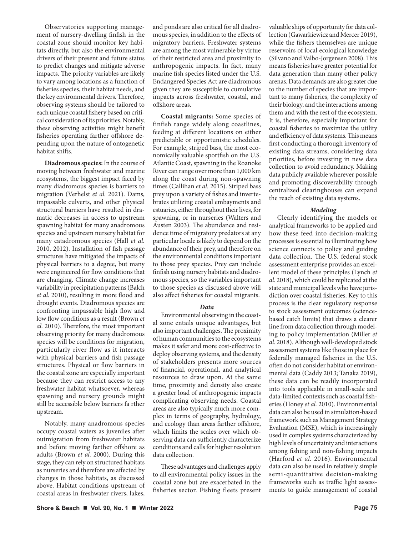Observatories supporting management of nursery-dwelling finfish in the coastal zone should monitor key habitats directly, but also the environmental drivers of their present and future status to predict changes and mitigate adverse impacts. The priority variables are likely to vary among locations as a function of fisheries species, their habitat needs, and the key environmental drivers. Therefore, observing systems should be tailored to each unique coastal fishery based on critical consideration of its priorities. Notably, these observing activities might benefit fisheries operating farther offshore depending upon the nature of ontogenetic habitat shifts.

**Diadromous species:** In the course of moving between freshwater and marine ecosystems, the biggest impact faced by many diadromous species is barriers to migration (Verhelst *et al.* 2021). Dams, impassable culverts, and other physical structural barriers have resulted in dramatic decreases in access to upstream spawning habitat for many anadromous species and upstream nursery habitat for many catadromous species (Hall *et al.* 2010, 2012). Installation of fish passage structures have mitigated the impacts of physical barriers to a degree, but many were engineered for flow conditions that are changing. Climate change increases variability in precipitation patterns (Balch *et al.* 2010), resulting in more flood and drought events. Diadromous species are confronting impassable high flow and low flow conditions as a result (Brown *et al.* 2010). Therefore, the most important observing priority for many diadromous species will be conditions for migration, particularly river flow as it interacts with physical barriers and fish passage structures. Physical or flow barriers in the coastal zone are especially important because they can restrict access to any freshwater habitat whatsoever, whereas spawning and nursery grounds might still be accessible below barriers fa rther upstream.

Notably, many anadromous species occupy coastal waters as juveniles after outmigration from freshwater habitats and before moving farther offshore as adults (Brown *et al.* 2000). During this stage, they can rely on structured habitats as nurseries and therefore are affected by changes in those habitats, as discussed above. Habitat conditions upstream of coastal areas in freshwater rivers, lakes,

and ponds are also critical for all diadromous species, in addition to the effects of migratory barriers. Freshwater systems are among the most vulnerable by virtue of their restricted area and proximity to anthropogenic impacts. In fact, many marine fish species listed under the U.S. Endangered Species Act are diadromous given they are susceptible to cumulative impacts across freshwater, coastal, and offshore areas.

**Coastal migrants:** Some species of finfish range widely along coastlines, feeding at different locations on either predictable or opportunistic schedules. For example, striped bass, the most economically valuable sportfish on the U.S. Atlantic Coast, spawning in the Roanoke River can range over more than 1,000 km along the coast during non-spawning times (Callihan *et al.* 2015). Striped bass prey upon a variety of fishes and invertebrates utilizing coastal embayments and estuaries, either throughout their lives, for spawning, or in nurseries (Walters and Austen 2003). The abundance and residence time of migratory predators at any particular locale is likely to depend on the abundance of their prey, and therefore on the environmental conditions important to those prey species. Prey can include finfish using nursery habitats and diadromous species, so the variables important to those species as discussed above will also affect fisheries for coastal migrants.

#### *Data*

Environmental observing in the coastal zone entails unique advantages, but also important challenges. The proximity of human communities to the ecosystems makes it safer and more cost-effective to deploy observing systems, and the density of stakeholders presents more sources of financial, operational, and analytical resources to draw upon. At the same time, proximity and density also create a greater load of anthropogenic impacts complicating observing needs. Coastal areas are also typically much more complex in terms of geography, hydrology, and ecology than areas farther offshore, which limits the scales over which observing data can sufficiently characterize conditions and calls for higher resolution data collection.

These advantages and challenges apply to all environmental policy issues in the coastal zone but are exacerbated in the fisheries sector. Fishing fleets present valuable ships of opportunity for data collection (Gawarkiewicz and Mercer 2019), while the fishers themselves are unique reservoirs of local ecological knowledge (Silvano and Valbo-Jorgensen 2008). This means fisheries have greater potential for data generation than many other policy arenas. Data demands are also greater due to the number of species that are important to many fisheries, the complexity of their biology, and the interactions among them and with the rest of the ecosystem. It is, therefore, especially important for coastal fisheries to maximize the utility and efficiency of data systems. This means first conducting a thorough inventory of existing data streams, considering data priorities, before investing in new data collection to avoid redundancy. Making data publicly available wherever possible and promoting discoverability through centralized clearinghouses can expand the reach of existing data systems.

#### *Modeling*

Clearly identifying the models or analytical frameworks to be applied and how these feed into decision-making processes is essential to illuminating how science connects to policy and guiding data collection. The U.S. federal stock assessment enterprise provides an excellent model of these principles (Lynch *et al.* 2018), which could be replicated at the state and municipal levels who have jurisdiction over coastal fisheries. Key to this process is the clear regulatory response to stock assessment outcomes (sciencebased catch limits) that draws a clearer line from data collection through modeling to policy implementation (Miller *et al.* 2018). Although well-developed stock assessment systems like those in place for federally managed fisheries in the U.S. often do not consider habitat or environmental data (Caddy 2013; Tanaka 2019), these data can be readily incorporated into tools applicable in small-scale and data-limited contexts such as coastal fisheries (Honey *et al.* 2010). Environmental data can also be used in simulation-based framework such as Management Strategy Evaluation (MSE), which is increasingly used in complex systems characterized by high levels of uncertainty and interactions among fishing and non-fishing impacts (Harford *et al.* 2016). Environmental data can also be used in relatively simple semi-quantitative decision-making frameworks such as traffic light assessments to guide management of coastal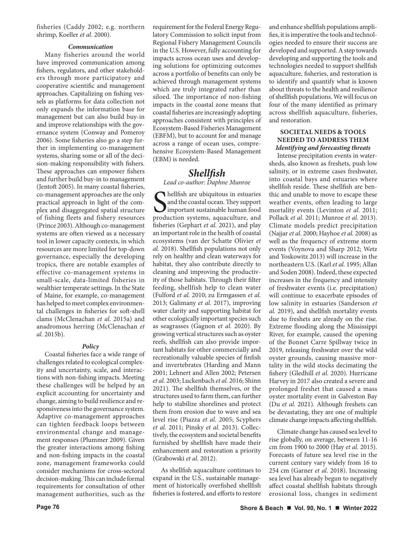fisheries (Caddy 2002; e.g. northern shrimp, Koeller *et al.* 2000).

#### *Communication*

Many fisheries around the world have improved communication among fishers, regulators, and other stakeholders through more participatory and cooperative scientific and management approaches. Capitalizing on fishing vessels as platforms for data collection not only expands the information base for management but can also build buy-in and improve relationships with the governance system (Conway and Pomeroy 2006). Some fisheries also go a step further in implementing co-management systems, sharing some or all of the decision-making responsibility with fishers. These approaches can empower fishers and further build buy-in to management (Jentoft 2005). In many coastal fisheries, co-management approaches are the only practical approach in light of the complex and disaggregated spatial structure of fishing fleets and fishery resources (Prince 2003). Although co-management systems are often viewed as a necessary tool in lower capacity contexts, in which resources are more limited for top-down governance, especially the developing tropics, there are notable examples of effective co-management systems in small-scale, data-limited fisheries in wealthier temperate settings. In the State of Maine, for example, co-management has helped to meet complex environmental challenges in fisheries for soft-shell clams (McClenachan *et al.* 2015a) and anadromous herring (McClenachan *et al.* 2015b).

#### *Policy*

Coastal fisheries face a wide range of challenges related to ecological complexity and uncertainty, scale, and interactions with non-fishing impacts. Meeting these challenges will be helped by an explicit accounting for uncertainty and change, aiming to build resilience and responsiveness into the governance system. Adaptive co-management approaches can tighten feedback loops between environmental change and management responses (Plummer 2009). Given the greater interactions among fishing and non-fishing impacts in the coastal zone, management frameworks could consider mechanisms for cross-sectoral decision-making. This can include formal requirements for consultation of other management authorities, such as the

requirement for the Federal Energy Regulatory Commission to solicit input from Regional Fishery Management Councils in the U.S. However, fully accounting for impacts across ocean uses and developing solutions for optimizing outcomes across a portfolio of benefits can only be achieved through management systems which are truly integrated rather than siloed. The importance of non-fishing impacts in the coastal zone means that coastal fisheries are increasingly adopting approaches consistent with principles of Ecosystem-Based Fisheries Management (EBFM), but to account for and manage across a range of ocean uses, comprehensive Ecosystem-Based Management (EBM) is needed.

# *Shellfish*

*Lead co-author: Daphne Munroe*

S<sub>produ</sub> hellfish are ubiquitous in estuaries and the coastal ocean. They support important sustainable human food production systems, aquaculture, and fisheries (Gephart *et al.* 2021), and play an important role in the health of coastal ecosystems (van der Schatte Olivier *et al.* 2018). Shellfish populations not only rely on healthy and clean waterways for habitat, they also contribute directly to cleaning and improving the productivity of those habitats. Through their filter feeding, shellfish help to clean water (Fulford *et al.* 2010; zu Ermgassen *et al.* 2013; Galimany *et al.* 2017), improving water clarity and supporting habitat for other ecologically important species such as seagrasses (Gagnon *et al.* 2020). By growing vertical structures such as oyster reefs, shellfish can also provide important habitats for other commercially and recreationally valuable species of finfish and invertebrates (Harding and Mann 2001; Lehnert and Allen 2002; Petersen *et al.* 2003; Luckenbach *et al.* 2016; Shinn 2021). The shellfish themselves, or the structures used to farm them, can further help to stabilize shorelines and protect them from erosion due to wave and sea level rise (Piazza *et al.* 2005; Scyphers *et al.* 2011; Pinsky *et al.* 2013). Collectively, the ecosystem and societal benefits furnished by shellfish have made their enhancement and restoration a priority (Grabowski *et al.* 2012).

As shellfish aquaculture continues to expand in the U.S., sustainable management of historically overfished shellfish fisheries is fostered, and efforts to restore and enhance shellfish populations amplifies, it is imperative the tools and technologies needed to ensure their success are developed and supported. A step towards developing and supporting the tools and technologies needed to support shellfish aquaculture, fisheries, and restoration is to identify and quantify what is known about threats to the health and resilience of shellfish populations. We will focus on four of the many identified as primary across shellfish aquaculture, fisheries, and restoration.

## **SOCIETAL NEEDS & TOOLS NEEDED TO ADDRESS THEM** *Identifying and forecasting threats*

Intense precipitation events in watersheds, also known as freshets, push low salinity, or in extreme cases freshwater, into coastal bays and estuaries where shellfish reside. These shellfish are benthic and unable to move to escape these weather events, often leading to large mortality events (Levinton *et al.* 2011; Pollack *et al.* 2011; Munroe *et al.* 2013). Climate models predict precipitation (Najjar *et al.* 2000; Hayhoe *et al.* 2008) as well as the frequency of extreme storm events (Voynova and Sharp 2012; Wetz and Yoskowitz 2013) will increase in the northeastern U.S. (Karl *et al.* 1995; Allan and Soden 2008). Indeed, these expected increases in the frequency and intensity of freshwater events (i.e. precipitation) will continue to exacerbate episodes of low salinity in estuaries (Sanderson *et al.* 2019), and shellfish mortality events due to freshets are already on the rise. Extreme flooding along the Mississippi River, for example, caused the opening of the Bonnet Carre Spillway twice in 2019, releasing freshwater over the wild oyster grounds, causing massive mortality in the wild stocks decimating the fishery (Gledhill *et al.* 2020). Hurricane Harvey in 2017 also created a severe and prolonged freshet that caused a mass oyster mortality event in Galveston Bay (Du *et al.* 2021). Although freshets can be devastating, they are one of multiple climate change impacts affecting shellfish.

Climate change has caused sea level to rise globally, on average, between 11-16 cm from 1900 to 2000 (Hay *et al.* 2015). Forecasts of future sea level rise in the current century vary widely from 16 to 254 cm (Garner *et al.* 2018). Increasing sea level has already begun to negatively affect coastal shellfish habitats through erosional loss, changes in sediment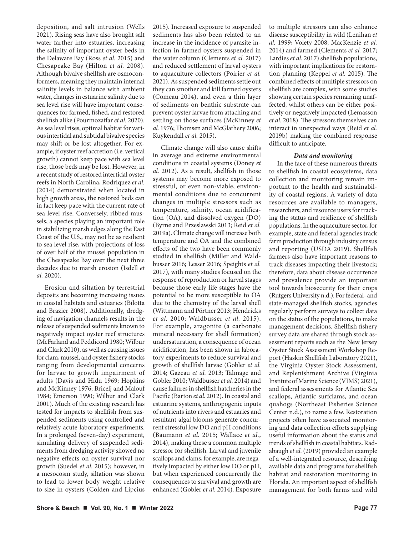deposition, and salt intrusion (Wells 2021). Rising seas have also brought salt water farther into estuaries, increasing the salinity of important oyster beds in the Delaware Bay (Ross *et al.* 2015) and Chesapeake Bay (Hilton *et al.* 2008). Although bivalve shellfish are osmoconformers, meaning they maintain internal salinity levels in balance with ambient water, changes in estuarine salinity due to sea level rise will have important consequences for farmed, fished, and restored shellfish alike (Pourmozaffar *et al.* 2020). As sea level rises, optimal habitat for various intertidal and subtidal bivalve species may shift or be lost altogether. For example, if oyster reef accretion (i.e. vertical growth) cannot keep pace with sea level rise, those beds may be lost. However, in a recent study of restored intertidal oyster reefs in North Carolina, Rodriquez *et al.* (2014) demonstrated when located in high growth areas, the restored beds can in fact keep pace with the current rate of sea level rise. Conversely, ribbed mussels, a species playing an important role in stabilizing marsh edges along the East Coast of the U.S., may not be as resilient to sea level rise, with projections of loss of over half of the mussel population in the Chesapeake Bay over the next three decades due to marsh erosion (Isdell *et al.* 2020).

Erosion and siltation by terrestrial deposits are becoming increasing issues in coastal habitats and estuaries (Bilotta and Brazier 2008). Additionally, dredging of navigation channels results in the release of suspended sediments known to negatively impact oyster reef structures (McFarland and Peddicord 1980; Wilbur and Clark 2010), as well as causing issues for clam, mussel, and oyster fishery stocks ranging from developmental concerns for larvae to growth impairment of adults (Davis and Hidu 1969; Hopkins and McKinney 1976; Bricelj and Malouf 1984; Emerson 1990; Wilbur and Clark 2001). Much of the existing research has tested for impacts to shellfish from suspended sediments using controlled and relatively acute laboratory experiments. In a prolonged (seven-day) experiment, simulating delivery of suspended sediments from dredging activity showed no negative effects on oyster survival nor growth (Suedel *et al.* 2015); however, in a mesocosm study, siltation was shown to lead to lower body weight relative to size in oysters (Colden and Lipcius

2015). Increased exposure to suspended sediments has also been related to an increase in the incidence of parasite infection in farmed oysters suspended in the water column (Clements *et al.* 2017) and reduced settlement of larval oysters to aquaculture collectors (Poirier *et al.* 2021). As suspended sediments settle out they can smother and kill farmed oysters (Comeau 2014), and even a thin layer of sediments on benthic substrate can prevent oyster larvae from attaching and settling on those surfaces (McKinney *et al.* 1976; Thomsen and McGlathery 2006; Kuykendall *et al.* 2015).

Climate change will also cause shifts in average and extreme environmental conditions in coastal systems (Doney *et al.* 2012). As a result, shellfish in those systems may become more exposed to stressful, or even non-viable, environmental conditions due to concurrent changes in multiple stressors such as temperature, salinity, ocean acidification (OA), and dissolved oxygen (DO) (Byrne and Przeslawski 2013; Reid *et al.* 2019a). Climate change will increase both temperature and OA and the combined effects of the two have been commonly studied in shellfish (Miller and Waldbusser 2016; Lesser 2016; Speights *et al.* 2017), with many studies focused on the response of reproduction or larval stages because those early life stages have the potential to be more susceptible to OA due to the chemistry of the larval shell (Wittmann and Pörtner 2013; Hendricks *et al.* 2010; Waldbusser *et al.* 2015). For example, aragonite (a carbonate mineral necessary for shell formation) undersaturation, a consequence of ocean acidification, has been shown in laboratory experiments to reduce survival and growth of shellfish larvae (Gobler *et al.* 2014; Gazeau *et al.* 2013; Talmage and Gobler 2010; Waldbusser *et al.* 2014) and cause failures in shellfish hatcheries in the Pacific (Barton *et al.* 2012). In coastal and estuarine systems, anthropogenic inputs of nutrients into rivers and estuaries and resultant algal blooms generate concurrent stressful low DO and pH conditions (Baumann *et al.* 2015; Wallace *et al.*, 2014), making these a common multiple stressor for shellfish. Larval and juvenile scallops and clams, for example, are negatively impacted by either low DO or pH, but when experienced concurrently the consequences to survival and growth are enhanced (Gobler *et al.* 2014). Exposure

to multiple stressors can also enhance disease susceptibility in wild (Lenihan *et al.* 1999; Volety 2008; MacKenzie *et al.* 2014) and farmed (Clements *et al.* 2017; Lardies *et al.* 2017) shellfish populations, with important implications for restoration planning (Keppel *et al.* 2015). The combined effects of multiple stressors on shellfish are complex, with some studies showing certain species remaining unaffected, whilst others can be either positively or negatively impacted (Lemasson *et al.* 2018). The stressors themselves can interact in unexpected ways (Reid *et al.* 2019b) making the combined response difficult to anticipate.

#### *Data and monitoring*

In the face of these numerous threats to shellfish in coastal ecosystems, data collection and monitoring remain important to the health and sustainability of coastal regions. A variety of data resources are available to managers, researchers, and resource users for tracking the status and resilience of shellfish populations. In the aquaculture sector, for example, state and federal agencies track farm production through industry census and reporting (USDA 2019). Shellfish farmers also have important reasons to track diseases impacting their livestock; therefore, data about disease occurrence and prevalence provide an important tool towards biosecurity for their crops (Rutgers University n.d.). For federal- and state-managed shellfish stocks, agencies regularly perform surveys to collect data on the status of the populations, to make management decisions. Shellfish fishery survey data are shared through stock assessment reports such as the New Jersey Oyster Stock Assessment Workshop Report (Haskin Shellfish Laboratory 2021), the Virginia Oyster Stock Assessment, and Replenishment Archive (Virginia Institute of Marine Science (VIMS) 2021), and federal assessments for Atlantic Sea scallops, Atlantic surfclams, and ocean quahogs (Northeast Fisheries Science Center n.d.), to name a few. Restoration projects often have associated monitoring and data collection efforts supplying useful information about the status and trends of shellfish in coastal habitats. Radabaugh *et al.* (2019) provided an example of a well-integrated resource, describing available data and programs for shellfish habitat and restoration monitoring in Florida. An important aspect of shellfish management for both farms and wild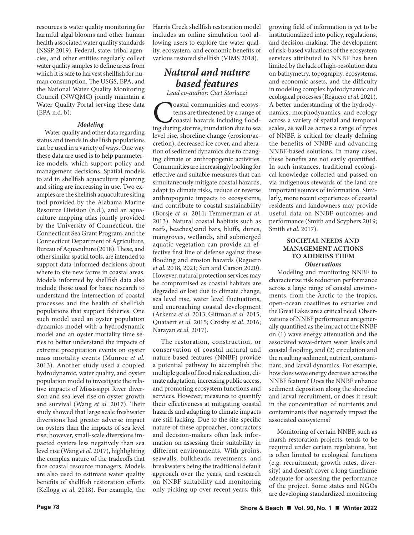resources is water quality monitoring for harmful algal blooms and other human health associated water quality standards (NSSP 2019). Federal, state, tribal agencies, and other entities regularly collect water quality samples to define areas from which it is safe to harvest shellfish for human consumption. The USGS, EPA, and the National Water Quality Monitoring Council (NWQMC) jointly maintain a Water Quality Portal serving these data (EPA n.d. b).

## *Modeling*

Water quality and other data regarding status and trends in shellfish populations can be used in a variety of ways. One way these data are used is to help parameterize models, which support policy and management decisions. Spatial models to aid in shellfish aquaculture planning and siting are increasing in use. Two examples are the shellfish aquaculture siting tool provided by the Alabama Marine Resource Division (n.d.), and an aquaculture mapping atlas jointly provided by the University of Connecticut, the Connecticut Sea Grant Program, and the Connecticut Department of Agriculture, Bureau of Aquaculture (2018). These, and other similar spatial tools, are intended to support data-informed decisions about where to site new farms in coastal areas. Models informed by shellfish data also include those used for basic research to understand the intersection of coastal processes and the health of shellfish populations that support fisheries. One such model used an oyster population dynamics model with a hydrodynamic model and an oyster mortality time series to better understand the impacts of extreme precipitation events on oyster mass mortality events (Munroe *et al.* 2013). Another study used a coupled hydrodynamic, water quality, and oyster population model to investigate the relative impacts of Mississippi River diversion and sea level rise on oyster growth and survival (Wang *et al.* 2017). Their study showed that large scale freshwater diversions had greater adverse impact on oysters than the impacts of sea level rise; however, small-scale diversions impacted oysters less negatively than sea level rise (Wang *et al.* 2017), highlighting the complex nature of the tradeoffs that face coastal resource managers. Models are also used to estimate water quality benefits of shellfish restoration efforts (Kellogg *et al.* 2018). For example, the

Harris Creek shellfish restoration model includes an online simulation tool allowing users to explore the water quality, ecosystem, and economic benefits of various restored shellfish (VIMS 2018).

# *Natural and nature based features*

*Lead co-author: Curt Storlazzi*

**C**oastal communities and ecosystems are threatened by a range of coastal hazards including flooding during storms, inundation due to sea tems are threatened by a range of coastal hazards including floodlevel rise, shoreline change (erosion/accretion), decreased ice cover, and alteration of sediment dynamics due to changing climate or anthropogenic activities. Communities are increasingly looking for effective and suitable measures that can simultaneously mitigate coastal hazards, adapt to climate risks, reduce or reverse anthropogenic impacts to ecosystems, and contribute to coastal sustainability (Borsje *et al.* 2011; Temmerman *et al.* 2013). Natural coastal habitats such as reefs, beaches/sand bars, bluffs, dunes, mangroves, wetlands, and submerged aquatic vegetation can provide an effective first line of defense against these flooding and erosion hazards (Reguero *et al.* 2018, 2021; Sun and Carson 2020). However, natural protection services may be compromised as coastal habitats are degraded or lost due to climate change, sea level rise, water level fluctuations, and encroaching coastal development (Arkema *et al.* 2013; Gittman *et al.* 2015; Quataert *et al.* 2015; Crosby *et al.* 2016; Narayan *et al.* 2017).

The restoration, construction, or conservation of coastal natural and nature-based features (NNBF) provide a potential pathway to accomplish the multiple goals of flood risk reduction, climate adaptation, increasing public access, and promoting ecosystem functions and services. However, measures to quantify their effectiveness at mitigating coastal hazards and adapting to climate impacts are still lacking. Due to the site-specific nature of these approaches, contractors and decision-makers often lack information on assessing their suitability in different environments. With groins, seawalls, bulkheads, revetments, and breakwaters being the traditional default approach over the years, and research on NNBF suitability and monitoring only picking up over recent years, this growing field of information is yet to be institutionalized into policy, regulations, and decision-making. The development of risk-based valuations of the ecosystem services attributed to NNBF has been limited by the lack of high-resolution data on bathymetry, topography, ecosystems, and economic assets, and the difficulty in modeling complex hydrodynamic and ecological processes (Reguero *et al.* 2021). A better understanding of the hydrodynamics, morphodynamics, and ecology across a variety of spatial and temporal scales, as well as across a range of types of NNBF, is critical for clearly defining the benefits of NNBF and advancing NNBF-based solutions. In many cases, these benefits are not easily quantified. In such instances, traditional ecological knowledge collected and passed on via indigenous stewards of the land are important sources of information. Similarly, more recent experiences of coastal residents and landowners may provide useful data on NNBF outcomes and performance (Smith and Scyphers 2019; Smith *et al.* 2017).

# **SOCIETAL NEEDS AND MANAGEMENT ACTIONS TO ADDRESS THEM** *Observations*

Modeling and monitoring NNBF to characterize risk reduction performance across a large range of coastal environments, from the Arctic to the tropics, open-ocean coastlines to estuaries and the Great Lakes are a critical need. Observations of NNBF performance are generally quantified as the impact of the NNBF on (1) wave energy attenuation and the associated wave-driven water levels and coastal flooding, and (2) circulation and the resulting sediment, nutrient, contaminant, and larval dynamics. For example, how does wave energy decrease across the NNBF feature? Does the NNBF enhance sediment deposition along the shoreline and larval recruitment, or does it result in the concentration of nutrients and contaminants that negatively impact the associated ecosystems?

Monitoring of certain NNBF, such as marsh restoration projects, tends to be required under certain regulations, but is often limited to ecological functions (e.g. recruitment, growth rates, diversity) and doesn't cover a long timeframe adequate for assessing the performance of the project. Some states and NGOs are developing standardized monitoring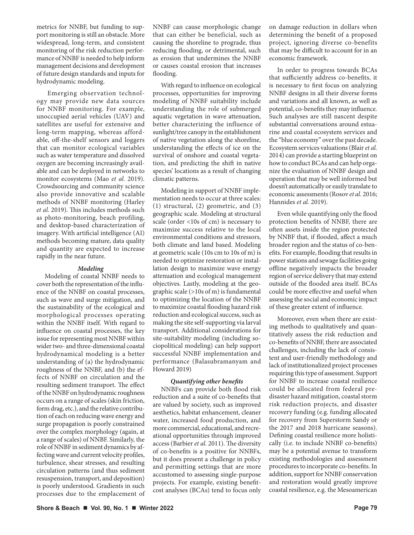metrics for NNBF, but funding to support monitoring is still an obstacle. More widespread, long-term, and consistent monitoring of the risk reduction performance of NNBF is needed to help inform management decisions and development of future design standards and inputs for hydrodynamic modeling.

 Emerging observation technology may provide new data sources for NNBF monitoring. For example, unoccupied aerial vehicles (UAV) and satellites are useful for extensive and long-term mapping, whereas affordable, off-the-shelf sensors and loggers that can monitor ecological variables such as water temperature and dissolved oxygen are becoming increasingly available and can be deployed in networks to monitor ecosystems (Mao *et al.* 2019). Crowdsourcing and community science also provide innovative and scalable methods of NNBF monitoring (Harley *et al.* 2019). This includes methods such as photo-monitoring, beach profiling, and desktop-based characterization of imagery. With artificial intelligence (AI) methods becoming mature, data quality and quantity are expected to increase rapidly in the near future.

## *Modeling*

Modeling of coastal NNBF needs to cover both the representation of the influence of the NNBF on coastal processes, such as wave and surge mitigation, and the sustainability of the ecological and morphological processes operating within the NNBF itself. With regard to influence on coastal processes, the key issue for representing most NNBF within wider two- and three-dimensional coastal hydrodynamical modeling is a better understanding of (a) the hydrodynamic roughness of the NNBF, and (b) the effects of NNBF on circulation and the resulting sediment transport. The effect of the NNBF on hydrodynamic roughness occurs on a range of scales (skin friction, form drag, etc.), and the relative contribution of each on reducing wave energy and surge propagation is poorly constrained over the complex morphology (again, at a range of scales) of NNBF. Similarly, the role of NNBF in sediment dynamics by affecting wave and current velocity profiles, turbulence, shear stresses, and resulting circulation patterns (and thus sediment resuspension, transport, and deposition) is poorly understood. Gradients in such processes due to the emplacement of

NNBF can cause morphologic change that can either be beneficial, such as causing the shoreline to prograde, thus reducing flooding, or detrimental, such as erosion that undermines the NNBF or causes coastal erosion that increases flooding.

With regard to influence on ecological processes, opportunities for improving modeling of NNBF suitability include understanding the role of submerged aquatic vegetation in wave attenuation, better characterizing the influence of sunlight/tree canopy in the establishment of native vegetation along the shoreline, understanding the effects of ice on the survival of onshore and coastal vegetation, and predicting the shift in native species' locations as a result of changing climatic patterns.

Modeling in support of NNBF implementation needs to occur at three scales: (1) structural, (2) geometric, and (3) geographic scale. Modeling at structural scale (order <10s of cm) is necessary to maximize success relative to the local environmental conditions and stressors, both climate and land based. Modeling at geometric scale (10s cm to 10s of m) is needed to optimize restoration or installation design to maximize wave energy attenuation and ecological management objectives. Lastly, modeling at the geographic scale (>10s of m) is fundamental to optimizing the location of the NNBF to maximize coastal flooding hazard risk reduction and ecological success, such as making the site self-supporting via larval transport. Additional considerations for site-suitability modeling (including sociopolitical modeling) can help support successful NNBF implementation and performance (Balasubramanyam and Howard 2019)

#### *Quantifying other benefits*

NNBFs can provide both flood risk reduction and a suite of co-benefits that are valued by society, such as improved aesthetics, habitat enhancement, cleaner water, increased food production, and more commercial, educational, and recreational opportunities through improved access (Barbier *et al.* 2011). The diversity of co-benefits is a positive for NNBFs, but it does present a challenge in policy and permitting settings that are more accustomed to assessing single-purpose projects. For example, existing benefitcost analyses (BCAs) tend to focus only on damage reduction in dollars when determining the benefit of a proposed project, ignoring diverse co-benefits that may be difficult to account for in an economic framework.

In order to progress towards BCAs that sufficiently address co-benefits, it is necessary to first focus on analyzing NNBF designs in all their diverse forms and variations and all known, as well as potential, co-benefits they may influence. Such analyses are still nascent despite substantial conversations around estuarine and coastal ecosystem services and the "blue economy" over the past decade. Ecosystem services valuations (Blair *et al.* 2014) can provide a starting blueprint on how to conduct BCAs and can help organize the evaluation of NNBF design and operation that may be well informed but doesn't automatically or easily translate to economic assessments (Rosov *et al.* 2016; Hannides *et al.* 2019).

Even while quantifying only the flood protection benefits of NNBF, there are often assets inside the region protected by NNBF that, if flooded, affect a much broader region and the status of co-benefits. For example, flooding that results in power stations and sewage facilities going offline negatively impacts the broader region of service delivery that may extend outside of the flooded area itself. BCAs could be more effective and useful when assessing the social and economic impact of these greater extent of influence.

Moreover, even when there are existing methods to qualitatively and quantitatively assess the risk reduction and co-benefits of NNBF, there are associated challenges, including the lack of consistent and user-friendly methodology and lack of institutionalized project processes requiring this type of assessment. Support for NNBF to increase coastal resilience could be allocated from federal predisaster hazard mitigation, coastal storm risk reduction projects, and disaster recovery funding (e.g. funding allocated for recovery from Superstorm Sandy or the 2017 and 2018 hurricane seasons). Defining coastal resilience more holistically (i.e. to include NNBF co-benefits) may be a potential avenue to transform existing methodologies and assessment procedures to incorporate co-benefits. In addition, support for NNBF conservation and restoration would greatly improve coastal resilience, e.g. the Mesoamerican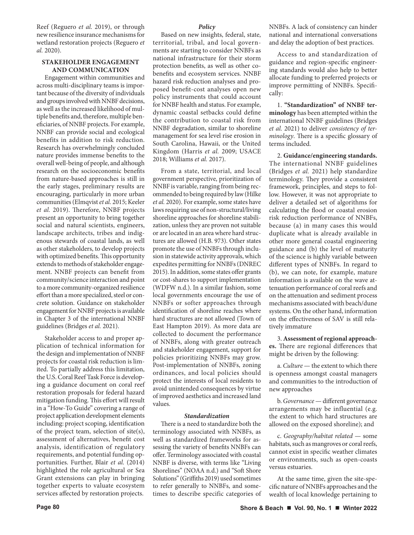Reef (Reguero *et al.* 2019), or through new resilience insurance mechanisms for wetland restoration projects (Reguero *et al.* 2020).

#### **STAKEHOLDER ENGAGEMENT AND COMMUNICATION**

Engagement within communities and across multi-disciplinary teams is important because of the diversity of individuals and groups involved with NNBF decisions, as well as the increased likelihood of multiple benefits and, therefore, multiple beneficiaries, of NNBF projects. For example, NNBF can provide social and ecological benefits in addition to risk reduction. Research has overwhelmingly concluded nature provides immense benefits to the overall well-being of people, and although research on the socioeconomic benefits from nature-based approaches is still in the early stages, preliminary results are encouraging, particularly in more urban communities (Elmqvist *et al.* 2015; Keeler *et al.* 2019). Therefore, NNBF projects present an opportunity to bring together social and natural scientists, engineers, landscape architects, tribes and indigenous stewards of coastal lands, as well as other stakeholders, to develop projects with optimized benefits. This opportunity extends to methods of stakeholder engagement. NNBF projects can benefit from community/science interaction and point to a more community-organized resilience effort than a more specialized, steel or concrete solution. Guidance on stakeholder engagement for NNBF projects is available in Chapter 3 of the international NNBF guidelines (Bridges *et al.* 2021).

Stakeholder access to and proper application of technical information for the design and implementation of NNBF projects for coastal risk reduction is limited. To partially address this limitation, the U.S. Coral Reef Task Force is developing a guidance document on coral reef restoration proposals for federal hazard mitigation funding. This effort will result in a "How-To Guide" covering a range of project application development elements including: project scoping, identification of the project team, selection of site(s), assessment of alternatives, benefit cost analysis, identification of regulatory requirements, and potential funding opportunities. Further, Blair *et al.* (2014) highlighted the role agricultural or Sea Grant extensions can play in bringing together experts to valuate ecosystem services affected by restoration projects.

#### *Policy*

Based on new insights, federal, state, territorial, tribal, and local governments are starting to consider NNBFs as national infrastructure for their storm protection benefits, as well as other cobenefits and ecosystem services. NNBF hazard risk reduction analyses and proposed benefit-cost analyses open new policy instruments that could account for NNBF health and status. For example, dynamic coastal setbacks could define the contribution to coastal risk from NNBF degradation, similar to shoreline management for sea level rise erosion in South Carolina, Hawaii, or the United Kingdom (Harris *et al.* 2009; USACE 2018; Williams *et al.* 2017).

From a state, territorial, and local government perspective, prioritization of NNBF is variable, ranging from being recommended to being required by law (Hilke *et al.* 2020). For example, some states have laws requiring use of non-structural/living shoreline approaches for shoreline stabilization, unless they are proven not suitable or are located in an area where hard structures are allowed (H.B. 973). Other states promote the use of NNBFs through inclusion in statewide activity approvals, which expedites permitting for NNBFs (DNREC 2015). In addition, some states offer grants or cost-shares to support implementation (WDFW n.d.). In a similar fashion, some local governments encourage the use of NNBFs or softer approaches through identification of shoreline reaches where hard structures are not allowed (Town of East Hampton 2019). As more data are collected to document the performance of NNBFs, along with greater outreach and stakeholder engagement, support for policies prioritizing NNBFs may grow. Post-implementation of NNBFs, zoning ordinances, and local policies should protect the interests of local residents to avoid unintended consequences by virtue of improved aesthetics and increased land values.

### *Standardization*

There is a need to standardize both the terminology associated with NNBFs, as well as standardized frameworks for assessing the variety of benefits NNBFs can offer. Terminology associated with coastal NNBF is diverse, with terms like "Living Shorelines" (NOAA n.d.) and "Soft Shore Solutions" (Griffiths 2019) used sometimes to refer generally to NNBFs, and sometimes to describe specific categories of NNBFs. A lack of consistency can hinder national and international conversations and delay the adoption of best practices.

Access to and standardization of guidance and region-specific engineering standards would also help to better allocate funding to preferred projects or improve permitting of NNBFs. Specifically:

1. **"Standardization" of NNBF terminology** has been attempted within the international NNBF guidelines (Bridges *et al.* 2021) to deliver *consistency of terminology*. There is a specific glossary of terms included.

2. **Guidance/engineering standards.**  The international NNBF guidelines (Bridges *et al.* 2021) help standardize terminology. They provide a consistent framework, principles, and steps to follow. However, it was not appropriate to deliver a detailed set of algorithms for calculating the flood or coastal erosion risk reduction performance of NNBFs, because (a) in many cases this would duplicate what is already available in other more general coastal engineering guidance and (b) the level of maturity of the science is highly variable between different types of NNBFs. In regard to (b), we can note, for example, mature information is available on the wave attenuation performance of coral reefs and on the attenuation and sediment process mechanisms associated with beach/dune systems. On the other hand, information on the effectiveness of SAV is still relatively immature

3. **Assessment of regional approaches.** There are regional differences that might be driven by the following:

a. *Culture* — the extent to which there is openness amongst coastal managers and communities to the introduction of new approaches

b. *Governance* — different governance arrangements may be influential (e.g. the extent to which hard structures are allowed on the exposed shoreline); and

c. *Geography/habitat related* — some habitats, such as mangroves or coral reefs, cannot exist in specific weather climates or environments, such as open-coasts versus estuaries.

At the same time, given the site-specific nature of NNBFs approaches and the wealth of local knowledge pertaining to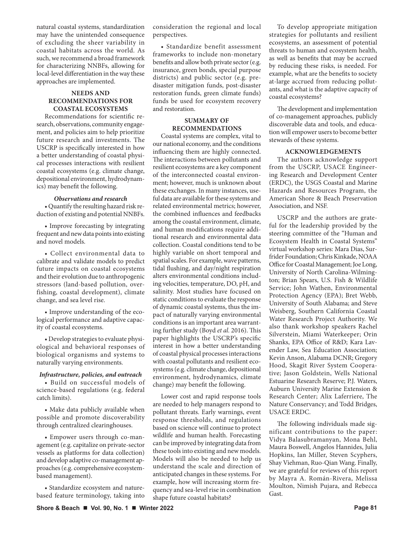natural coastal systems, standardization may have the unintended consequence of excluding the sheer variability in coastal habitats across the world. As such, we recommend a broad framework for characterizing NNBFs, allowing for local-level differentiation in the way these approaches are implemented.

## **NEEDS AND RECOMMENDATIONS FOR COASTAL ECOSYSTEMS**

Recommendations for scientific research, observations, community engagement, and policies aim to help prioritize future research and investments. The USCRP is specifically interested in how a better understanding of coastal physical processes interactions with resilient coastal ecosystems (e.g. climate change, depositional environment, hydrodynamics) may benefit the following.

#### *Observations and research*

• Quantify the resulting hazard risk reduction of existing and potential NNBFs.

• Improve forecasting by integrating frequent and new data points into existing and novel models.

• Collect environmental data to calibrate and validate models to predict future impacts on coastal ecosystems and their evolution due to anthropogenic stressors (land-based pollution, overfishing, coastal development), climate change, and sea level rise.

• Improve understanding of the ecological performance and adaptive capacity of coastal ecosystems.

• Develop strategies to evaluate physiological and behavioral responses of biological organisms and systems to naturally varying environments.

# *Infrastructure, policies, and outreach*

• Build on successful models of science-based regulations (e.g. federal catch limits).

• Make data publicly available when possible and promote discoverability through centralized clearinghouses.

• Empower users through co-management (e.g. capitalize on private-sector vessels as platforms for data collection) and develop adaptive co-management approaches (e.g. comprehensive ecosystembased management).

• Standardize ecosystem and naturebased feature terminology, taking into consideration the regional and local perspectives.

• Standardize benefit assessment frameworks to include non-monetary benefits and allow both private sector (e.g. insurance, green bonds, special purpose districts) and public sector (e.g. predisaster mitigation funds, post-disaster restoration funds, green climate funds) funds be used for ecosystem recovery and restoration.

# **SUMMARY OF RECOMMENDATIONS**

Coastal systems are complex, vital to our national economy, and the conditions influencing them are highly connected. The interactions between pollutants and resilient ecosystems are a key component of the interconnected coastal environment; however, much is unknown about these exchanges. In many instances, useful data are available for these systems and related environmental metrics; however, the combined influences and feedbacks among the coastal environment, climate, and human modifications require additional research and environmental data collection. Coastal conditions tend to be highly variable on short temporal and spatial scales. For example, wave patterns, tidal flushing, and day/night respiration alters environmental conditions including velocities, temperature, DO, pH, and salinity. Most studies have focused on static conditions to evaluate the response of dynamic coastal systems, thus the impact of naturally varying environmental conditions is an important area warranting further study (Boyd *et al.* 2016). This paper highlights the USCRP's specific interest in how a better understanding of coastal physical processes interactions with coastal pollutants and resilient ecosystems (e.g. climate change, depositional environment, hydrodynamics, climate change) may benefit the following.

Lower cost and rapid response tools are needed to help managers respond to pollutant threats. Early warnings, event response thresholds, and regulations based on science will continue to protect wildlife and human health. Forecasting can be improved by integrating data from these tools into existing and new models. Models will also be needed to help us understand the scale and direction of anticipated changes in these systems. For example, how will increasing storm frequency and sea-level rise in combination shape future coastal habitats?

To develop appropriate mitigation strategies for pollutants and resilient ecosystems, an assessment of potential threats to human and ecosystem health, as well as benefits that may be accrued by reducing these risks, is needed. For example, what are the benefits to society at-large accrued from reducing pollutants, and what is the adaptive capacity of coastal ecosystems?

The development and implementation of co-management approaches, publicly discoverable data and tools, and education will empower users to become better stewards of these systems.

## **ACKNOWLEDGEMENTS**

The authors acknowledge support from the USCRP, USACE Engineering Research and Development Center (ERDC), the USGS Coastal and Marine Hazards and Resources Program, the American Shore & Beach Preservation Association, and NSF.

USCRP and the authors are grateful for the leadership provided by the steering committee of the "Human and Ecosystem Health in Coastal Systems" virtual workshop series: Mara Dias, Surfrider Foundation; Chris Kinkade, NOAA Office for Coastal Management; Joe Long, University of North Carolina-Wilmington; Brian Spears, U.S. Fish & Wildlife Service; John Wathen, Environmental Protection Agency (EPA); Bret Webb, University of South Alabama; and Steve Weisberg, Southern California Coastal Water Research Project Authority. We also thank workshop speakers Rachel Silverstein, Miami Waterkeeper; Orin Shanks, EPA Office of R&D; Kara Lavender Law, Sea Education Association; Kevin Anson, Alabama DCNR; Gregory Hood, Skagit River System Cooperative; Jason Goldstein, Wells National Estuarine Research Reserve; P.J. Waters, Auburn University Marine Extension & Research Center; Alix Laferriere, The Nature Conservancy; and Todd Bridges, USACE ERDC.

The following individuals made significant contributions to the paper: Vidya Balasubramanyan, Mona Behl, Maura Boswell, Angelos Hannides, Julia Hopkins, Ian Miller, Steven Scyphers, Shay Viehman, Ruo-Qian Wang. Finally, we are grateful for reviews of this report by Mayra A. Román-Rivera, Melissa Moulton, Nimish Pujara, and Rebecca Gast.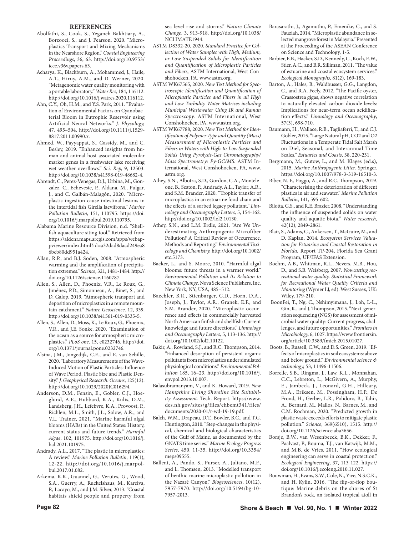#### **REFERENCES**

- Abolfathi, S., Cook, S., Yeganeh-Bakhtiary, A., Borzooei, S., and J. Pearson, 2020. "Microplastics Transport and Mixing Mechanisms in the Nearshore Region." *Coastal Engineering Proceedings*, 36, 63. http://doi.org/10.9753/ icce.v36v.papers.63.
- Acharya, K., Blackburn, A., Mohammed, J., Haile, A.T., Hiruy, A.M., and D. Werner, 2020. "Metagenomic water quality monitoring with a portable laboratory." *Water Res*, 184, 116112. http://doi.org/10.1016/j.watres.2020.116112.
- Ahn, C.Y., Oh, H.M., and Y.S. Park, 2011. "Evaluation of Environmental Factors on Cyanobacterial Bloom in Eutrophic Reservoir using Artificial Neural Networks." *J. Phycology,* 47, 495–504. http://doi.org/10.1111/j.1529- 8817.2011.00990.x.
- Ahmed, W., Payyappat, S., Cassidy, M., and C. Besley, 2019. "Enhanced insights from human and animal host-associated molecular marker genes in a freshwater lake receiving wet weather overflows." *Sci. Rep,* 9, 12503. http://doi.org/10.1038/s41598-019-48682-4.
- Ahrendt, C., Perez-Venegas, D.J., Urbina, M., Gonzalez, C., Echeveste, P., Aldana, M., Pulgar, J., and C. Galbán-Malagón, 2020. "Microplastic ingestion cause intestinal lesions in the intertidal fish Girella laevifrons." *Marine Pollution Bulletin*, 151, 110795. https://doi. org/10.1016/j.marpolbul.2019.110795.
- Alabama Marine Resource Division, n.d. "Shellfish aquaculture siting tool." Retrieved from https://aldcnr.maps.arcgis.com/apps/webappviewer/index.html?id=a32dad8dacd249ea8 6bcb80dd951a424.
- Allan, R.P., and B.J. Soden, 2008. "Atmospheric warming and the amplification of precipitation extremes." *Science,* 321, 1481-1484. http:// doi.org/10.1126/science.1160787.
- Allen, S., Allen, D., Phoenix, V.R., Le Roux, G., Jiménez, P.D., Simonneau, A., Binet, S., and D. Galop, 2019. "Atmospheric transport and deposition of microplastics in a remote mountain catchment." *Nature Geoscience,* 12, 339. http://doi.org/10.1038/s41561-019-0335-5.
- Allen, S., Allen, D., Moss, K., Le Roux, G., Phoenix, V.R., and J.E. Sonke, 2020. "Examination of the ocean as a source for atmospheric microplastics." *PLoS one,* 15, e0232746. http://doi. org/10.1371/journal.pone.0232746.
- Alsina, J.M., Jongedijk, C.E., and E. van Sebille, 2020. "Laboratory Measurements of the Wave‐ Induced Motion of Plastic Particles: Influence of Wave Period, Plastic Size and Plastic Density." *J. Geophysical Research: Oceans*, 125(12). http://doi.org/10.1029/2020JC016294.
- Anderson, D.M., Fensin, E., Gobler, C.J., Hoeglund, A.E., Hubbard, K.A., Kulis, D.M., Landsberg, J.H., Lefebvre, K.A., Provoost, P., Richlen, M.L., Smith, J.L., Solow, A.R., and V.L. Trainer, 2021. "Marine harmful algal blooms (HABs) in the United States: History, current status and future trends." *Harmful Algae*, 102, 101975. http://doi.org/10.1016/j. hal.2021.101975.
- Andrady, A.L., 2017. "The plastic in microplastics: A review." *Marine Pollution Bulletin*, 119(1), 12-22. http://doi.org/10.1016/j.marpolbul.2017.01.082.
- Arkema, K.K., Guannel, G., Verutes, G., Wood, S.A., Guerry, A., Ruckelshaus, M., Kareiva, P., Lacayo, M., and J.M. Silver, 2013. "Coastal habitats shield people and property from

sea-level rise and storms." *Nature Climate Change*, 3, 913-918. http://doi.org/10.1038/ NCLIMATE1944.

- ASTM D8332-20, 2020. *Standard Practice for Collection of Water Samples with High, Medium, or Low Suspended Solids for Identification and Quantification of Microplastic Particles and Fibers*, ASTM International, West Conshohocken, PA, www.astm.org.
- ASTM WK67565, 2020. *New Test Method for Spectroscopic Identification and Quantification of Microplastic Particles and Fibers in all High and Low Turbidity Water Matrices including Municipal Wastewater Using IR and Raman Spectroscopy*. ASTM International, West Conshohocken, PA, www.astm.org.
- ASTM WK67788, 2020. *New Test Method for Identification of Polymer Type and Quantity (Mass) Measurement of Microplastic Particles and Fibers in Waters with High-to-Low Suspended Solids Using Pyrolysis-Gas Chromatography/ Mass Spectrometry: Py-GC/MS.* ASTM International, West Conshohocken, PA, www. astm.org.
- Athey, S.N., Albotra, S.D., Gordon, C.A., Monteleone, B., Seaton, P., Andrady, A.L., Taylor, A.R., and S.M. Brander, 2020. "Trophic transfer of microplastics in an estuarine food chain and the effects of a sorbed legacy pollutant." *Limnology and Oceanography Letters,* 5, 154-162. http://doi.org/10.1002/lol2.10130.
- Athey, S.N., and L.M. Erdle, 2021. "Are We Underestimating Anthropogenic Microfiber Pollution? A Critical Review of Occurrence, Methods and Reporting." *Environmental Toxicology and Chemistry.* http://doi.org/10.1002/ etc.5173.
- Backer, L., and S. Moore, 2010. "Harmful algal blooms: future threats in a warmer world." *Environmental Pollution and Its Relation to Climate Change*. Nova Science Publishers, Inc, New York, NY, USA, 485–512.
- Baechler, B.R., Stienbarger, C.D., Horn, D.A., Joseph, J., Taylor, A.R., Granek, E.F., and S.M. Brander, 2020. "Microplastic occurrence and effects in commercially harvested North American finfish and shellfish: Current knowledge and future directions." *Limnology and Oceanography Letters,* 5, 113-136. http:// doi.org/10.1002/lol2.10122.
- Bakir, A., Rowland, S.J., and R.C. Thompson, 2014. "Enhanced desorption of persistent organic pollutants from microplastics under simulated physiological conditions." *Environmental Pollution* 185, 16–23. http://doi.org/10.1016/j. envpol.2013.10.007.
- Balasubramanyam, V., and K. Howard, 2019. *New Hampshire Living Shoreline Site Suitability Assessment.* Tech. Report. https://www. des.nh.gov/sites/g/files/ehbemt341/files/ documents/2020-01/r-wd-19-19.pdf.
- Balch, W.M., Drapeau, D.T., Bowler, B.C., and T.G. Huntington, 2010. "Step-changes in the physical, chemical and biological characteristics of the Gulf of Maine, as documented by the GNATS time series." *Marine Ecology Progress Series*, 450, 11-35. http://doi.org/10.3354/ meps09555.
- Ballent, A., Pando, S., Purser, A., Juliano, M.F., and L. Thomsen, 2013. "Modelled transport of benthic marine microplastic pollution in the Nazaré Canyon." *Biogeosciences*, 10(12), 7957-7970. http://doi.org/10.5194/bg-10- 7957-2013.
- Barasarathi, J., Agamuthu, P., Emenike, C., and S. Fauziah, 2014. "Microplastic abundance in selected mangrove forest in Malaysia." Presented at the Proceeding of the ASEAN Conference on Science and Technology, 1-5.
- Barbier, E.B., Hacker, S.D., Kennedy, C., Koch, E.W., Stier, A.C., and B.R. Silliman, 2011. "The value of estuarine and coastal ecosystem services." *Ecological Monographs*, 81(2), 169-183.
- Barton, A., Hales, B., Waldbusser, G.G., Langdon, C., and R.A. Feely. 2012. "The Pacific oyster, Crassostrea gigas, shows negative correlation to naturally elevated carbon dioxide levels: Implications for near-term ocean acidification effects." *Limnology and Oceanography*, 57(3), 698-710.
- Baumann, H., Wallace, R.B., Tagliaferri, T., and C.J. Gobler, 2015. "Large Natural pH, CO2 and O2 Fluctuations in a Temperate Tidal Salt Marsh on Diel, Seasonal, and Interannual Time Scales." *Estuaries and Coasts,* 38, 220-231.
- Bergmann, M., Gutow, L., and M. Klages (ed.s), 2015. *Marine Anthropogenic Litter*. Springer. https://doi.org/10.1007/978-3-319-16510-3.
- Biber, N. F., Foggo, A., and R.C. Thompson, 2019. "Characterising the deterioration of different plastics in air and seawater." *Marine Pollution Bulletin*, 141, 595-602.
- Bilotta, G.S., and R.E. Brazier, 2008. "Understanding the influence of suspended solids on water quality and aquatic biota." *Water research*, 42(12), 2849-2861.
- Blair, S., Adams, C., Ankersen, T., McGuire, M., and D. Kaplan, 2014. *Ecosystem Services Valuation for Estuarine and Coastal Restoration in Florida.* Report TP-204, Florida Sea Grant Program, UF/IFAS Extension.
- Boehm, A.B., Whitman, R.L., Nevers, M.B., Hou, D., and S.B. Weisberg, 2007. *Nowcasting recreational water quality. Statistical Framework for Recreational Water Quality Criteria and Monitoring* (Wymer LJ, ed). West Sussex, UK: Wiley, 179-210.
- BoonFei, T., Ng, C., Nshimyimana, J., Loh, L-L., Gin, K., and J. Thompson, 2015. "Next-generation sequencing (NGS) for assessment of microbial water quality: Current progress, challenges, and future opportunities." *Frontiers in Microbiology,* 6, 1027. https://www.frontiersin. org/article/10.3389/fmicb.2015.01027.
- Boots, B., Russell, C.W., and D.S. Green, 2019. "Effects of microplastics in soil ecosystems: above and below ground." *Environmental science & technology,* 53, 11496-11506.
- Borrelle, S.B., Ringma, J., Law, K.L., Monnahan, C.C., Lebreton, L., McGivern, A., Murphy, E., Jambeck, J., Leonard, G.H., Hilleary, M.A., Eriksen, M., Possingham, H.P., De Frond, H., Gerber, L.R., Polidoro, B., Tahir, A., Bernard, M., Mallos, N., Barnes, M., and C.M. Rochman, 2020. "Predicted growth in plastic waste exceeds efforts to mitigate plastic pollution." *Science*, 369(6510), 1515. http:// doi.org/10.1126/science.aba3656.
- Borsje, B.W., van Wesenbeeck, B.K., Dekker, F., Paalvast, P., Bouma, T.J., van Katwijk, M.M., and M.B. de Vries, 2011. "How ecological engineering can serve in coastal protection." *Ecological Engineering*, 37, 113-122. https:// doi.org/10.1016/j.ecoleng.2010.11.027.
- Bouwman, H., Evans, S.W., Cole, N., Yive, N.S.C.K., and H. Kylin, 2016. "The flip-or-flop boutique: Marine debris on the shores of St Brandon's rock, an isolated tropical atoll in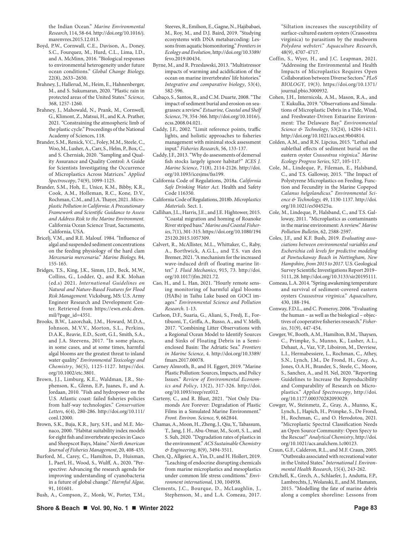the Indian Ocean." *Marine Environmental Research*, 114, 58-64. http://doi.org/10.1016/j. marenvres.2015.12.013.

- Boyd, P.W., Cornwall, C.E., Davison, A., Doney, S.C., Fourquez, M., Hurd, C.L., Lima, I.D., and A. McMinn, 2016. "Biological responses to environmental heterogeneity under future ocean conditions." *Global Change Biology,* 22(8), 2633–2650.
- Brahney, J., Hallerud, M., Heim, E., Hahnenberger, M., and S. Sukumaran, 2020. "Plastic rain in protected areas of the United States." *Science,* 368, 1257-1260.
- Brahney, J., Mahowald, N., Prank, M., Cornwell, G., Klimont, Z., Matsui, H., and K.A. Prather, 2021. "Constraining the atmospheric limb of the plastic cycle." Proceedings of the National Academy of Sciences, 118.
- Brander, S.M., Renick, V.C., Foley, M.M., Steele, C., Woo, M., Lusher, A., Carr, S., Helm, P., Box, C., and S. Cherniak, 2020. "Sampling and Quality Assurance and Quality Control: A Guide for Scientists Investigating the Occurrence of Microplastics Across Matrices." *Applied Spectroscopy*, 74(9), 1099-1125.
- Brander, S.M., Hoh, E., Unice, K.M., Bibby, K.R., Cook, A.M., Holleman, R.C., Kone, D.V., Rochman, C.M., and J.A. Thayer, 2021. *Microplastic Pollution in California: A Precautionary Framework and Scientific Guidance to Assess and Address Risk to the Marine Environment.* California Ocean Science Trust, Sacramento, California, USA.
- Bricelj, V.M., and R.E. Malouf. 1984. "Influence of algal and suspended sediment concentrations on the feeding physiology of the hard clam *Mercenaria mercenaria*." *Marine Biology,* 84, 155-165.
- Bridges, T.S., King, J.K., Simm, J.D., Beck, M.W., Collins, G., Lodder, Q., and R.K. Mohan (ed.s) 2021. *International Guidelines on Natural and Nature-Based Features for Flood Risk Management.* Vicksburg, MS: U.S. Army Engineer Research and Development Center. Retrieved from https://ewn.erdc.dren. mil/?page\_id=4351.
- Brooks, B.W., Lazorchak, J.M., Howard, M.D.A., Johnson, M.V.V., Morton, S.L., Perkins, D.A.K., Reavie, E.D., Scott, G.I., Smith, S.A., and J.A. Steevens, 2017. "In some places, in some cases, and at some times, harmful algal blooms are the greatest threat to inland water quality." *Environmental Toxicology and Chemistry*, 36(5), 1125-1127. https://doi. org/10.1002/etc.3801.
- Brown, J.J., Limburg, K.E., Waldman, J.R., Stephenson, K., Glenn, E.P., Juanes, F., and A. Jordaan, 2010. "Fish and hydropower on the U.S. Atlantic coast: failed fisheries policies from half-way technologies." *Conservation Letters*, 6(4), 280-286. http://doi.org/10.111/ conl.12000.
- Brown, S.K., Buja, K.R., Jury, S.H., and M.E. Monaco, 2000. "Habitat suitability index models for eight fish and invertebrate species in Casco and Sheepscot Bays, Maine." *North American Journal of Fisheries Management*, 20, 408-435.
- Burford, M., Carey, C., Hamilton, D., Huisman, J., Paerl, H., Wood, S., Wulff, A., 2020. "Perspective: Advancing the research agenda for improving understanding of cyanobacteria in a future of global change." *Harmful Algae,* 91, 101601.
- Bush, A., Compson, Z., Monk, W., Porter, T.M.,

Steeves, R., Emilson, E., Gagne, N., Hajibabaei, M., Roy, M., and D.J. Baird, 2019. "Studying ecosystems with DNA metabarcoding: Lessons from aquatic biomonitoring." *Frontiers in Ecology and Evolution*, http://doi.org/10.3389/ fevo.2019.00434.

- Byrne, M., and R. Przeslawski, 2013. "Multistressor impacts of warming and acidification of the ocean on marine invertebrates' life histories." *Integrative and comparative biology*, 53(4), 582-596.
- Cabaço, S., Santos, R., and C.M. Duarte, 2008. "The impact of sediment burial and erosion on seagrasses: a review." *Estuarine, Coastal and Shelf Science*, 79, 354-366. http://doi.org/10.1016/j. ecss.2008.04.021.
- Caddy, J.F., 2002. "Limit reference points, traffic lights, and holistic approaches to fisheries management with minimal stock assessment input." *Fisheries Research*, 56, 133-137.
- Caddy, J.F., 2013. "Why do assessments of demersal fish stocks largely ignore habitat?" *ICES J. Marine Science*, 71(8), 2114-2126. http://doi. org/10.1093/icesjms/fss199.
- California Code of Regulations, 2018a. *California Safe Drinking Water Act.* Health and Safety Code 116350.
- California Code of Regulations, 2018b. *Microplastics Materials.* Sect. 1.
- Callihan, J.L., Harris, J.E., and J.E. Hightower, 2015. "Coastal migration and homing of Roanoke River striped bass." *Marine and Coastal Fisheries*, 7(1), 301-315. https://doi.org/10.1080/194 25120.2015.1057309.
- Calvert, R., McAllister, M.L., Whittaker, C., Raby, A., Borthwick, A.G.L., and T.S. van den Bremer, 2021. "A mechanism for the increased wave-induced drift of floating marine litter." *J. Fluid Mechanics*, 915, 73. http://doi. org/10.1017/jfm.2021.72.
- Cao, H., and L. Han, 2021. "Hourly remote sensing monitoring of harmful algal blooms (HABs) in Taihu Lake based on GOCI images." *Environmental Science and Pollution Research*. 1-13.
- Carlson, D.F., Suaria, G., Aliani, S., Fredj, E., Fortibuoni, T., Griffa, A., Russo, A., and V. Melli, 2017. "Combining Litter Observations with a Regional Ocean Model to Identify Sources and Sinks of Floating Debris in a Semienclosed Basin: The Adriatic Sea." *Frontiers in Marine Science*, 4. http://doi.org/10.3389/ fmars.2017.00078.
- Carney Almroth, B., and H. Eggert, 2019. "Marine Plastic Pollution: Sources, Impacts, and Policy Issues." *Review of Environmental Economics and Policy*, 13(2), 317-326. http://doi. org/10.1093/reep/rez012.
- Carteny, C., and R. Blust, 2021. "Not Only Diamonds Are Forever: Degradation of Plastic Films in a Simulated Marine Environment." *Front. Environ. Science,* 9, 662844.
- Chamas, A., Moon, H., Zheng, J., Qiu, Y., Tabassum, T., Jang, J. H., Abu-Omar, M., Scott, S. L., and S. Suh, 2020. "Degradation rates of plastics in the environment." *ACS Sustainable Chemistry & Engineering*, 8(9), 3494-3511.
- Chen, Q., Allgeier, A., Yin, D., and H. Hollert, 2019. "Leaching of endocrine disrupting chemicals from marine microplastics and mesoplastics under common life stress conditions." *Environment international,* 130, 104938.
- Clements, J.C., Bourque, D., McLaughlin, J., Stephenson, M., and L.A. Comeau, 2017.

"Siltation increases the susceptibility of surface‐cultured eastern oysters (Crassostrea virginica) to parasitism by the mudworm *Polydora websteri*." *Aquaculture Research*, 48(9), 4707-4717.

- Coffin, S., Wyer, H., and J.C. Leapman, 2021. "Addressing the Environmental and Health Impacts of Microplastics Requires Open Collaboration between Diverse Sectors." *PLoS BIOLOGY*, 19(3). https://doi.org/10.1371/ journal.pbio.3000932.
- Cohen, J.H., Internicola, A.M., Mason, R.A., and T. Kukulka, 2019. "Observations and Simulations of Microplastic Debris in a Tide, Wind, and Freshwater-Driven Estuarine Environment: The Delaware Bay." *Environmental Science & Technology*, 53(24), 14204-14211. http://doi.org/10.1021/acs.est.9b04814.
- Colden, A.M., and R.N. Lipcius, 2015. "Lethal and sublethal effects of sediment burial on the eastern oyster *Crassostrea virginica*." *Marine Ecology Progress Series*, 527, 105-117.
- Cole, M., Lindeque, P., Fileman, E., Halsband, C., and T.S. Galloway, 2015. "The Impact of Polystyrene Microplastics on Feeding, Function and Fecundity in the Marine Copepod *Calanus helgolandicus*." *Environmental Science & Technology,* 49, 1130-1137. http://doi. org/10.1021/es504525u.
- Cole, M., Lindeque, P., Halsband, C., and T.S. Galloway, 2011. "Microplastics as contaminants in the marine environment: A review." *Marine Pollution Bulletin*, 62, 2588-2597.
- Coles, J.F., and K.F. Bush, 2019. *Evaluating associations between environmental variables and Escherichia coli levels for predictive modeling at Pawtuckaway Beach in Nottingham, New Hampshire, from 2015 to 2017*. U.S. Geological Survey Scientific Investigations Report 2019– 5111, 28. http://doi.org/10.3133/sir20195111.
- Comeau, L.A. 2014. "Spring awakening temperature and survival of sediment-covered eastern oysters *Crassostrea virginica*." *Aquaculture*, 430, 188-194.
- Conway, F.D.L., and C. Pomeroy, 2006. "Evaluating the human – as well as the biological – objectives of cooperative fisheries research." *Fisheries*, 31(9), 447-454.
- Cowger, W., Booth, A.M., Hamilton, B.M., Thaysen, C., Primpke, S., Munno, K., Lusher, A.L., Dehaut, A., Vaz, V.P., Liboiron, M., Devriese, L.I., Hermabessiere, L., Rochman, C., Athey, S.N., Lynch, J.M., De Frond, H., Gray, A., Jones, O.A.H., Brander, S., Steele, C., Moore, S., Sanchez, A., and H. Nel, 2020. "Reporting Guidelines to Increase the Reproducibility and Comparability of Research on Microplastics." *Applied Spectroscopy*, http://doi. org/10.1177.000370282093029.
- Cowger, W., Steinmetz, Z., Gray, A., Munno, K., Lynch, J., Hapich, H., Primpke, S., De Frond, H., Rochman, C., and O. Herodotou, 2021. "Microplastic Spectral Classification Needs an Open Source Community: Open Specy to the Rescue!" *Analytical Chemistry*, http://doi. org/10.1021/acs.analchem.1c00123.
- Craun, G.F., Calderon, R.L., and M.F. Craun, 2005. "Outbreaks associated with recreational water in the United States." *International J. Environmental Health Research*, 15(4), 243-262.
- Critchell, K., Grech, A., Schlaefer, J., Andutta, F.P., Lambrechts, J., Wolanski, E., and M. Hamann, 2015. "Modelling the fate of marine debris along a complex shoreline: Lessons from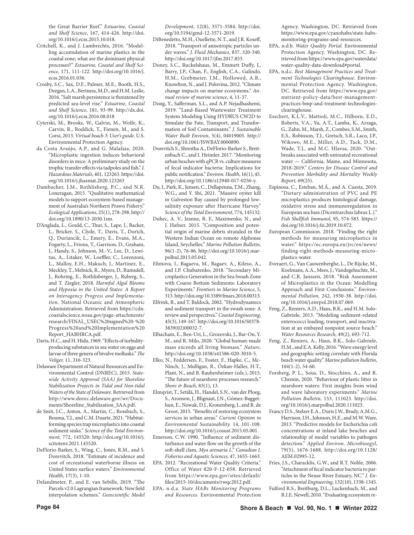the Great Barrier Reef." *Estuarine, Coastal and Shelf Science*, 167, 414-426. http://doi. org/10.1016/j.ecss.2015.10.018.

- Critchell, K., and J. Lambrechts, 2016. "Modelling accumulation of marine plastics in the coastal zone; what are the dominant physical processes?" *Estuarine, Coastal and Shelf Science*, 171, 111-122. http://doi.org/10.1016/j. ecss.2016.01.036.
- Crosby, S.C., Sax, D.F., Palmer, M.E., Booth, H.S., Deegan, L.A., Bertness, M.D., and H.M. Leslie, 2016. "Salt marsh persistence is threatened by predicted sea-level rise." *Estuarine, Coastal and Shelf Science*, 181, 93-99. http://dx.doi. org/10.1016/j.ecss.2016.08.018
- Cyterski, M., Brooks, W., Galvin, M., Wolfe, K., Carvin, R., Roddick, T., Fienen, M., and S. Corsi, 2013. *Virtual beach 3: User's guide*. U.S. Environmental Protection Agency.
- da Costa Araújo, A.P., and G. Malafaia, 2020. "Microplastic ingestion induces behavioral disorders in mice: A preliminary study on the trophic transfer effects via tadpoles and fish." *J. Hazardous Materials*, 401, 123263. https://doi. org/10.1016/j.jhazmat.2020.123263
- Dambacher, J.M., Rothlisberg, P.C., and N.R. Loneragan, 2015. "Qualitative mathematical models to support ecosystem-based management of Australia's Northern Prawn Fishery." *Ecological Applications*, 25(1), 278-298. http:// doi.org/10.1890/13-2030.1sm.
- D'Anglada, L., Gould, C., Thur, S., Lape, J., Backer, L., Bricker, S., Clyde, T., Davis, T., Dortch, Q., Duriancik, L., Emery, E., Evans, M.A., Fogarty, L., Friona, T., Garrison, D., Graham, J., Handy, S., Johnson, M.-V., Lee, D., Lewitus, A., Litaker, W., Loeffler, C., Lorenzoni, L., Malloy, E.H., Makuch, J., Martinez, E., Meckley, T., Melnick, R., Myers, D., Ramsdell, J., Rohring, E., Rothlisberger, J., Ruberg, S., and T. Ziegler, 2018. *Harmful Algal Blooms and Hypoxia in the United States: A Report on Interagency Progress and Implementation.* National Oceanic and Atmospheric Administration. Retrieved from https://cdn. coastalscience.noaa.gov/page-attachments/ research/FINAL\_USEC%20signed%20-%20 Progress%20and%20Implementation%20 Report\_HABHRCA.pdf.
- Davis, H.C., and H. Hidu, 1969. "Effects of turbidityproducing substances in sea water on eggs and larvae of three genera of bivalve mollusks." *The Veliger,* 11, 316-323.
- Delaware Department of Natural Resources and Environmental Control (DNREC), 2015. *Statewide Activity Approval (SAA) for Shoreline Stabilization Projects in Tidal and Non-tidal Waters of the State of Delaware.* Retrieved from http://www.dnrec.delaware.gov/wr/Documents/Shoreline\_Stabilization\_SAA.pdf.
- de Smit, J.C., Anton, A., Martin, C., Rossbach, S., Bouma, T.J., and C.M. Duarte, 2021. "Habitatforming species trap microplastics into coastal sediment sinks." *Science of the Total Environment*, 772, 145520. http://doi.org/10.1016/j. scitotenv.2021.145520.
- DeFlorio-Barker, S., Wing, C., Jones, R.M., and S. Dorevitch, 2018. "Estimate of incidence and cost of recreational waterborne illness on United States surface waters." *Environmental Health*, 17(3), 1-10.
- Delandmeter, P., and E. van Sebille, 2019. "The Parcels v2.0 Lagrangian framework: New field interpolation schemes." *Geoscientific Model*

*Development*, 12(8), 3571-3584. http://doi. org/10.5194/gmd-12-3571-2019.

- DiBenedetto, M.H., Ouellette, N.T., and J.R. Koseff, 2018. "Transport of anisotropic particles under waves." *J. Fluid Mechanics*, 837, 320-340. http://doi.org/10.1017/jfm.2017.853.
- Doney, S.C., Ruckelshaus, M., Emmett Duffy, J., Barry, J.P., Chan, F., English, C.A., Galindo, H.M., Grebmeier, J.M., Hollowed, A.B., Knowlton, N., and J. Polovina, 2012. "Climate change impacts on marine ecosystems." *Annual review of marine science*, 4, 11-37.
- Dong, Y., Safferman, S.L., and A.P. Nejadhashemi, 2019. "Land-Based Wastewater Treatment System Modeling Using HYDRUS CW2D to Simulate the Fate, Transport, and Transformation of Soil Contaminants." *J. Sustainable Water Built Environ*, 5(4), 04019005. http:// doi.org/10.1061/JSWBAY.0000890.
- Dorevitch S., Shrestha A., DeFlorio-Barker S., Breitenbach C., and I. Heimler, 2017. "Monitoring urban beaches with qPCR vs. culture measures of fecal indicator bacteria: Implications for public notification." *Environ. Health*, 16(1), 45. http://doi.org/10.1186/s12940-017-0256-y.
- Du, J., Park, K., Jensen, C., Dellapenna, T.M., Zhang, W.G., and Y. Shi, 2021. "Massive oyster kill in Galveston Bay caused by prolonged lowsalinity exposure after Hurricane Harvey." *Science of the Total Environment*, 774, 145132.
- Duhec, A. V., Jeanne, R. F., Maximenko, N., and J. Hafner, 2015. "Composition and potential origin of marine debris stranded in the Western Indian Ocean on remote Alphonse Island, Seychelles." *Marine Pollution Bulletin*, 96(1-2), 76-86. http://doi.org/10.1016/j.marpolbul.2015.05.042.
- Efimova, I., Bagaeva, M., Bagaev, A., Kileso, A., and I.P. Chubarenko, 2018. "Secondary Microplastics Generation in the Sea Swash Zone with Coarse Bottom Sediments: Laboratory Experiments." *Frontiers in Marine Science*, 5, 313. http://doi.org/10.3389/fmars.2018.00313.
- Elfrink, B., and T. Baldock, 2002. "Hydrodynamics and sediment transport in the swash zone: A review and perspectives." *Coastal Engineering*, 45(3), 149-167. http://doi.org/10.1016/S0378- 3839(02)00032-7.
- Elhacham, E., Ben-Uri, L., Grozovski, J., Bar-On, Y. M., and R. Milo, 2020. "Global human-made mass exceeds all living biomass." *Nature*. http://doi.org/10.1038/s41586-020-3010-5.
- Elko, N., Feddersen, F., Foster, F., Hapke, C., Mc-Ninch, J., Mulligan, R., Özkan-Haller, H.T., Plant, N., and B. Raubenheimer (eds.), 2015. "The future of nearshore processes research." *Shore & Beach*, 83(1), 13.
- Elmqvist, T., Setälä, H., Handel, S.N., van der Ploeg, S., Aronson, J., Blignaut, J.N., Gómez-Baggethun, E., Nowak, D.J., Kronenberg, J., and R. de Groot, 2015. "Benefits of restoring ecosystem services in urban areas." *Current Opinion in Environmental Sustainability.* 14, 101-108. http://doi.org/10.1016/j.cosust.2015.05.001.
- Emerson, C.W. 1990. "Influence of sediment disturbance and water flow on the growth of the soft-shell clam, *Mya arenaria L*." *Canadian J. Fisheries and Aquatic Sciences,* 47, 1655-1663.
- EPA. 2012. "Recreational Water Quality Criteria." Office of Water 820-F-12-058. Retrieved from https://www.epa.gov/sites/default/ files/2015-10/documents/rwqc2012.pdf.
- EPA, n.d.a. *State HABs Monitoring Programs and Resources.* Environmental Protection

Agency. Washington, DC. Retrieved from https://www.epa.gov/cyanohabs/state-habsmonitoring-programs-and-resources.

- EPA, n.d.b. *Water Quality Portal.* Environmental Protection Agency. Washington, DC. Retrieved from https://www.epa.gov/waterdata/ water-quality-data-download#portal.
- EPA, n.d.c. *Best Management Practices and Treatment Technologies Clearinghouse*. Environmental Protection Agency. Washington, DC. Retrieved from https://www.epa.gov/ nutrient-policy-data/best-managementpractices-bmp-and-treatment-technologiesclearinghouse.
- Esschert, K.L.V., Mattioli, M.C., Hilborn, E.D., Roberts, V.A., Yu, A.T., Lamba, K., Arzaga, G., Zahn, M., Marsh, Z., Combes, S.M., Smith, E.S., Robinson, T.J., Gretsch, S.R., Laco, J.P., Wikswo, M.E., Miller, A.D., Tack, D.M., Wade, T.J., and M.C. Hlavsa, 2020. "Outbreaks associated with untreated recreational water — California, Maine, and Minnesota, 2018-2019." *Centers for Disease Control and Prevention Morbidity and Mortality Weekly Report,* 69(25).
- Espinosa, C., Esteban, M.Á., and A. Cuesta, 2019. "Dietary administration of PVC and PE microplastics produces histological damage, oxidative stress and immunoregulation in European sea bass (Dicentrarchus labrax L.)." *Fish Shellfish Immunol*, 95, 574-583. https:// doi.org/10.1016/j.fsi.2019.10.072.
- European Commission. 2018. "Finding the right methods for measuring microplastics in water." https://ec.europa.eu/jrc/en/news/ finding-right-methods-measuring-microplastics-water.
- Everaert, G., Van Cauwenberghe, L., De Rijcke, M., Koelmans, A.A., Mees, J., Vandegehuchte, M., and C.R. Janssen, 2018. "Risk Assessment of Microplastics in the Ocean: Modelling Approach and First Conclusions." *Environmental Pollution,* 242, 1930-38. http://doi. org/10.1016/j.envpol.2018.07.069.
- Feng, Z., Reniers, A.D., Haus, B.K., and H.M. Solo‐ Gabriele, 2013. "Modeling sediment‐related enterococci loading, transport, and inactivation at an embayed nonpoint source beach." *Water Resources Research*, 49(2), 693-712.
- Feng, Z., Reniers, A., Haus, B.K., Solo-Gabriele, H.M., and E.A. Kelly, 2016. "Wave energy level and geographic setting correlate with Florida beach water quality." *Marine pollution bulletin*, 104(1-2), 54-60.
- Forsberg, P. L., Sous, D., Stocchino, A., and R. Chemin, 2020. "Behaviour of plastic litter in nearshore waters: First insights from wind and wave laboratory experiments." *Marine Pollution Bulletin*, 153, 111023. http://doi. org/10.1016/j.marpolbul.2020.111023.
- Francy D.S., Stelzer E.A., Duris J.W., Brady, A.M.G., Harrison, J.H., Johnson, H.E., and M.W. Ware, 2013. "Predictive models for Escherichia coli concentrations at inland lake beaches and relationship of model variables to pathogen detection." *Applied Environ. Microbioogyl*, 79(5), 1676-1688. http://doi.org/10.1128/ AEM.02995-12.
- Fries, J.S., Characklis, G.W., and R.T. Noble, 2006. "Attachment of fecal indicator bacteria to particles in the Neuse River Estuary, NC." *J. Environmental Engineering*, 132(10), 1338-1345.
- Fulford R.S., Breitburg, D.L., Luckenbach, M., and R.I.E. Newell, 2010. "Evaluating ecosystem re-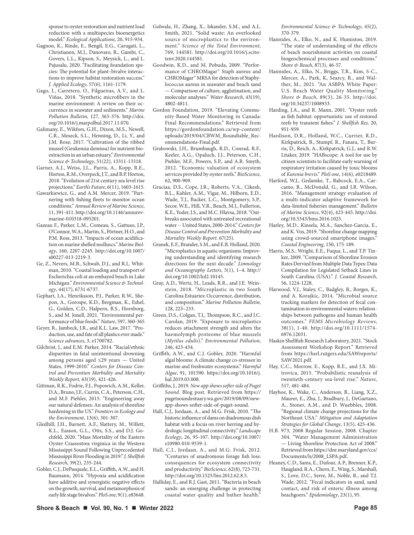sponse to oyster restoration and nutrient load reduction with a multispecies bioenergetics model." *Ecological Applications*, 20, 915-934.

- Gagnon, K., Rinde, E., Bengil, E.G., Carugati, L., Christianen, M.J., Danovaro, R., Gambi, C., Govers, L.L., Kipson, S., Meysick, L., and L. Pajusalu, 2020. "Facilitating foundation species: The potential for plant–bivalve interactions to improve habitat restoration success." *J. Applied Ecology*, 57(6), 1161-1179.
- Gago, J., Carretero, O., Filgueiras, A.V., and L. Viñas, 2018. "Synthetic microfibers in the marine environment: A review on their occurrence in seawater and sediments." *Marine Pollution Bulletin,* 127, 365-376. http://doi. org/10.1016/j.marpolbul.2017.11.070.
- Galimany, E., Wikfors, G.H., Dixon, M.S., Newell, C.R., Meseck, S.L., Henning, D., Li, Y., and J.M. Rose, 2017. "Cultivation of the ribbed mussel (Geukensia demissa) for nutrient bioextraction in an urban estuary." *Environmental Science & Technology*, 51(22), 13311-13318.
- Garner, A.J., Weiss, J.L., Parris, A., Kopp, R.E., Horton, R.M., Overpeck, J.T., and B.P. Horton, 2018. "Evolution of 21st century sea level rise projections." *Earth's Future*, 6(11), 1603-1615.
- Gawarkiewicz, G., and A.M. Mercer, 2019. "Partnering with fishing fleets to monitor ocean conditions." *Annual Review of Marine Science*, 11, 391-411. http://doi.org/10.1146/annurevmarine-010318-095201.
- Gazeau F., Parker, L.M., Comeau, S., Gattuso, J.P., O'Connor, W.A., Martin, S., Pörtner, H.O., and P.M. Ross, 2013. "Impacts of ocean acidification on marine shelled molluscs." *Marine Biology*, 160, 2207-2245. http://doi.org/10.1007/ s00227-013-2219-3.
- Ge, Z., Nevers, M.B., Schwab, D.J., and R.L. Whitman, 2010. "Coastal loading and transport of Escherichia coli at an embayed beach in Lake Michigan." *Environmental Science & Technology*, 44(17), 6731-6737.
- Gephart, J.A., Henriksson, P.J., Parker, R.W., Shepon, A., Gorospe, K.D., Bergman, K., Eshel, G., Golden, C.D., Halpern, B.S., Hornborg, S., and M. Jonell, 2021. "Environmental performance of blue foods." *Nature,* 597, 360-365
- Geyer, R., Jambeck, J.R., and K.L. Law, 2017. "Production, use, and fate of all plastics ever made." *Science advances*, 3, e1700782.
- Gilchrist, J., and E.M. Parker, 2014. "Racial/ethnic disparities in fatal unintentional drowning among persons aged ≤29 years — United States, 1999-2010." *Centers for Disease Control and Prevention Morbidity and Mortality Weekly Report,* 63(19), 421-426.
- Gittman, R.K., Fodrie, F.J., Popowich, A.M., Keller, D.A., Bruno, J.F., Currin, C.A., Peterson, C.H., and M.F. Piehler, 2015. "Engineering away our natural defenses: An analysis of shoreline hardening in the US." *Frontiers in Ecology and the Environment*, 13(6), 301-307.
- Gledhill, J.H., Barnett, A.F., Slattery, M., Willett, K.L., Easson, G.L., Otts, S.S., and D.J. Gochfeld, 2020. "Mass Mortality of the Eastern Oyster Crassostrea virginica in the Western Mississippi Sound Following Unprecedented Mississippi River Flooding in 2019." *J. Shellfish Research*, 39(2), 235-244.
- Gobler, C.J., DePasquale, E.L., Griffith, A.W., and H. Baumann, 2014. "Hypoxia and acidification have additive and synergistic negative effects on the growth, survival, and metamorphosis of early life stage bivalves." *PloS one*, 9(1), e83648.
- Golwala, H., Zhang, X., Iskander, S.M., and A.L. Smith, 2021. "Solid waste: An overlooked source of microplastics to the environment." *Science of the Total Environment,* 769, 144581. http://doi.org/10.1016/j.scitotenv.2020.144581.
- Goodwin, K.D., and M. Pobuda, 2009. "Performance of CHROMagar™ Staph aureus and CHROMagar™ MRSA for detection of Staphylococcus aureus in seawater and beach sand — Comparison of culture, agglutination, and molecular analyses." *Water Research*, 43(19), 4802-4811.
- Gordon Foundation, 2019. "Elevating Community-Based Water Monitoring in Canada: Final Recommendations." Retrieved from https://gordonfoundation.ca/wp-content/ uploads/2019/04/CBWM\_Roundtable\_Recommendations-Final.pdf.
- Grabowski, J.H., Brumbaugh, R.D., Conrad, R.F., Keeler, A.G., Opaluch, J.J., Peterson, C.H., Piehler, M.F., Powers, S.P., and A.R. Smyth, 2012. "Economic valuation of ecosystem services provided by oyster reefs." *BioScience,* 62, 900-909.
- Graciaa, D.S., Cope, J.R., Roberts, V.A., Cikesh, B.L., Kahler, A.M., Vigar, M., Hilborn, E.D., Wade, T.J., Backer, L.C., Montgomery, S.P., Secor, W.E., Hill, V.R., Beach, M.J., Fullerton, K.E., Yoder, J.S., and M.C. Hlavsa, 2018. "Outbreaks associated with untreated recreational water -- United States, 2000-2014." *Centers for Disease Control and Prevention Morbidity and Mortality Weekly Report.* 67(25).
- Granek, E.F., Brander, S.M., and E.B. Holland, 2020. "Microplastics in aquatic organisms: Improving understanding and identifying research directions for the next decade." *Limnology and Oceanography Letters*, 5(1), 1–4. http:// doi.org/10.1002/lol2.10145.
- Gray, A.D., Wertz, H., Leads, R.R., and J.E. Weinstein, 2018. "Microplastic in two South Carolina Estuaries: Occurrence, distribution, and composition." *Marine Pollution Bulletin,* 128, 223–233.
- Green, D.S., Colgan, T.J., Thompson, R.C., and J.C. Carolan, 2019. "Exposure to microplastics reduces attachment strength and alters the haemolymph proteome of blue mussels (*Mytilus edulis*)." *Environmental Pollution*, 246, 423-434.
- Griffith, A.W., and C.J. Gobler, 2020. "Harmful algal blooms: A climate change co-stressor in marine and freshwater ecosystems." *Harmful Algae*, 91, 101590. https://doi.org/10.1016/j. hal.2019.03.008.
- Griffiths, J., 2019. *New app shows softer side of Puget Sound.* Blog post. Retrieved from https:// pugetsoundestuary.wa.gov/2019/08/09/newapp-shows-softer-side-of-puget-sound.
- Hall, C.J., Jordaan, A., and M.G. Frisk, 2010. "The historic influence of dams on diadromous dish habitat with a focus on river herring and hydrologic longitudinal connectivity." *Landscape Ecology*, 26, 95-107. http://doi.org/10.1007/ s10980-010-9539-1.
- Hall, C.J., Jordaan, A., and M.G. Frisk, 2012. "Centuries of anadromous forage fish loss: consequences for ecosystem connectivity and productivity." *BioScience*, 62(8), 723-731. http://doi.org/10.1525/bio.2012.62.8.5.
- Halliday, E., and R.J. Gast, 2011. "Bacteria in beach sands: an emerging challenge in protecting coastal water quality and bather health."

*Environmental Science & Technology*, 45(2), 370-379.

- Hannides, A., Elko, N., and K. Humiston, 2019. "The state of understanding of the effects of beach nourishment activities on coastal biogeochemical processes and conditions." *Shore & Beach*, 87(3), 46-57.
- Hannides, A., Elko, N., Briggs, T.R., Kim, S-C., Mercer, A., Park, K, Searcy, R., and Walther, M., 2021. "An ASBPA White Paper: U.S. Beach Water Quality Monitoring." *Shore & Beach*, 89(3), 26-35. http://doi. org/10.34237/1008933.
- Harding, J.A., and R. Mann, 2001. "Oyster reefs as fish habitat: opportunistic use of restored reefs by transient fishes." *J. Shellfish Res,* 20, 951-959.
- Hardison, D.R., Holland, W.C., Currier, R.D., Kirkpatrick, B., Stumpf, R., Fanara, T., Burris, D., Reich, A., Kirkpatrick, G.J., and R.W. Litaker, 2019. "HABscope: A tool for use by citizen scientists to facilitate early warning of respiratory irritation caused by toxic blooms of *Karenia brevis*." *PloS one*, 14(6), e0218489.
- Harford, W.J., Gedamke, T., Babcock, E.A., Carcamo, R., McDonald, G., and J.R. Wilson, 2016. "Management strategy evaluation of a multi-indicator adaptive framework for data-limited fisheries management." *Bulletin of Marine Science*, 92(4), 423-445. http://doi. org/10.5343/bms.2016.1025.
- Harley, M.D., Kinsela, M.A., Sanchez-Garcia, E., and K. Vos, 2019. "Shoreline change mapping using crowd-sourced smartphone images." *Coastal Engineering*, 150, 175-189.
- Harris, M.S., Wright, E.E., Fuqua, L., and T.P. Tinker, 2009. "Comparison of Shoreline Erosion Rates Dervied from Multiple Data Types: Data Compilation for Legislated Setback Lines in South Carolina (USA)." *J. Coastal Research*, 56, 1224-1228.
- Harwood, V.J., Staley, C., Badgley, B., Borges, K., and A. Korajkic, 2014. "Microbial source tracking markers for detection of fecal contamination in environmental waters: relationships between pathogens and human health outcomes." *FEMS Microbiology Reviews,*  38(1), 1-40. http://doi.org/10.1111/1574- 6976.12031.
- Haskin Shellfish Research Laboratory, 2021. "Stock Assessment Workshop Report." Retrieved from https://hsrl.rutgers.edu/SAWreports/ SAW2021.pdf.
- Hay, C.C., Morrow, E., Kopp, R.E., and J.X. Mitrovica, 2015. "Probabilistic reanalysis of twentieth-century sea-level rise." *Nature,* 517, 481-484.
- Hayhoe, K., Wake, C., Anderson, B., Liang, X.Z., Maurer, E., Zhu, J., Bradbury, J., DeGaetano, A., Stoner, A.M., and D. Wuebbles, 2008. "Regional climate change projections for the Northeast USA." *Mitigation and Adaptation Strategies for Global Change*, 13(5), 425-436.
- H.B. 973, 2008 Regular Session, 2008. Chapter 304. "Water Management Administration — Living Shoreline Protection Act of 2008." Retrieved from https://dnr.maryland.gov/ccs/ Documents/ls/2008\_LSPA.pdf.
- Heaney, C.D., Sams, E., Dufour, A.P., Brenner, K.P., Haugland, R.A., Chern, E., Wing, S., Marshall, S., Love, D.C., Serre, M., Noble, R., and T.J. Wade, 2012. "Fecal indicators in sand, sand contact, and risk of enteric illness among beachgoers." *Epidemiology*, 23(1), 95.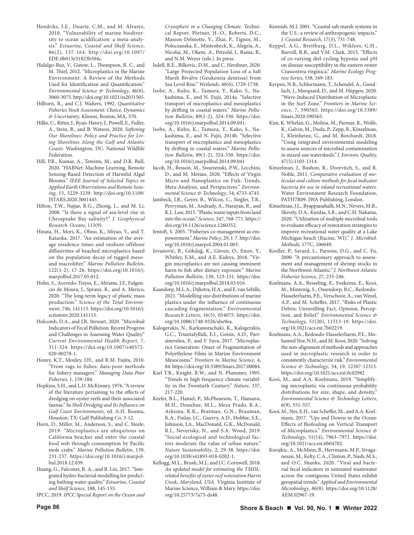- Hendriks, I.E., Duarte, C.M., and M. Álvarez, 2010. "Vulnerability of marine biodiversity to ocean acidification: a meta-analysis." *Estuarine, Coastal and Shelf Science*, 86(2), 157-164. http://doi.org/10.1097/ EDE.0b013e31823b504c.
- Hidalgo-Ruz, V., Gutow, L., Thompson, R. C., and M. Thiel, 2012. "Microplastics in the Marine Environment: A Review of the Methods Used for Identification and Quantification." *Environmental Science & Technology*, 46(6), 3060-3075. http://doi.org/10.1021/es2031505.
- Hilborn, R., and C.J. Walters, 1992. *Quantitative Fisheries Stock Assessment: Choice, Dynamics & Uncertainty*, Kluwer, Boston, MA, 570.
- Hilke, C., Ritter, J., Ryan-Henry, J., Powell, E., Fuller, A., Stein, B., and B. Watson, 2020. *Softening Our Shorelines: Policy and Practice for Living Shorelines Along the Gulf and Atlantic Coasts.* Washington, DC: National Wildlife Federation.
- Hill, P.R., Kumar, A., Temimi, M., and D.R. Bull, 2020. "HABNet: Machine Learning, Remote Sensing-Based Detection of Harmful Algal Blooms." *IEEE Journal of Selected Topics in Applied Earth Observations and Remote Sensing*, 13, 3229-3239. http://doi.org/10.1109/ JSTARS.2020.3001445.
- Hilton, T.W., Najjar, R.G., Zhong, L., and M. Li, 2008. "Is there a signal of sea‐level rise in Chesapeake Bay salinity?" *J. Geophysical Research: Oceans*, 113(9).
- Hinata, H., Mori, K., Ohno, K., Miyao, Y., and T. Kataoka, 2017. "An estimation of the average residence times and onshore-offshore diffusivities of beached microplastics based on the population decay of tagged mesoand macrolitter." *Marine Pollution Bulletin*, 122(1-2), 17-26. https://doi.org/10.1016/j. marpolbul.2017.05.012.
- Hohn, S., Acevedo-Trejos, E., Abrams, J.F., Fulgencio de Moura, J., Spranz, R., and A. Merico, 2020. "The long-term legacy of plastic mass production." *Science of the Total Environment*, 746, 141115. https://doi.org/10.1016/j. scitotenv.2020.141115.
- Holcomb, D.A., and J.R. Stewart, 2020. "Microbial Indicators of Fecal Pollution: Recent Progress and Challenges in Assessing Water Quality." *Current Environmental Health Report,* 7, 311-324. https://doi.org/10.1007/s40572- 020-00278-1.
- Honey, K.T., Moxley, J.H., and R.M. Fujita, 2010. "From rags to fishes: data-poor methods for fishery managers." *Managing Data-Poor Fisheries*, 1, 159-184.
- Hopkins, S.H., and L.D. McKinney, 1976. "A review of the literature pertaining to the effects of dredging on oyster reefs and their associated faunas." In *Shell Dredging and Its Influence on Gulf Coast Environments*, ed. A.H. Bouma, Houston, TX: Gulf Publishing Co, 3-12.
- Horn, D., Miller, M., Anderson, S., and C. Steele, 2019. "Microplastics are ubiquitous on California beaches and enter the coastal food web through consumption by Pacific mole crabs." *Marine Pollution Bulletin*, 139, 231-237. https://doi.org/10.1016/j.marpolbul.2018.12.039.
- Huang, G., Falconer, R. A., and B. Lin, 2017. "Integrated hydro-bacterial modelling for predicting bathing water quality." *Estuarine, Coastal and Shelf Science*, 188, 145-155.

IPCC, 2019. *IPCC Special Report on the Ocean and* 

*Cryosphere in a Changing Climate*. Technical Report. Pörtner, H.-O., Roberts, D.C., Masson-Delmotte, V., Zhai, P., Tignor, M., Poloczanska, E., Mintenbeck, K., Alegría, A., Nicolai, M., Okem, A., Petzold, J., Rama, B., and N.M. Weyer (eds.). In press.

- Isdell, R.E., Bilkovic, D.M., and C. Hershner, 2020. "Large Projected Population Loss of a Salt Marsh Bivalve (Geukensia demissa) from Sea Level Rise." *Wetlands*, 40(6), 1729-1738.
- Isobe, A., Kubo, K., Tamura, Y., Kako, S., Nakashima, E., and N. Fujii, 2014a. "Selective transport of microplastics and mesoplastics by drifting in coastal waters." *Marine Pollution Bulletin*, 89(1-2), 324-330. https://doi. org/10.1016/j.marpolbul.2014.09.041.
- Isobe, A., Kubo, K., Tamura, Y., Kako, S., Nakashima, E., and N. Fujii, 2014b. "Selective transport of microplastics and mesoplastics by drifting in coastal waters." *Marine Pollution Bulletin*, 89(1-2), 324-330. https://doi. org/10.1016/j.marpolbul.2014.09.041
- Jacob, H., Besson, M., Swarzenski, P.W., Lecchini, D., and M. Metian, 2020. "Effects of Virgin Micro-and Nanoplastics on Fish: Trends, Meta-Analysis, and Perspectives." *Environmental Science & Technology*, 54, 4733-4745.
- Jambeck, J.R., Geyer, R., Wilcox, C., Siegler, T.R., Perryman, M., Andrady, A., Narayan, R., and K.L. Law, 2015. "Plastic waste inputs from land into the ocean." *Science,* 347, 768-771. https:// doi.org/10.1126/science.1260352.
- Jentoft, S. 2005. "Fisheries co-management as empowerment." *Marine Policy*, 29, 1-7. http://doi. org/10.1016/j.marpol.2004.01.003.
- Jovanović, B., Gökdağ, K., Güven, O., Emre, Y., Whitley, E.M., and A.E. Kideys, 2018. "Virgin microplastics are not causing imminent harm to fish after dietary exposure." *Marine Pollution Bulletin*, 130, 123-131. https://doi. org/10.1016/j.marpolbul.2018.03.016.
- Kaandorp, M.L.A., Dijkstra, H.A., and E. van Sebille, 2021. "Modelling size distributions of marine plastics under the influence of continuous cascading fragmentation." *Environmental Research Letters*, 16(5), 054075. https://doi. org/10.1088/1748-9326/abe9ea.
- Kalogerakis, N., Karkanorachaki, K., Kalogerakis, G.C., Triantafyllidi, E.I., Gotsis, A.D., Partsinevelos, P., and F. Fava, 2017. "Microplastics Generation: Onset of Fragmentation of Polyethylene Films in Marine Environment Mesocosms." *Frontiers in Marine Science*, 4, 84. https://doi.org/10.3389/fmars.2017.00084.
- Karl T.R., Knight, R.W., and N. Plummer, 1995. "Trends in high-frequency climate variability in the Twentieth Century." *Nature*, 337, 217-220.
- Keeler, B.L., Hamel, P., McPhearson, T., Hamann, M.H., Donahue, M.L., Meza Prado, K.A., Arkema, K.K., Bratman, G.N., Brauman, K.A., Finlay, J.C., Guerry, A.D., Hobbie, S.E., Johnson, J.A., MacDonald, G.K., McDonald, R.I., Neverisky, N., and S.A. Wood, 2019. "Social-ecological and technological factors moderate the value of urban nature." *Nature Sustainability*, 2, 29-38. https://doi. org/10.1038/s41893-018-0202-1.
- Kellogg, M.L., Brush, M.J., and J.C. Cornwell, 2018. *An updated model for estimating the TMDLrelated benefits of oyster reef restoration Harris Creek, Maryland, USA*. Virginia Institute of Marine Science, William & Mary. https://doi. org/10.25773/7a75-ds48.
- Kennish, M.J. 2001. "Coastal salt marsh systems in the U.S.: a review of anthropogenic impacts." *J. Coastal Research*, 17(3), 731-748.
- Keppel, A.G., Breitburg, D.L., Wikfors, G.H., Burrell, R.B., and V.M. Clark, 2015. "Effects of co-varying diel-cycling hypoxia and pH on disease susceptibility in the eastern oyster Crassostrea virginica." *Marine Ecology Progress Series*, 538, 169-183.
- Kerpen, N.B., Schlurmann, T., Schendel, A., Gundlach, J., Marquard, D., and M. Hüpgen, 2020. "Wave-Induced Distribution of Microplastic in the Surf Zone." *Frontiers in Marine Science*, 7, 590565. https://doi.org/10.3389/ fmars.2020.590565.
- Kim, K. Whelan, G., Molina, M., Parmar, R., Wolfe, K., Galvin, M., Duda, P., Zepp, R., Kinzelman, J., Kleinheinz, G., and M. Borchardt, 2018. "Using integrated environmental modeling to assess sources of microbial contamination in mixed-use watersheds." *J. Environ. Quality,* 47(5):1103-1114.
- Kinzelman, J., Bushon, R., Dorevitch, S., and R. Noble, 2011. *Comparative evaluation of molecular and culture methods for fecal indicator bacteria for use in inland recreational waters.* Water Environment Research Foundation, PATH7R09. IWA Publishing, London.
- Kinzelman, J.L., Byappanahalli, M.N., Nevers, M.B., Shively, D.A., Kurdas, S.R., and C.H. Nakatsu, 2020. "Utilization of multiple microbial tools to evaluate efficacy of restoration strategies to improve recreational water quality at a Lake Michigan beach (Racine, WI)." *J. Microbiol. Methods,* 177C, 106049.
- Koeller, P., Savard, L., Parsons, D.G., and C. Fu, 2000. "A precautionary approach to assessment and management of shrimp stocks in the Northwest Atlantic." *J. Northwest Atlantic Fisheries Science*, 27, 235-246.
- Koelmans, A.A., Besseling, E., Foekema, E., Kooi, M., Mintenig, S., Ossendorp, B.C., Redondo-Hasselerharm, P.E., Verschoor, A., van Wezel, A.P., and M. Scheffer, 2017. "Risks of Plastic Debris: Unravelling Fact, Opinion, Perception, and Belief." *Environmental Science & Technology,* 51(20), 11513-19. https://doi. org/10.1021/acs.est.7b02219.
- Koelmans, A.A., Redondo-Hasselerharm, P.E., Mohamed Nor, N.H., and M. Kooi, 2020. "Solving the non-alignment of methods and approaches used in microplastic research in order to consistently characterize risk." *Environmental Science & Technology*, 54, 19, 12307-12315. https://doi.org/10.1021/acs.est.0c02982
- Kooi, M., and A.A. Koelmans, 2019. "Simplifying microplastic via continuous probability distributions for size, shape, and density." *Environmental Science & Technology Letters*, 6(9), 551-557.
- Kooi, M., Nes, E.H., van Scheffer, M., and A.A. Koelmans, 2017. "Ups and Downs in the Ocean: Effects of Biofouling on Vertical Transport of Microplastics." *Environmental Science & Technology*, 51(14), 7963–7971. https://doi. org/10.1021/acs.est.6b04702.
- Korajkic, A., McMinn, B., Herrmann, M.P., Sivaganesan, M., Kelty, C.A., Clinton, P., Nash, M.S., and O.C. Shanks, 2020. "Viral and bacterial fecal indicators in untreated wastewater across the contiguous United States exhibit geospatial trends." *Applied and Environmental Microbiology*, *86*(8). https://doi.org/10.1128/ AEM.02967-19.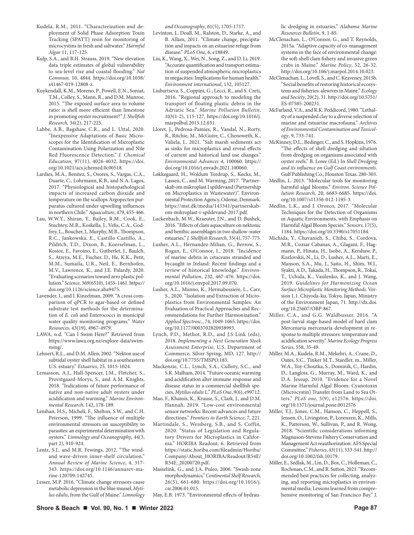- Kudela, R.M., 2011. "Characterization and deployment of Solid Phase Adsorption Toxin Tracking (SPATT) resin for monitoring of microcystins in fresh and saltwater." *Harmful Algae* 11, 117-125.
- Kulp, S.A., and B.H. Strauss, 2019. "New elevation data triple estimates of global vulnerability to sea-level rise and coastal flooding." *Nat Commun,* 10, 4844. https://doi.org/10.1038/ s41467-019-12808-z.
- Kuykendall, K.M., Moreno, P., Powell, E.N., Soniat, T.M., Colley, S., Mann, R., and D.M. Munroe, 2015. "The exposed surface area to volume ratio: is shell more efficient than limestone in promoting oyster recruitment?" *J. Shellfish Research*, 34(2), 217-225.
- Labbe, A.B., Bagshaw, C.R., and L. Uttal, 2020. "Inexpensive Adaptations of Basic Microscopes for the Identification of Microplastic Contamination Using Polarization and Nile Red Fluorescence Detection." *J. Chemical Education*, 97(11), 4026-4032. https://doi. org/10.1021/acs.jchemed.0c00518.
- Lardies, M.A., Benitez, S., Osores, S., Vargas, C.A., Duarte, C., Lohrmann, K.B., and N.A. Lagos, 2017. "Physiological and histopathological impacts of increased carbon dioxide and temperature on the scallops Argopecten purpuratus cultured under upwelling influences in northern Chile." *Aquaculture*, 479, 455-466.
- Lau, W.W.Y., Shiran, Y., Bailey, R.M., Cook, E., Stuchtey, M.R., Koskella, J., Velis, C.A., Godfrey, L., Boucher, J., Murphy, M.B., Thompson, R.C., Jankowska, E., Castillo Castillo, A., Pilditch, T.D., Dixon, B., Koerselman, L., Kosior, E., Favoino, E., Gutberlet, J., Baulch, S., Atreya, M.E., Fischer, D., He, K.K., Petit, M.M., Sumaila, U.R., Neil, E., Bernhofen, M.V., Lawrence, K., and J.E. Palardy, 2020. "Evaluating scenarios toward zero plastic pollution." *Science*, 369(6510), 1455-1461. https:// doi.org/10.1126/science.aba9475.
- Lavender, J., and J. Kinzelman, 2009. "A cross comparison of qPCR to agar-based or defined substrate test methods for the determination of *E. coli* and Enterococci in municipal water quality monitoring programs." *Water Resources,* 43(19), 4967-4979.
- LAWA, n.d. "Can I Swim Here?" Retrieved from https://www.lawa.org.nz/explore-data/swimming/.
- Lehnert, R.L., and D.M. Allen, 2002. "Nekton use of subtidal oyster shell habitat in a southeastern U.S. estuary." *Estuaries*, 25, 1015-1024.
- Lemasson, A.J., Hall-Spencer, J.M., Fletcher, S., Provstgaard-Morys, S., and A.M. Knights, 2018. "Indications of future performance of native and non-native adult oysters under acidification and warming." *Marine Environmental Research*, 142, 178-189.
- Lenihan, H.S., Micheli, F., Shelton, S.W., and C.H. Peterson, 1999. "The influence of multiple environmental stressors on susceptibility to parasites: an experimental determination with oysters." *Limnology and Oceanography*, 44(3, part 2), 910-924.
- Lentz, S.J., and M.R. Fewings, 2012. "The windand wave-driven inner-shelf circulation." *Annual Review of Marine Science*, 4, 317- 343. https://doi.org/10.1146/annurev-marine-120709-142745.
- Lesser, M.P. 2016. "Climate change stressors cause metabolic depression in the blue mussel, *Mytilus edulis*, from the Gulf of Maine." *Limnology*

*and Oceanography*, 61(5), 1705-1717.

- Levinton, J., Doall, M., Ralston, D., Starke, A., and B. Allam, 2011. "Climate change, precipitation and impacts on an estuarine refuge from disease." *PLoS One*, 6, e18849.
- Liu, K., Wang, X., Wei, N., Song, Z., and D. Li, 2019. "Accurate quantification and transport estimation of suspended atmospheric microplastics in megacities: Implications for human health." *Environment international*, 132, 105127.
- Liubartseva, S., Coppini, G., Lecci, R., and S. Creti, 2016. "Regional approach to modeling the transport of floating plastic debris in the Adriatic Sea." *Marine Pollution Bulletin*, 103(1-2), 115-127. https://doi.org/10.1016/j. marpolbul.2015.12.031.
- Lloret, J., Pedrosa-Pamies, R., Vandal, N., Rorty, R., Ritchie, M., McGuire, C., Chenoweth, K., Valiela, I., 2021. "Salt marsh sediments act as sinks for microplastics and reveal effects of current and historical land use changes." *Environmental Advances 4*, 100060. https:// doi.org/10.1016/j.envadv.2021.100060.
- Løkkegaard, H., Woldum Tordrup, S., Køcks, M., Lassen, C., and M. Warming, 2017. "Partnerskab om mikroplast I spildevand (Partnership on Microplastics in Wastewater)". Environmental Protection Agency, Odense, Denmark. https://mst.dk/media/143341/partnerskabom-mikroplast-i-spildevand-2017.pdf.
- Luckenbach, M.W., Kraeuter, J.N., and D. Bushek, 2016. "Effects of clam aquaculture on nektonic and benthic assemblages in two shallow-water estuaries." *J. Shellfish Research*, 35(4), 757-775.
- Lusher, A.L., Hernandez-Milian, G., Berrow, S., Rogan, E., O'Connor, I., 2018. "Incidence of marine debris in cetaceans stranded and bycaught in Ireland: Recent findings and a review of historical knowledge." *Environmental Pollution*, 232, 467-476. https://doi. org/10.1016/j.envpol.2017.09.070.
- Lusher, A.L., Munno, K., Hermabessiere, L., Carr, S., 2020. "Isolation and Extraction of Microplastics from Environmental Samples: An Evaluation of Practical Approaches and Recommendations for Further Harmonization." *Applied Spectrosc.*, 74, 1049-1065. https://doi. org/10.1177/0003702820938993.
- Lynch, P.D., Methot, R.D., and J.S Link (eds), 2018. *Implementing a Next Generation Stock Assessment Enterprise*, U.S. Department of Commerce, Silver Spring, MD, 127. http:// doi.org/10.7755/TMSPO.183.
- Mackenzie, C.L., Lynch, S.A., Culloty, S.C., and S.K. Malham, 2014. "Future oceanic warming and acidification alter immune response and disease status in a commercial shellfish species, *Mytilus edulis L*." *PLoS One*, 9(6), e99712.
- Mao, F., Khamis, K., Krause, S., Clark, J., and D.M. Hannah, 2019. "Low-cost environmental sensor networks: Recent advances and future directions." *Frontiers in Earth Science*, 7, 221.
- Martindale, S., Weisberg, S.B., and S. Coffin, 2020. "Status of Legislation and Regulatory Drivers for Microplastics in California." HORIBA Readout, 6. Retrieved from https://static.horiba.com/fileadmin/Horiba/ Company/About\_HORIBA/Readout/R54E/ R54E\_20200720.pdf.
- Masselink, G., and J.A. Puleo, 2006. "Swash-zone morphodynamics." *Continental Shelf Research*, 26(5), 661-680. https://doi.org/10.1016/j. csr.2006.01.015.

May, E.B. 1973. "Environmental effects of hydrau-

lic dredging in estuaries." *Alabama Marine Resources Bulletin*, 9, 1-85.

- McClenachan, L., O'Connor, G., and T. Reynolds, 2015a. "Adaptive capacity of co-management systems in the face of environmental change: the soft-shell clam fishery and invasive green crabs in Maine." *Marine Policy*, 52, 26-32. http://doi.org/10.106/j.marpol.2014.10.023.
- McClenachan, L., Lovell, S., and C. Keaveney, 2015b. "Social benefits of restoring historical ecosystems and fisheries: alewives in Maine." *Ecology and Society*, 20(2), 31. http://doi.org/10.5751/ ES-07585-200231.
- McFarland, V.A., and R.K. Peddicord, 1980. "Lethality of a suspended clay to a diverse selection of marine and estuarine macrofauna." *Archives of Environmental Contamination and Toxicology*, 9, 733-741.
- McKinney, D.L., Bedinger, C., and S. Hopkins, 1976. "The effects of shell dredging and siltation from dredging on organisms associated with oyster reefs." B. Lowe (Ed.) In *Shell Dredging and its influence on Gulf Coast environments*. Gulf Publishing Co., Houston Texas. 280-303.
- Medlin, L. 2013. "Molecular tools for monitoring harmful algal blooms." *Environ. Science Pollution Research,* 20, 6683-6685. https://doi. org/10.1007/s11356-012-1195-3.
- Medlin, L.K., and J. Orozco, 2017. "Molecular Techniques for the Detection of Organisms in Aquatic Environments, with Emphasis on Harmful Algal Bloom Species." *Sensors*, 17(5), 1184. https://doi.org/10.3390/s17051184.
- Michida, Y., Chavanich, S., Chiba, S., Cordova, M.R., Cozsar Cabanas, A., Glagani, F., Hagmann, P., Hinata, H., Isobe, A., Kershaw, P., Kozlovskii, N., Li, D., Lusher, A.L., Marti, E., Manson, S.A., Mu, J., Saito, H., Shim, W.J., Syakti, A.D., Takada, H., Thompson, R., Tokai, T., Uchida, K., Vasilenko, K., and J. Wang, 2019. *Guidelines for Harmonizing Ocean Surface Microplastic Monitoring Methods.* Version 1.1. Chiyoda-ku, Tokyo, Japan, Ministry of the Environment Japan, 71. http://dx.doi. org/10.25607/OBP-867.
- Miller, C.A., and G.G. Waldbusser, 2016. "A post-larval stage-based model of hard clam Mercenaria mercenaria development in response to multiple stressors: temperature and acidification severity." *Marine Ecology Progress Series*, 558, 35-49.
- Miller, M.A., Kudela, R.M., Mekebri, A., Crane, D., Oates, S.C., Tinker M.T., Staedler, m., Miller, W.A., Toy-Choutka, S., Dominik, C., Hardin, D., Langlois, G., Murray, M., Ward, K., and D.A. Jessup, 2010. "Evidence for a Novel Marine Harmful Algal Bloom: Cyanotoxin (Microcystin) Transfer from Land to Sea Otters." *PLoS one,* 5(9), e12576. https://doi. org/10.1371/journal.pone.0012576
- Miller, T.J., Jones, C.M., Hanson, C., Heppell, S., Jensen, O., Livingston, P., Lorenzen, K., Mills, K., Patterson, W., Sullivan, P., and R. Wong, 2018. "Scientific considerations informing Magnuson-Stevens Fishery Conservation and Management Act reauthorization: AFS Special Committee." *Fisheries*, 43(11), 533-541. http:// doi.org/10.1002/fsh.10179.
- Miller, E., Sedlak, M., Lin, D., Box, C., Holleman, C., Rochman, C.M., and R. Sutton, 2021. "Recommended best practices for collecting, analyzing, and reporting microplastics in environmental media: Lessons learned from comprehensive monitoring of San Francisco Bay." *J.*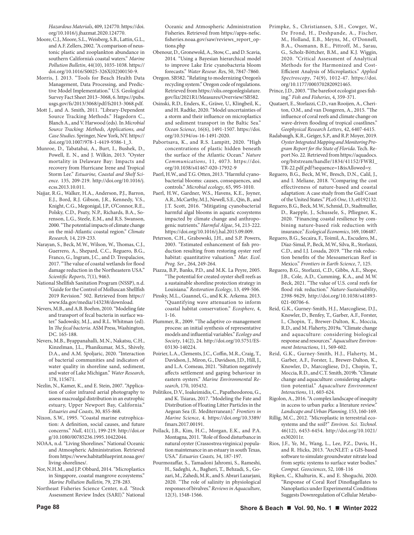*Hazardous Materials*, 409, 124770. https://doi. org/10.1016/j.jhazmat.2020.124770.

- Moore, C.J., Moore, S.L., Weisberg, S.B., Lattin, G.L., and A.F. Zellers, 2002. "A comparison of neustonic plastic and zooplankton abundance in southern California's coastal waters." *Marine Pollution Bulletin*, 44(10), 1035-1038. https:// doi.org/10.1016/S0025-326X(02)00150-9.
- Morris, J. 2013. "Tools for Beach Health Data Management, Data Processing, and Predictive Model Implementation." U.S. Geological Survey Fact Sheet 2013–3068, 6. https://pubs. usgs.gov/fs/2013/3068/pdf/fs2013-3068.pdf.
- Mott J., and A. Smith, 2011. "Library-Dependent Source Tracking Methods." Hagedorn C., Blanch A., and V. Harwood (eds). In *Microbial Source Tracking: Methods, Applications, and Case Studies*. Springer, New York, NY. https:// doi.org/10.1007/978-1-4419-9386-1\_3.
- Munroe, D., Tabatabai, A., Burt, I., Bushek, D., Powell, E. N., and J. Wilkin, 2013. "Oyster mortality in Delaware Bay: Impacts and recovery from Hurricane Irene and Tropical Storm Lee." *Estuarine, Coastal and Shelf Science*. 135, 209-219. http://doi.org/10.1016/j. ecss.2013.10.011.
- Najjar, R.G., Walker, H.A., Anderson, P.J., Barron, E.J., Bord, R.J. Gibson, J.R., Kennedy, V.S., Knight, C.G., Megonigal, J.P., O'Connor, R.E., Polsky, C.D., Psuty, N.P., Richards, B.A., Sorenson, L.G., Steele, E.M., and R.S. Swanson, 2000. "The potential impacts of climate change on the mid-Atlantic coastal region." *Climate Research,* 14, 219-233.
- Narayan, S., Beck, M.W., Wilson, W., Thomas, C.J., Guerrero, A., Shepard, C.C., Reguero, B.G., Franco, G., Ingram, J.C., and D. Trespalacios, 2017. "The value of coastal wetlands for flood damage reduction in the Northeastern USA." *Scientific Reports*, 7(1), 9463.
- National Shellfish Sanitation Program (NSSP), n.d. "Guide for the Control of Molluscan Shellfish 2019 Revision." 502. Retrieved from https:// www.fda.gov/media/143238/download.
- Nevers, M.B., and A.B. Boehm, 2010. "Modeling fate and transport of fecal bacteria in surface water." Sadowsky, M.J., and R.L. Whitman (ed). In *The fecal bacteria*. ASM Press, Washington, DC. 165-188.
- Nevers, M.B., Byappanahalli, M.N., Nakatsu, C.H., Kinzelman, J.L., Phanikumar, M.S., Shively, D.A., and A.M. Spoljaric, 2020. "Interaction of bacterial communities and indicators of water quality in shoreline sand, sediment, and water of Lake Michigan." *Water Research*, 178, 115671.
- Nezlin, N., Kamer, K., and E. Stein, 2007. "Application of color infrared aerial photography to assess macroalgal distribution in an eutrophic estuary, Upper Newport Bay, California." *Estuaries and Coasts*, 30, 855-868.
- Nixon, S.W., 1995. "Coastal marine eutrophication: A definition, social causes, and future concerns." *Null*, 41(1), 199-219. http://doi.or g/10.1080/00785236.1995.10422044.
- NOAA, n.d. "Living Shorelines." National Oceanic and Atmospheric Administration. Retrieved from https://www.habitatblueprint.noaa.gov/ living-shorelines/.
- Nor, N.H.M., and J.P. Obbard, 2014. "Microplastics in Singapore, coastal mangrove ecosystems." *Marine Pollution Bulletin,* 79, 278-283.
- Northeast Fisheries Science Center, n.d. "Stock Assessment Review Index (SARI)." National

Oceanic and Atmospheric Administration Fisheries. Retrieved from https://apps-nefsc. fisheries.noaa.gov/saw/reviews\_report\_options.php

- Obenour, D., Gronewold, A., Stow, C., and D. Scavia, 2014. "Using a Bayesian hierarchical model to improve Lake Erie cyanobacteria bloom forecasts." *Water Resour. Re*s, 50, 7847-7860.
- Oregon. SB582. "Relating to modernizing Oregon's recycling system." Oregon code of regulations. Retrieved from https://olis.oregonlegislature. gov/liz/2021R1/Measures/Overview/SB582.
- Osinski, R.D., Enders, K., Gräwe, U., Klingbeil, K., and H. Radtke, 2020. "Model uncertainties of a storm and their influence on microplastics and sediment transport in the Baltic Sea." *Ocean Science*, 16(6), 1491-1507. https://doi. org/10.5194/os-16-1491-2020.
- Pabortsava, K., and R.S. Lampitt, 2020. "High concentrations of plastic hidden beneath the surface of the Atlantic Ocean." *Nature Communications*, 11, 4073. https://doi. org/10.1038/s41467-020-17932-9
- Paerl, H.W., and T.G. Otten, 2013. "Harmful cyanobacterial blooms: causes, consequences, and controls." *Microbial ecology*, 65, 995-1010.
- Paerl, H.W., Gardner, W.S., Havens, K.E., Joyner, A.R., McCarthy, M.J., Newell, S.E., Qin, B., and J.T. Scott, 2016. "Mitigating cyanobacterial harmful algal blooms in aquatic ecosystems impacted by climate change and anthropogenic nutrients." *Harmful Algae*, 54, 213-222. https://doi.org/10.1016/j.hal.2015.09.009.
- Peterson, C.H., Grabowski, J.H., and S.P. Powers, 2003. "Estimated enhancement of fish production resulting from restoring oyster reef habitat: quantitative valuation." *Mar. Ecol. Prog. Ser*., 264, 249-264.
- Piazza, B.P., Banks, P.D., and M.K. La Peyre, 2005. "The potential for created oyster shell reefs as a sustainable shoreline protection strategy in Louisiana." *Restoration Ecology*, 13, 499-506.
- Pinsky, M.L., Guannel, G., and K.K. Arkema. 2013. "Quantifying wave attenuation to inform coastal habitat conservation." *Ecosphere*, 4, 1-16.
- Plummer, R., 2009. "The adaptive co-management process: an initial synthesis of representative models and influential variables." *Ecology and Society*, 14(2), 24. http://doi.org/10.5751/ES-03130-140224.
- Poirier, L.A., Clements, J.C., Coffin, M.R., Craig, T., Davidson, J., Miron, G., Davidson, J.D., Hill, J., and L.A. Comeau, 2021. "Siltation negatively affects settlement and gaping behaviour in eastern oysters." *Marine Environmental Research*, 170, 105432.
- Politikos, D.V., Ioakeimidis, C., Papatheodorou, G., and K. Tsiaras, 2017. "Modeling the Fate and Distribution of Floating Litter Particles in the Aegean Sea (E. Mediterranean)." *Frontiers in Marine Science*, 4. https://doi.org/10.3389/ fmars.2017.00191.
- Pollack, J.B., Kim, H.C., Morgan, E.K., and P.A. Montagna, 2011. "Role of flood disturbance in natural oyster (Crassostrea virginica) population maintenance in an estuary in south Texas, USA." *Estuaries Coasts,* 34, 187-197.
- Pourmozaffar, S., Tamadoni Jahromi, S., Rameshi, H., Sadeghi, A., Bagheri, T., Behzadi, S., Gozari, M., Zahedi, M.R., and S. Abrari Lazarjani, 2020. "The role of salinity in physiological responses of bivalves." *Reviews in Aquaculture*, 12(3), 1548-1566.
- Primpke, S., Christiansen, S.H., Cowger, W., De Frond, H., Deshpande, A., Fischer, M., Holland, E.B., Meyns, M., O'Donnell, B.A., Ossmann, B.E., Pittroff, M., Sarau, G., Scholz-Böttcher, B.M., and K.J. Wiggin, 2020. "Critical Assessment of Analytical Methods for the Harmonized and Cost-Efficient Analysis of Microplastics." *Applied Spectroscopy*, 74(9), 1012-47. https://doi. org/10.1177/0003702820921465.
- Prince, J.D., 2003. "The barefoot ecologist goes fishing." *Fish and Fisheries*, 4, 359-371.
- Quataert, E., Storlazzi, C.D., van Rooijen, A., Cheriton, O.M., and van Dongeren, A., 2015. "The influence of coral reefs and climate change on wave-driven flooding of tropical coastlines." *Geophysical Research Letters*, 42, 6407-6415.
- Radabaugh, K.R., Geiger, S.P., and R.P. Moyer, 2019. *Oyster Integrated Mapping and Monitoring Program Report for the State of Florida*. Tech. Report No. 22. Retrieved from https://aquadocs. org/bitstream/handle/1834/41152/FWRI\_ TR-22.pdf.pdf?sequence=1&isAllowed=y.
- Reguero, B.G., Beck, M.W., Bresch, D.N., Calil, J., and I. Meliane, 2018. "Comparing the cost effectiveness of nature-based and coastal adaptation: A case study from the Gulf Coast of the United States." *PLoS One*, 13, e0192132.
- Reguero, B.G., Beck, M.W., Schmid, D., Stadtmuller, D., Raepple, J., Schussele, S., Pfliegner, K., 2020. "Financing coastal resilience by combining nature-based risk reduction with insurance." *Ecological Economics*, 169, 106487.
- Reguero, B.G., Secaira, F., Toimil, A., Escudero, M., Díaz-Simal, P., Beck, M.W., Silva, R., Storlazzi, C.D., and I.J. Losada, 2019. "The risk reduction benefits of the Mesoamerican Reef in Mexico." *Frontiers in Earth Science*, 7, 125.
- Reguero, B.G., Storlazzi, C.D., Gibbs, A.E., Shope, J.B., Cole, A.D., Cumming, K.A., and M.W. Beck, 2021. "The value of U.S. coral reefs for flood risk reduction." *Nature-Sustainability*, 2398-9629, http://doi.org/10.1038/s41893- 021-00706-6.
- Reid, G.K., Gurney-Smith, H.J., Marcogliese, D.J., Knowler, D., Benfey, T., Garber, A.F., Forster, I., Chopin, T., Brewer-Dalton, K., Moccia, R.D., and M. Flaherty, 2019a. "Climate change and aquaculture: considering biological response and resources." *Aquaculture Environment Interactions*, 11, 569-602.
- Reid, G.K., Gurney-Smith, H.J., Flaherty, M., Garber, A.F., Forster, I., Brewer-Dalton, K., Knowler, D., Marcogliese, D.J., Chopin, T., Moccia, R.D., and C.T. Smith, 2019b. "Climate change and aquaculture: considering adaptation potential." *Aquaculture Environment Interactions*, 11, 603-624.
- Rigolon, A., 2016. "A complex landscape of inequity in access to urban parks: a literature review." *Landscape and Urban Planning,* 153, 160-169.
- Rillig, M.C., 2012. "Microplastic in terrestrial ecosystems and the soil?" *Environ. Sci. Technol.*  46(12), 6453-6454. http://doi.org/10.1021/ es302011r.
- Rios, J.F., Ye, M., Wang, L., Lee, P.Z., Davis, H., and R. Hicks, 2013. "ArcNLET: a GIS-based software to simulate groundwater nitrate load from septic systems to surface water bodies." *Comput. Geosciences*, 52, 108-116
- Ripken, C., Khalturin, K., and E. Shoguchi, 2020. "Response of Coral Reef Dinoflagellates to Nanoplastics under Experimental Conditions Suggests Downregulation of Cellular Metabo-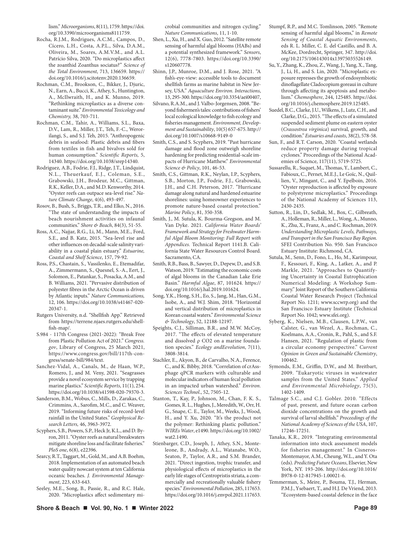lism." *Microorganisms*, 8(11), 1759. https://doi. org/10.3390/microorganisms8111759.

- Rocha, R.J.M., Rodrigues, A.C.M., Campos, D., Cícero, L.H., Costa, A.P.L., Silva, D.A.M., Oliveira, M., Soares, A.M.V.M., and A.L. Patrício Silva, 2020. "Do microplastics affect the zoanthid Zoanthus sociatus?" *Science of the Total Environment*, 713, 136659. https:// doi.org/10.1016/j.scitotenv.2020.136659.
- Rochman, C.M., Brookson, C., Bikker, J., Djuric, N., Earn, A., Bucci, K., Athey, S., Huntington, A., McIlwraith, H., and K. Munno, 2019. "Rethinking microplastics as a diverse contaminant suite." *Environmental Toxicology and Chemistry,* 38, 703-711.
- Rochman, C.M., Tahir, A., Williams, S.L., Baxa, D.V., Lam, R., Miller, J.T., Teh, F.-C., Werorilangi, S., and S.J. Teh, 2015. "Anthropogenic debris in seafood: Plastic debris and fibers from textiles in fish and bivalves sold for human consumption." *Scientific Reports,* 5, 14340. https://doi.org/10.1038/srep14340.
- Rodriguez, A.B., Fodrie, F.J., Ridge, J.T., Lindquist, N.L., Theuerkauf, E.J., Coleman, S.E., Grabowski, J.H., Brodeur, M.C., Gittman, R.K., Keller, D.A., and M.D. Kenworthy, 2014. "Oyster reefs can outpace sea-level rise." *Nature Climate Change*, 4(6), 493-497.
- Rosov, B., Bush, S., Briggs, T.R., and Elko, N., 2016. "The state of understanding the impacts of beach nourishment activities on infaunal communities." *Shore & Beach*, 84(3), 51-55.
- Ross, A.C., Najjar, R.G., Li, M., Mann, M.E., Ford, S.E., and B. Katz, 2015. "Sea-level rise and other influences on decadal-scale salinity variability in a coastal plain estuary." *Estuarine, Coastal and Shelf Science*, 157, 79-92.
- Ross, P.S., Chastain, S., Vassilenko, E., Etemadifar, A., Zimmermann, S., Quesnel, S.-A., Eert, J., Solomon, E., Patankar, S., Posacka, A.M., and B. Williams, 2021. "Pervasive distribution of polyester fibres in the Arctic Ocean is driven by Atlantic inputs." *Nature Communications,* 12, 106. https://doi.org/10.1038/s41467-020- 20347-1.
- Rutgers University, n.d. "Shellfish App." Retrieved from https://terrene.njaes.rutgers.edu/shellfish-map/.
- S.984 117th Congress (2021-2022): "Break Free from Plastic Pollution Act of 2021." *Congress. gov*, Library of Congress, 25 March 2021, https://www.congress.gov/bill/117th-congress/senate-bill/984/text.
- Sanchez-Vidal, A., Canals, M., de Haan, W.P., Romero, J., and M. Veny, 2021. "Seagrasses provide a novel ecosystem service by trapping marine plastics." *Scientific Reports*, 11(1), 254. https://doi.org/10.1038/s41598-020-79370-3.
- Sanderson, B.M., Wobus, C., Mills, D., Zarakas, C., Crimmins, A., Sarofim, M.C., and C. Weaver, 2019. "Informing future risks of record-level rainfall in the United States." *Geophysical Research Letters,* 46, 3963-3972.
- Scyphers, S.B., Powers, S.P., Heck Jr, K.L., and D. Byron, 2011. "Oyster reefs as natural breakwaters mitigate shoreline loss and facilitate fisheries." *PloS one*, 6(8), e22396.
- Searcy, R.T., Taggart, M., Gold, M., and A.B. Boehm, 2018. Implementation of an automated beach water quality nowcast system at ten California oceanic beaches. *J. Environmental Management*, 223, 633-643.
- Seeley, M.E., Song, B., Passie, R., and R.C. Hale, 2020. "Microplastics affect sedimentary mi-

crobial communities and nitrogen cycling." *Nature Communications*, 11, 1-10.

- Shen, L., Xu, H., and X. Guo, 2012. "Satellite remote sensing of harmful algal blooms (HABs) and a potential synthesized framework." *Sensors*, 12(6), 7778-7803. https://doi.org/10.3390/ s120607778.
- Shinn, J.P., Munroe, D.M., and J. Rose, 2021. "A fish's-eye-view: accessible tools to document shellfish farms as marine habitat in New Jersey, USA." *Aquaculture Environ. Interactions*, 13, 295-300. https://doi.org/10.3354/aei00407,
- Silvano, R.A.M., and J. Valbo-Jorgensen, 2008. "Beyond fishermen's tales: contributions of fishers' local ecological knowledge to fish ecology and fisheries management. *Environment, Development and Sustainability*, 10(5) 657-675. http:// doi.org/10.1007/s10668-9149-0
- Smith, C.S., and S. Scyphers, 2019. "Past hurricane damage and flood zone outweigh shoreline hardening for predicting residential-scale impacts of Hurricane Matthew." *Environmental Science & Policy*, 101, 46-53.
- Smith, C.S., Gittman, R.K., Neylan, I.P., Scyphers, S.B., Morton, J.P., Fodrie, F.J., Grabowski, J.H., and C.H. Peterson, 2017. "Hurricane damage along natural and hardened estuarine shorelines: using homeowner experiences to promote nature-based coastal protection." *Marine Policy*, 81, 350-358.
- Smith, J., M. Sutula, K. Bourma-Gregson, and M. Van Dyke. 2021. *California Water Boards' Framework and Strategy for Freshwater Harmful Algal Bloom Monitoring: Full Report with Appendices.* Technical Report 1141.B. California State Water Resources Control Board. Sacramento, CA.
- Smith, R.B., Bass, B., Sawyer, D., Depew, D., and S.B. Watson, 2019. "Estimating the economic costs of algal blooms in the Canadian Lake Erie Basin." *Harmful Algae*, 87, 101624. https:// doi.org/10.1016/j.hal.2019.101624.
- Song, Y.K., Hong, S.H., Eo, S., Jang, M., Han, G.M., Isobe, A., and W.J. Shim, 2018. "Horizontal and vertical distribution of microplastics in Korean coastal waters." *Environmental Science & Technology*, 52, 12188-12197.
- Speights, C.J., Silliman, B.R., and M.W. McCoy, 2017. "The effects of elevated temperature and dissolved ρ CO2 on a marine foundation species." *Ecology andEevolution*, 7(11), 3808-3814.
- Stachler, E., Akyon, B., de Carvalho, N.A., Ference, C., and K. Bibby, 2018. "Correlation of crAssphage qPCR markers with culturable and molecular indicators of human fecal pollution in an impacted urban watershed." *Environ. Sciences Technol*., 52, 7505-12.
- Stanton, T., Kay, P., Johnson, M., Chan, F. K. S., Gomes, R. L., Hughes, J., Meredith, W., Orr, H. G., Snape, C. E., Taylor, M., Weeks, J., Wood, H., and Y. Xu, 2020. "It's the product not the polymer: Rethinking plastic pollution." *WIREs Water*, e1490. https://doi.org/10.1002/ wat2.1490.
- Stienbarger, C.D., Joseph, J., Athey, S.N., Monteleone, B., Andrady, A.L., Watanabe, W.O., Seaton, P., Taylor, A.R., and S.M. Brander, 2021. "Direct ingestion, trophic transfer, and physiological effects of microplastics in the early life stages of Centropristis striata, a commercially and recreationally valuable fishery species." *Environmental Pollution*, 285, 117653. https://doi.org/10.1016/j.envpol.2021.117653.
- Stumpf, R.P., and M.C. Tomlinson, 2005. "Remote sensing of harmful algal blooms," in *Remote Sensing of Coastal Aquatic Environments*, eds R. L. Miller, C. E. del Castillo, and B. A. McKee, Dordrecht, Springer, 347. http://doi. org/10.2175/106143014x13975035526149.
- Su, Y., Zhang, K., Zhou, Z., Wang, J., Yang, X., Tang, J., Li, H., and S. Lin, 2020. "Microplastic exposure represses the growth of endosymbiotic dinoflagellate Cladocopium goreaui in culture through affecting its apoptosis and metabolism." *Chemosphere*, 244, 125485. https://doi. org/10.1016/j.chemosphere.2019.125485.
- Suedel, B.C., Clarke, J.U., Wilkens, J., Lutz, C.H., and Clarke, D.G., 2015. "The effects of a simulated suspended sediment plume on eastern oyster (*Crassostrea virginica*) survival, growth, and condition." *Estuaries and coasts*, 38(2), 578-58.
- Sun, F., and R.T. Carson, 2020. "Coastal wetlands reduce property damage during tropical cyclones." Proceedings of the National Academies of Science, 117(11), 5719-5725.
- Sussarellu, R., Suquet, M., Thomas, Y., Lambert, C., Fabioux, C., Pernet, M.E.J., Le Goïc, N., Quillien, V., Mingant, C., and Y. Epelboin, 2016. "Oyster reproduction is affected by exposure to polystyrene microplastics." Proceedings of the National Academy of Sciences 113, 2430-2435.
- Sutton, R., Lin, D., Sedlak, M., Box, C., Gilbreath, A., Holleman, R., Miller, L., Wong, A., Munno, K., Zhu, X., Franz, A., and C. Rochman, 2019. *Understanding Microplastic Levels, Pathways, and Transport in the San Francisco Bay Region.* SFEI Contribution No. 950. San Francisco Estuary Institute: Richmond, CA.
- Sutula, M., Senn, D., Fono, L., Ho, M., Karimpour, F., Kessouri, F., King, A., Latker, A., and P. Markle, 2021. "Approaches to Quantifying Uncertainty in Coastal Eutrophication Numerical Modeling: A Workshop Summary." Joint Report of the Southern California Coastal Water Research Project (Technical Report No. 1211; www.sccwrp.org) and the San Francisco Estuary Institute (Technical Report No. 1042; www.sfei.org).
- Syberg, K., Nielsen, M.B., Clausen, L.P.W., van Calster, G., van Wezel, A., Rochman, C., Koelmans, A.A., Cronin, R., Pahl, S., and S.F. Hansen, 2021. "Regulation of plastic from a circular economy perspective." *Current Opinion in Green and Sustainable Chemistry*, 100462.
- Symonds, E.M., Griffin, D.W., and M. Breitbart, 2009. "Eukaryotic viruses in wastewater samples from the United States." *Applied and Environmental Microbiology*, 75(5), 1402-1409.
- Talmage S.C., and C.J. Gobler. 2010. "Effects of past, present, and future ocean carbon dioxide concentrations on the growth and survival of larval shellfish." *Proceedings of the National Academy of Sciences of the USA*, 107, 17246-17251.
- Tanaka, K.R., 2019. "Integrating environmental information into stock assessment models for fisheries management." In Cisneros-Montemayor, A.M., Cheung, W.L., and Y. Ota (eds). *Predicting Future Oceans*, Elsevier, New York, NY. 193-206. http://doi.org/10.1016/ B978-0-12-817945-1.00021-6.
- Temmerman, S., Meire, P., Bouma, T.J., Herman, P.M.J., Ysebaert, T., and H.J. De Vriend, 2013. "Ecosystem-based coastal defence in the face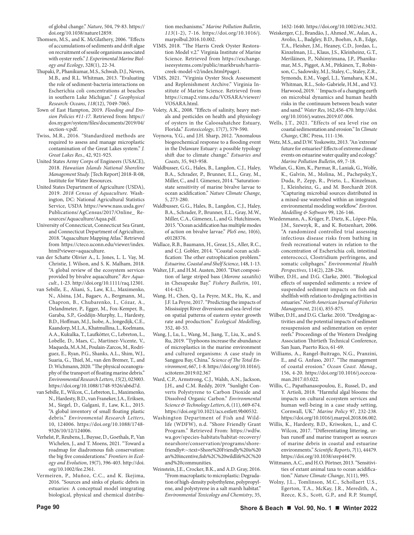of global change." *Nature*, 504, 79-83. https:// doi.org/10.1038/nature12859.

- Thomsen, M.S., and K. McGlathery, 2006. "Effects of accumulations of sediments and drift algae on recruitment of sessile organisms associated with oyster reefs." *J. Experimental Marine Biology and Ecology*, 328(1), 22-34.
- Thupaki, P., Phanikumar, M.S., Schwab, D.J., Nevers, M.B., and R.L. Whitman, 2013. "Evaluating the role of sediment‐bacteria interactions on Escherichia coli concentrations at beaches in southern Lake Michigan." *J. Geophysical Research: Oceans*, *118*(12), 7049-7065.
- Town of East Hampton, 2019. *Flooding and Erosion Policies #11-17.* Retrieved from: https:// dos.ny.gov/system/files/documents/2019/04/ section-v.pdf.
- Twiss, M.R., 2016. "Standardized methods are required to assess and manage microplastic contamination of the Great Lakes system." *J. Great Lakes Res.*, 42, 921-925.
- United States Army Corps of Engineers (USACE), 2018. *Hawaiian Islands National Shoreline Management Study.* [Tech Report] 2018-R-08, Institute for Water Resources.
- United States Department of Agriculture (USDA), 2019. *2018 Census of Aquaculture.* Washington, DC: National Agricultural Statistics Service, USDA https://www.nass.usda.gov/ Publications/AgCensus/2017/Online\_ Resources/Aquaculture/Aqua.pdf.
- University of Connecticut, Connecticut Sea Grant, and Connecticut Department of Agriculture, 2018. "Aquaculture Mapping Atlas." Retrieved from https://cteco.uconn.edu/viewer/index. html?viewer=aquaculture.
- van der Schatte Olivier A., L. Jones, L. L. Vay, M. Christie, J. Wilson, and S. K. Malham, 2018. "A global review of the ecosystem services provided by bivalve aquaculture." *Rev Aquacult.*, 1-23. http://doi.org/10.1111/raq.12301.
- van Sebille, E., Aliani, S., Law, K.L., Maximenko, N., Alsina, J.M., Bagaev, A., Bergmann, M., Chapron, B., Chubarenko, I., Cózar, A., Delandmeter, P., Egger, M., Fox-Kemper, B., Garaba, S.P., Goddijn-Murphy, L., Hardesty, B.D., Hoffman, M.J., Isobe, A., Jongedijk, C.E., Kaandorp, M.L.A., Khatmullina, L., Koelmans, A.A., Kukulka, T., Laufkötter, C., Lebreton, L., Lobelle, D., Maes, C., Martinez-Vicente, V., Maqueda, M.A.M., Poulain-Zarcos, M., Rodríguez, E., Ryan, P.G., Shanks, A.L., Shim, W.J., Suaria, G., Thiel, M., van den Bremer, T., and D. Wichmann, 2020. "The physical oceanography of the transport of floating marine debris." *Environmental Research Letters*, *15*(2), 023003. https://doi.org/10.1088/1748-9326/ab6d7d.
- van Sebille, E., Wilcox, C., Lebreton, L., Maximenko, N., Hardesty, B.D., van Franeker, J.A., Eriksen, M., Siegel, D., Galgani, F., Law, K.L., 2015. "A global inventory of small floating plastic debris." *Environmental Research Letters*, 10, 124006. https://doi.org/10.1088/1748- 9326/10/12/124006.
- Verhelst, P., Reubens, J., Buysse, D., Goethals, P., Van Wichelen, J., and T. Moens, 2021. "Toward a roadmap for diadromous fish conservation: the big five considerations." *Frontiers in Ecology and Evolution*, 19(7), 396-403. http://doi. org/10.1002/fee.2361.
- Vermeiren, P., Muñoz, C.C., and K. Ikejima, 2016. "Sources and sinks of plastic debris in estuaries: A conceptual model integrating biological, physical and chemical distribu-

tion mechanisms." *Marine Pollution Bulletin*, *113*(1-2), 7-16. https://doi.org/10.1016/j. marpolbul.2016.10.002.

- VIMS, 2018. "The Harris Creek Oyster Restoration Model v.2." Virginia Institute of Marine Science. Retrieved from https://exchange. iseesystems.com/public/markbrush/harriscreek-model-v2/index.html#page1.
- VIMS, 2021. "Virginia Oyster Stock Assessment and Replenishment Archive." Virginia Institute of Marine Science. Retrieved from https://cmap2.vims.edu/VOSARA/viewer/ VOSARA.html.
- Volety, A.K., 2008. "Effects of salinity, heavy metals and pesticides on health and physiology of oysters in the Caloosahatchee Estuary, Florida." *Ecotoxicology*, 17(7), 579-590.
- Voynova, Y.G., and J.H. Sharp, 2012. "Anomalous biogeochemical response to a flooding event in the Delaware Estuary: a possible typology shift due to climate change." *Estuaries and Coasts*, 35, 943-958.
- Waldbusser, G.G., Hales, B., Langdon, C.J., Haley, B.A., Schrader, P., Brunner, E.L., Gray, M., Miller, C., and I. Gimenez, 2014. "Saturationstate sensitivity of marine bivalve larvae to ocean acidification." *Nature Climate Change*, 5, 273-280.
- Waldbusser, G.G., Hales, B., Langdon, C.J., Haley, B.A., Schrader, P., Brunner, E.L., Gray, M.W., Miller, C.A., Gimenez, I., and G. Hutchinson, 2015. "Ocean acidification has multiple modes of action on bivalve larvae." *PloS one*, 10(6), e0128376.
- Wallace, R.B., Baumann, H., Grear, J.S., Aller, R.C., and C.J. Gobler, 2014. "Coastal ocean acidification: The other eutrophication problem." *Estuarine, Coastal and Shelf Science*, 148, 1-13.
- Walter, J.F., and H.M. Austen, 2003. "Diet composition of large striped bass (*Morone saxatilis*) in Chesapeake Bay." *Fishery Bulletin*, 101, 414-423.
- Wang, H., Chen, Q., La Peyre, M.K., Hu, K., and J.F. La Peyre, 2017. "Predicting the impacts of Mississippi River diversions and sea-level rise on spatial patterns of eastern oyster growth rate and production." *Ecological Modelling*, 352, 40-53.
- Wang, J., Lu, L., Wang, M., Jiang, T., Liu, X., and S. Ru, 2019. "Typhoons increase the abundance of microplastics in the marine environment and cultured organisms: A case study in Sanggou Bay, China." *Science of The Total Environment*, 667, 1-8. https://doi.org/10.1016/j. scitotenv.2019.02.367
- Ward, C.P., Armstrong, C.J., Walsh, A.N., Jackson, J.H., and C.M. Reddy, 2019. "Sunlight Converts Polystyrene to Carbon Dioxide and Dissolved Organic Carbon." *Environmental Science & Technology Letters*, 6, (11), 669-674. https://doi.org/10.1021/acs.estlett.9b00532.
- Washington Department of Fish and Wildlife (WDFW), n.d. "Shore Friendly Grant Program." Retrieved From: https://wdfw. wa.gov/species-habitats/habitat-recovery/ nearshore/conservation/programs/shorefriendly#:~:text=Shore%20Friendly%20is%20 an%20incentive,fish%2C%20wildlife%2C%20 and%20communities.
- Weinstein, J.E., Crocker, B.K., and A.D. Gray, 2016. "From macroplastic to microplastic: Degradation of high-density polyethylene, polypropylene, and polystyrene in a salt marsh habitat." *Environmental Toxicology and Chemistry*, 35,

1632-1640. https://doi.org/10.1002/etc.3432.

- Weiskerger, C.J., Brandão, J., Ahmed ,W., Aslan, A., Avolio, L., Badgley, B.D., Boehm, A.B., Edge, T.A., Fleisher, J.M., Heaney, C.D., Jordao, L., Kinzelman, J.L., Klaus, J.S., Kleinheinz, G.T., Meriläinen, P., Nshimyimana, J.P., Phanikumar, M.S., Piggot, A.M., Pitkänen, T., Robinson, C., Sadowsky, M.J., Staley, C., Staley, Z.R., Symonds, E.M., Vogel, L.J., Yamahara, K.M., Whitman, R.L., Solo-Gabriele, H.M., and V.J. Harwood, 2019. ``Impacts of a changing earth on microbial dynamics and human health risks in the continuum between beach water and sand." *Water Res,* 162,456-470. http://doi. org/10.1016/j.watres.2019.07.006.
- Wells, J.T., 2021. "Effects of sea level rise on coastal sedimentation and erosion." In *Climate Change*, CRC Press, 111-136.
- Wetz, M.S., and D.W. Yoskowitz, 2013. "An 'extreme' future for estuaries? Effects of extreme climate events on estuarine water quality and ecology." *Marine Pollution Bulletin*, 69, 7-18.
- Whelan, G., Kim, K., Parmar, R., Laniak, G., Wolfe, K., Galvin, M., Molina, M., Pachepsky,Y., Duda, P., Zepp, R., Prieto, L., Kinzelman, J., Kleinheinz, G., and M. Borchardt 2018. "Capturing microbial sources distributed in a mixed-use watershed within an integrated environmental modeling workflow." *Environ. Modelling & Software* 99, 126-146.
- Wiedenmann, A., Krüger, P., Dietz, K., López-Pila, J.M., Szewzyk, R., and K. Botzenhart, 2006. "A randomized controlled trial assessing infectious disease risks from bathing in fresh recreational waters in relation to the concentration of Escherichia coli, intestinal enterococci, Clostridium perfringens, and somatic coliphages." *Environmental Health Perspectives*, 114(2), 228-236.
- Wilber, D.H., and D.G. Clarke, 2001. "Biological effects of suspended sediments: a review of suspended sediment impacts on fish and shellfish with relation to dredging activities in estuaries." *North American Journal of Fisheries Management*, 21(4), 855-875.
- Wilber, D.H., and D.G. Clarke. 2010. "Dredging activities and the potential impacts of sediment resuspension and sedimentation on oyster reefs." Proceedings of the Western Dredging Association Thirtieth Technical Conference, San Juan, Puerto Rico, 61-69.
- Williams, A., Rangel-Buitrago, N.G., Pranzini, E., and G. Anfuso, 2017. "The management of coastal erosion." *Ocean Coast. Manag.,* 156, 4-20. https://doi.org/10.1016/j.ocecoaman.2017.03.022.
- Willis, C., Papathanasopoulou, E., Russel, D., and Y. Artioli, 2018. "Harmful algal blooms: the impacts on cultural ecosystem services and human well-being in a case study setting, Cornwall, UK." *Marine Policy* 97, 232-238. https://doi.org/10.1016/j.marpol.2018.06.002.
- Willis, K., Hardesty, B.D., Kriwoken, L., and C. Wilcox, 2017. "Differentiating littering, urban runoff and marine transport as sources of marine debris in coastal and estuarine environments." *Scientific Reports*, *7*(1), 44479. https://doi.org/10.1038/srep44479.
- Wittmann, A.C., and H.O. Pörtner, 2013. "Sensitivities of extant animal taxa to ocean acidification." *Nature Climate Change*, 3(11), 995.
- Wolny, J.L., Tomlinson, M.C., Schollaert U.S., Egerton, T.A., McKay, J.R., Meredith, A., Reece, K.S., Scott, G.P., and R.P. Stumpf,